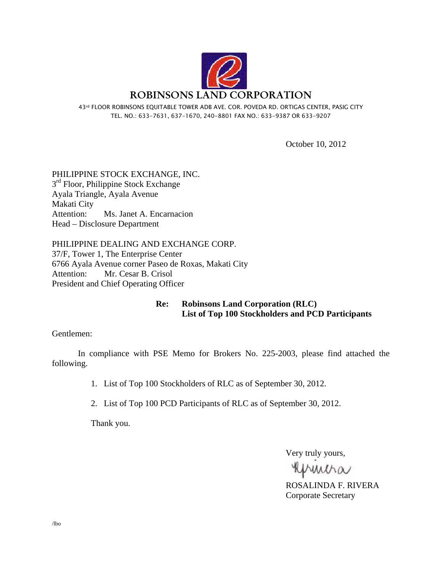

43rd FLOOR ROBINSONS EQUITABLE TOWER ADB AVE. COR. POVEDA RD. ORTIGAS CENTER, PASIG CITY TEL. NO.: 633-7631, 637-1670, 240-8801 FAX NO.: 633-9387 OR 633-9207

October 10, 2012

PHILIPPINE STOCK EXCHANGE, INC. 3<sup>rd</sup> Floor, Philippine Stock Exchange Ayala Triangle, Ayala Avenue Makati City Attention: Ms. Janet A. Encarnacion Head – Disclosure Department

PHILIPPINE DEALING AND EXCHANGE CORP. 37/F, Tower 1, The Enterprise Center 6766 Ayala Avenue corner Paseo de Roxas, Makati City Attention: Mr. Cesar B. Crisol President and Chief Operating Officer

> **Re: Robinsons Land Corporation (RLC) List of Top 100 Stockholders and PCD Participants**

Gentlemen:

 In compliance with PSE Memo for Brokers No. 225-2003, please find attached the following.

1. List of Top 100 Stockholders of RLC as of September 30, 2012.

2. List of Top 100 PCD Participants of RLC as of September 30, 2012.

Thank you.

Very truly yours,

Khmiha

ROSALINDA F. RIVERA Corporate Secretary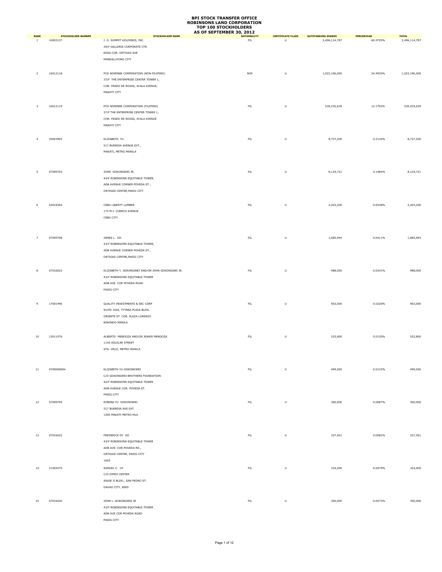|                             |                                       |                                                        | AS OF SEPTEMBER 30, 2012 |                                     |                                            |                               |                               |
|-----------------------------|---------------------------------------|--------------------------------------------------------|--------------------------|-------------------------------------|--------------------------------------------|-------------------------------|-------------------------------|
| <b>RANK</b><br><sup>1</sup> | <b>STOCKHOLDER NUMBER</b><br>10003137 | <b>STOCKHOLDER NAME</b><br>J. G. SUMMIT HOLDINGS, INC. | <b>NATIONALITY</b><br>FL | <b>CERTIFICATE CLASS</b><br>$\sf U$ | <b>OUTSTANDING SHARES</b><br>2,496,114,787 | <b>PERCENTAGE</b><br>60.9725% | <b>TOTAL</b><br>2,496,114,787 |
|                             |                                       |                                                        |                          |                                     |                                            |                               |                               |
|                             |                                       | 29/F GALLERIA CORPORATE CTR.                           |                          |                                     |                                            |                               |                               |
|                             |                                       | EDSA COR. ORTIGAS AVE.                                 |                          |                                     |                                            |                               |                               |
|                             |                                       | MANDALUYONG CITY                                       |                          |                                     |                                            |                               |                               |
|                             |                                       |                                                        |                          |                                     |                                            |                               |                               |
|                             |                                       |                                                        |                          |                                     | 1,023,196,000                              | 24.9935%                      |                               |
| $\overline{2}$              | 16012118                              | PCD NOMINEE CORPORATION (NON-FILIPINO)                 | <b>NOF</b>               | U                                   |                                            |                               | 1,023,196,000                 |
|                             |                                       | 37/F THE ENTERPRISE CENTER TOWER 1,                    |                          |                                     |                                            |                               |                               |
|                             |                                       | COR. PASEO DE ROXAS, AYALA AVENUE,                     |                          |                                     |                                            |                               |                               |
|                             |                                       | MAKATI CITY                                            |                          |                                     |                                            |                               |                               |
|                             |                                       |                                                        |                          |                                     |                                            |                               |                               |
|                             | 16012119                              |                                                        |                          |                                     |                                            |                               |                               |
| 3                           |                                       | PCD NOMINEE CORPORATION (FILIPINO)                     | ${\sf FIL}$              | U                                   | 539,535,639                                | 13.1792%                      | 539,535,639                   |
|                             |                                       | 37/F THE ENTERPRISE CENTER TOWER 1,                    |                          |                                     |                                            |                               |                               |
|                             |                                       | COR. PASEO DE ROXAS, AYALA AVENUE                      |                          |                                     |                                            |                               |                               |
|                             |                                       | MAKATI CITY                                            |                          |                                     |                                            |                               |                               |
|                             |                                       |                                                        |                          |                                     |                                            |                               |                               |
|                             |                                       |                                                        |                          |                                     |                                            |                               |                               |
| $\overline{4}$              | 25003905                              | ELIZABETH YU                                           | ${\sf FIL}$              | $\sf U$                             | 8,737,200                                  | 0.2134%                       | 8,737,200                     |
|                             |                                       | 517 BUENDIA AVENUE EXT.,                               |                          |                                     |                                            |                               |                               |
|                             |                                       | MAKATI, METRO MANILA                                   |                          |                                     |                                            |                               |                               |
|                             |                                       |                                                        |                          |                                     |                                            |                               |                               |
|                             |                                       |                                                        |                          |                                     |                                            |                               |                               |
|                             |                                       |                                                        |                          |                                     |                                            |                               |                               |
| 5                           | 07009702                              | JOHN GOKONGWEI JR.                                     | ${\sf FIL}$              | U                                   | 8,124,721                                  | 0.1984%                       | 8,124,721                     |
|                             |                                       | 44/F ROBINSONS EQUITABLE TOWER,                        |                          |                                     |                                            |                               |                               |
|                             |                                       | ADB AVENUE CORNER POVEDA ST.,                          |                          |                                     |                                            |                               |                               |
|                             |                                       | ORTIGAS CENTER, PASIG CITY                             |                          |                                     |                                            |                               |                               |
|                             |                                       |                                                        |                          |                                     |                                            |                               |                               |
|                             |                                       |                                                        |                          |                                     |                                            |                               |                               |
| 6                           | 03018365                              | CEBU LIBERTY LUMBER                                    | ${\sf FIL}$              | U                                   | 2,203,200                                  | 0.0538%                       | 2,203,200                     |
|                             |                                       | 173 M.J. CUENCO AVENUE                                 |                          |                                     |                                            |                               |                               |
|                             |                                       | CEBU CITY                                              |                          |                                     |                                            |                               |                               |
|                             |                                       |                                                        |                          |                                     |                                            |                               |                               |
|                             |                                       |                                                        |                          |                                     |                                            |                               |                               |
|                             |                                       |                                                        |                          |                                     |                                            |                               |                               |
| $\overline{7}$              | 07009708                              | JAMES L. GO                                            | ${\sf FIL}$              | $\sf U$                             | 1,685,994                                  | 0.0411%                       | 1,685,994                     |
|                             |                                       | 43/F ROBINSONS EQUITABLE TOWER,                        |                          |                                     |                                            |                               |                               |
|                             |                                       | ADB AVENUE CORNER POVEDA ST.,                          |                          |                                     |                                            |                               |                               |
|                             |                                       |                                                        |                          |                                     |                                            |                               |                               |
|                             |                                       | ORTIGAS CENTER, PASIG CITY                             |                          |                                     |                                            |                               |                               |
|                             |                                       |                                                        |                          |                                     |                                            |                               |                               |
| 8                           | 07016023                              | ELIZABETH Y. GOKONGWEI AND/OR JOHN GOKONGWEI JR.       | ${\sf FIL}$              | U                                   | 988,000                                    | 0.0241%                       | 988,000                       |
|                             |                                       | 43/F ROBINSONS EQUITABLE TOWER                         |                          |                                     |                                            |                               |                               |
|                             |                                       | ADB AVE. COR POVEDA ROAD                               |                          |                                     |                                            |                               |                               |
|                             |                                       |                                                        |                          |                                     |                                            |                               |                               |
|                             |                                       | PASIG CITY                                             |                          |                                     |                                            |                               |                               |
|                             |                                       |                                                        |                          |                                     |                                            |                               |                               |
| 9                           | 17001996                              | QUALITY INVESTMENTS & SEC CORP                         | ${\sf FIL}$              | $\sf U$                             | 903,000                                    | 0.0220%                       | 903,000                       |
|                             |                                       | SUITE 1602, TYTANA PLAZA BLDG.                         |                          |                                     |                                            |                               |                               |
|                             |                                       |                                                        |                          |                                     |                                            |                               |                               |
|                             |                                       | ORIENTE ST. COR. PLAZA LORENZO                         |                          |                                     |                                            |                               |                               |
|                             |                                       | BINONDO MANILA                                         |                          |                                     |                                            |                               |                               |
|                             |                                       |                                                        |                          |                                     |                                            |                               |                               |
| $10\,$                      | 13011076                              | ALBERTO MENDOZA AND/OR JEANIE MENDOZA                  | ${\sf FIL}$              | U                                   | 532,800                                    | 0.0130%                       | 532,800                       |
|                             |                                       |                                                        |                          |                                     |                                            |                               |                               |
|                             |                                       | 1145 AGUILAR STREET                                    |                          |                                     |                                            |                               |                               |
|                             |                                       | STA. CRUZ, METRO MANILA                                |                          |                                     |                                            |                               |                               |
|                             |                                       |                                                        |                          |                                     |                                            |                               |                               |
|                             |                                       |                                                        |                          |                                     |                                            |                               |                               |
|                             |                                       |                                                        |                          |                                     |                                            |                               |                               |
| $11\,$                      | 0700000004                            | ELIZABETH YU GOKONGWEI                                 | ${\sf FIL}$              | $\sf U$                             | 499,500                                    | 0.0122%                       | 499,500                       |
|                             |                                       | C/O GOKONGWEI BROTHERS FOUNDATION                      |                          |                                     |                                            |                               |                               |
|                             |                                       | 44/F ROBINSONS EQUITABLE TOWER                         |                          |                                     |                                            |                               |                               |
|                             |                                       | ADB AVENUE COR. POVEDA ST.                             |                          |                                     |                                            |                               |                               |
|                             |                                       | PASIG CITY                                             |                          |                                     |                                            |                               |                               |
|                             |                                       |                                                        |                          |                                     |                                            |                               |                               |
| 12                          | 07009705                              | ROBINA YU GOKONGWEI                                    | ${\sf FIL}$              | $\sf U$                             | 360,000                                    | 0.0087%                       | 360,000                       |
|                             |                                       | 517 BUENDIA AVE EXT                                    |                          |                                     |                                            |                               |                               |
|                             |                                       | 1200 MAKATI METRO MLA                                  |                          |                                     |                                            |                               |                               |
|                             |                                       |                                                        |                          |                                     |                                            |                               |                               |
|                             |                                       |                                                        |                          |                                     |                                            |                               |                               |
|                             |                                       |                                                        |                          |                                     |                                            |                               |                               |
| 13                          | 07016022                              | FREDERICK DY GO                                        | ${\sf FIL}$              | U                                   | 337,501                                    | 0.0082%                       | 337,501                       |
|                             |                                       | 43/F ROBINSONS EQUITABLE TOWER                         |                          |                                     |                                            |                               |                               |
|                             |                                       | ADB AVE. COR.POVEDA RD.,                               |                          |                                     |                                            |                               |                               |
|                             |                                       |                                                        |                          |                                     |                                            |                               |                               |
|                             |                                       | ORTIGAS CENTER, PASIG CITY                             |                          |                                     |                                            |                               |                               |
|                             |                                       | 1605                                                   |                          |                                     |                                            |                               |                               |
| 14                          | 21003475                              | SAMUEL C. UY                                           | FL                       | $\sf U$                             | 324,000                                    | 0.0079%                       | 324,000                       |
|                             |                                       | C/O DIMDI CENTER                                       |                          |                                     |                                            |                               |                               |
|                             |                                       | ASAJE II BLDG., SAN PEDRO ST.                          |                          |                                     |                                            |                               |                               |
|                             |                                       |                                                        |                          |                                     |                                            |                               |                               |
|                             |                                       | DAVAO CITY, 8000                                       |                          |                                     |                                            |                               |                               |
|                             |                                       |                                                        |                          |                                     |                                            |                               |                               |
| 15                          | 07016020                              | JOHN L. GOKONGWEI JR                                   | ${\sf FIL}$              | $\sf U$                             | 300,000                                    | 0.0073%                       | 300,000                       |
|                             |                                       | 43/F ROBINSONS EQUITABLE TOWER                         |                          |                                     |                                            |                               |                               |
|                             |                                       |                                                        |                          |                                     |                                            |                               |                               |
|                             |                                       | ADB AVE COR POVEDA ROAD                                |                          |                                     |                                            |                               |                               |
|                             |                                       | PASIG CITY                                             |                          |                                     |                                            |                               |                               |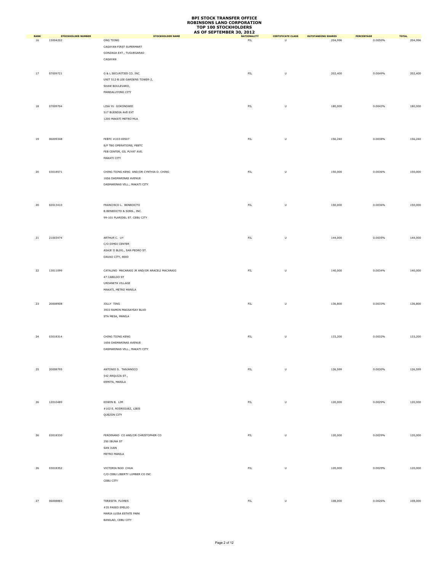|                   | <b>STOCKHOLDER NUMBER</b> | <b>STOCKHOLDER NAME</b>                      | AS OF SEPTEMBER 30, 2012<br><b>NATIONALITY</b> | <b>CERTIFICATE CLASS</b> | <b>OUTSTANDING SHARES</b> | <b>PERCENTAGE</b> | <b>TOTAL</b> |
|-------------------|---------------------------|----------------------------------------------|------------------------------------------------|--------------------------|---------------------------|-------------------|--------------|
| <b>RANK</b><br>16 | 15004202                  | ONG TIONG                                    | ${\sf FIL}$                                    | U                        | 204,996                   | 0.0050%           | 204,996      |
|                   |                           | CAGAYAN FIRST SUPERMART                      |                                                |                          |                           |                   |              |
|                   |                           |                                              |                                                |                          |                           |                   |              |
|                   |                           | GONZAGA EXT., TUGUEGARAO                     |                                                |                          |                           |                   |              |
|                   |                           | CAGAYAN                                      |                                                |                          |                           |                   |              |
|                   |                           |                                              |                                                |                          |                           |                   |              |
| 17                | 07009721                  | G & L SECURITIES CO. INC.                    | ${\sf FIL}$                                    | $\sf U$                  | 202,400                   | 0.0049%           | 202,400      |
|                   |                           |                                              |                                                |                          |                           |                   |              |
|                   |                           | UNIT 512-B LEE GARDENS TOWER-2,              |                                                |                          |                           |                   |              |
|                   |                           | SHAW BOULEVARD,                              |                                                |                          |                           |                   |              |
|                   |                           | MANDALUYONG CITY                             |                                                |                          |                           |                   |              |
|                   |                           |                                              |                                                |                          |                           |                   |              |
|                   |                           |                                              |                                                |                          |                           |                   |              |
| 18                | 07009704                  | LISA YU GOKONGWEI                            | ${\sf FIL}$                                    | $\cup$                   | 180,000                   | 0.0043%           | 180,000      |
|                   |                           | 517 BUENDIA AVE EXT                          |                                                |                          |                           |                   |              |
|                   |                           | 1200 MAKATI METRO MLA                        |                                                |                          |                           |                   |              |
|                   |                           |                                              |                                                |                          |                           |                   |              |
|                   |                           |                                              |                                                |                          |                           |                   |              |
|                   |                           |                                              |                                                |                          |                           |                   |              |
| 19                | 06009348                  | FEBTC #103-00507                             | ${\sf FIL}$                                    | $\sf U$                  | 156,240                   | 0.0038%           | 156,240      |
|                   |                           | 8/F TBG OPERATIONS, FEBTC                    |                                                |                          |                           |                   |              |
|                   |                           | FEB CENTER, GIL PUYAT AVE.                   |                                                |                          |                           |                   |              |
|                   |                           | MAKATI CITY                                  |                                                |                          |                           |                   |              |
|                   |                           |                                              |                                                |                          |                           |                   |              |
|                   |                           |                                              |                                                |                          |                           |                   |              |
| 20                | 03018571                  | CHING TIONG KENG AND/OR CYNTHIA D. CHING     | FIL.                                           | $\sf U$                  | 150,000                   | 0.0036%           | 150,000      |
|                   |                           | 1656 DASMARINAS AVENUE                       |                                                |                          |                           |                   |              |
|                   |                           | DASMARINAS VILL., MAKATI CITY                |                                                |                          |                           |                   |              |
|                   |                           |                                              |                                                |                          |                           |                   |              |
|                   |                           |                                              |                                                |                          |                           |                   |              |
|                   |                           |                                              |                                                |                          |                           |                   |              |
| 20                | 02013410                  | FRANCISCO L. BENEDICTO                       | ${\sf FIL}$                                    | $\sf U$                  | 150,000                   | 0.0036%           | 150,000      |
|                   |                           | B.BENEDICTO & SONS., INC.                    |                                                |                          |                           |                   |              |
|                   |                           | 99-101 PLARIDEL ST. CEBU CITY                |                                                |                          |                           |                   |              |
|                   |                           |                                              |                                                |                          |                           |                   |              |
|                   |                           |                                              |                                                |                          |                           |                   |              |
|                   |                           |                                              |                                                |                          |                           |                   |              |
| 21                | 21003474                  | ARTHUR C. UY                                 | FIL                                            | $\sf U$                  | 144,000                   | 0.0035%           | 144,000      |
|                   |                           | C/O DIMDI CENTER                             |                                                |                          |                           |                   |              |
|                   |                           |                                              |                                                |                          |                           |                   |              |
|                   |                           | ASAJE II BLDG., SAN PEDRO ST.                |                                                |                          |                           |                   |              |
|                   |                           | DAVAO CITY, 8000                             |                                                |                          |                           |                   |              |
|                   |                           |                                              |                                                |                          |                           |                   |              |
| 22                | 13011099                  | CATALINO MACARAIG JR AND/OR ARACELI MACARAIG | ${\sf FIL}$                                    | $\cup$                   | 140,000                   | 0.0034%           | 140,000      |
|                   |                           |                                              |                                                |                          |                           |                   |              |
|                   |                           | 47 CABILDO ST                                |                                                |                          |                           |                   |              |
|                   |                           | URDANETA VILLAGE                             |                                                |                          |                           |                   |              |
|                   |                           | MAKATI, METRO MANILA                         |                                                |                          |                           |                   |              |
|                   |                           |                                              |                                                |                          |                           |                   |              |
|                   |                           |                                              |                                                |                          |                           |                   |              |
| 23                | 20008908                  | JOLLY TING                                   | ${\sf FIL}$                                    | $\sf U$                  | 136,800                   | 0.0033%           | 136,800      |
|                   |                           | 3933 RAMON MAGSAYSAY BLVD                    |                                                |                          |                           |                   |              |
|                   |                           | STA MESA, MANILA                             |                                                |                          |                           |                   |              |
|                   |                           |                                              |                                                |                          |                           |                   |              |
|                   |                           |                                              |                                                |                          |                           |                   |              |
|                   |                           |                                              |                                                |                          |                           |                   |              |
| 24                | 03018314                  | CHING TIONG KENG                             | ${\sf FIL}$                                    | $\sf U$                  | 133,200                   | 0.0032%           | 133,200      |
|                   |                           | 1656 DASMARINAS AVENUE                       |                                                |                          |                           |                   |              |
|                   |                           | DASMARINAS VILL., MAKATI CITY                |                                                |                          |                           |                   |              |
|                   |                           |                                              |                                                |                          |                           |                   |              |
|                   |                           |                                              |                                                |                          |                           |                   |              |
|                   |                           |                                              |                                                |                          |                           |                   |              |
| 25                | 20008795                  | ANTONIO S. TANJANGCO                         | ${\sf FIL}$                                    | $\sf U$                  | 126,599                   | 0.0030%           | 126,599      |
|                   |                           | 542 ARQUIZA ST.,                             |                                                |                          |                           |                   |              |
|                   |                           | ERMITA, MANILA                               |                                                |                          |                           |                   |              |
|                   |                           |                                              |                                                |                          |                           |                   |              |
|                   |                           |                                              |                                                |                          |                           |                   |              |
|                   |                           |                                              |                                                |                          |                           |                   |              |
| 26                | 12010489                  | EDWIN B. LIM                                 | ${\sf FIL}$                                    | $\sf U$                  | 120,000                   | 0.0029%           | 120,000      |
|                   |                           | #102 E. RODRIGUEZ, LIBIS                     |                                                |                          |                           |                   |              |
|                   |                           |                                              |                                                |                          |                           |                   |              |
|                   |                           | QUEZON CITY                                  |                                                |                          |                           |                   |              |
|                   |                           |                                              |                                                |                          |                           |                   |              |
|                   |                           |                                              |                                                |                          |                           |                   |              |
| 26                | 03018330                  | FERDINAND CO AND/OR CHRISTOPHER CO           | ${\sf FIL}$                                    | $\sf U$                  | 120,000                   | 0.0029%           | 120,000      |
|                   |                           |                                              |                                                |                          |                           |                   |              |
|                   |                           | 250 IBUNA ST                                 |                                                |                          |                           |                   |              |
|                   |                           | SAN JUAN                                     |                                                |                          |                           |                   |              |
|                   |                           | METRO MANILA                                 |                                                |                          |                           |                   |              |
|                   |                           |                                              |                                                |                          |                           |                   |              |
|                   |                           |                                              |                                                |                          |                           |                   |              |
| 26                | 03018352                  | VICTORIA NGO CHUA                            | ${\sf FIL}$                                    | $\sf U$                  | 120,000                   | 0.0029%           | 120,000      |
|                   |                           | C/O CEBU LIBERTY LUMBER CO INC               |                                                |                          |                           |                   |              |
|                   |                           | CEBU CITY                                    |                                                |                          |                           |                   |              |
|                   |                           |                                              |                                                |                          |                           |                   |              |
|                   |                           |                                              |                                                |                          |                           |                   |              |
|                   |                           |                                              |                                                |                          |                           |                   |              |
| 27                | 06008883                  | TERESITA FLORES                              | ${\sf FIL}$                                    | $\sf U$                  | 108,000                   | 0.0026%           | 108,000      |
|                   |                           | #35 PASEO EMILIO                             |                                                |                          |                           |                   |              |
|                   |                           | MARIA LUISA ESTATE PARK                      |                                                |                          |                           |                   |              |
|                   |                           | BANILAD, CEBU CITY                           |                                                |                          |                           |                   |              |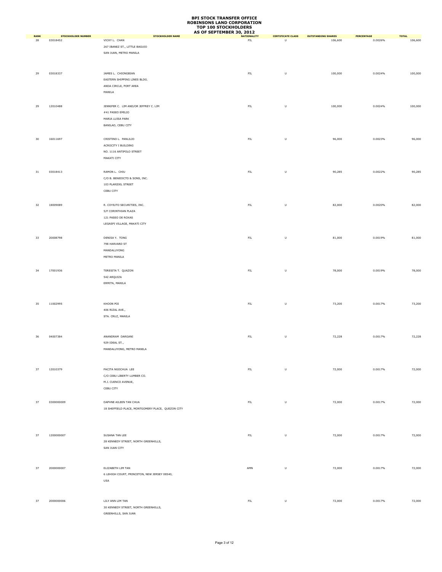|                   |                                       |                                                   | AS OF SEPTEMBER 30, 2012          |                                                                                                            |                                      |                              |                         |
|-------------------|---------------------------------------|---------------------------------------------------|-----------------------------------|------------------------------------------------------------------------------------------------------------|--------------------------------------|------------------------------|-------------------------|
| <b>RANK</b><br>28 | <b>STOCKHOLDER NUMBER</b><br>03018452 | <b>STOCKHOLDER NAME</b><br>VICKY L. CHAN          | <b>NATIONALITY</b><br>${\sf FIL}$ | <b>CERTIFICATE CLASS</b><br>U                                                                              | <b>OUTSTANDING SHARES</b><br>106,600 | <b>PERCENTAGE</b><br>0.0026% | <b>TOTAL</b><br>106,600 |
|                   |                                       |                                                   |                                   |                                                                                                            |                                      |                              |                         |
|                   |                                       | 267 IBANEZ ST., LITTLE BAGUIO                     |                                   |                                                                                                            |                                      |                              |                         |
|                   |                                       | SAN JUAN, METRO MANILA                            |                                   |                                                                                                            |                                      |                              |                         |
|                   |                                       |                                                   |                                   |                                                                                                            |                                      |                              |                         |
|                   |                                       |                                                   |                                   |                                                                                                            |                                      |                              |                         |
| 29                | 03018337                              | JAMES L. CHIONGBIAN                               | ${\sf FIL}$                       | U                                                                                                          | 100,000                              | 0.0024%                      | 100,000                 |
|                   |                                       | EASTERN SHIPPING LINES BLDG.                      |                                   |                                                                                                            |                                      |                              |                         |
|                   |                                       | ANDA CIRCLE, PORT AREA                            |                                   |                                                                                                            |                                      |                              |                         |
|                   |                                       |                                                   |                                   |                                                                                                            |                                      |                              |                         |
|                   |                                       | MANILA                                            |                                   |                                                                                                            |                                      |                              |                         |
|                   |                                       |                                                   |                                   |                                                                                                            |                                      |                              |                         |
| 29                | 12010488                              | JENNIFER C. LIM AND/OR JEFFREY C. LIM             | ${\sf FIL}$                       | $\sf U$                                                                                                    | 100,000                              | 0.0024%                      | 100,000                 |
|                   |                                       | #41 PASEO EMILIO                                  |                                   |                                                                                                            |                                      |                              |                         |
|                   |                                       | MARIA LUISA PARK                                  |                                   |                                                                                                            |                                      |                              |                         |
|                   |                                       | BANILAD, CEBU CITY                                |                                   |                                                                                                            |                                      |                              |                         |
|                   |                                       |                                                   |                                   |                                                                                                            |                                      |                              |                         |
|                   |                                       |                                                   |                                   |                                                                                                            |                                      |                              |                         |
| 30                | 16011697                              | CRISTINO L. PANLILIO                              | ${\sf FIL}$                       | U                                                                                                          | 96,000                               | 0.0023%                      | 96,000                  |
|                   |                                       | ACROCITY I BUILDING                               |                                   |                                                                                                            |                                      |                              |                         |
|                   |                                       | NO. 1116 ANTIPOLO STREET                          |                                   |                                                                                                            |                                      |                              |                         |
|                   |                                       | MAKATI CITY                                       |                                   |                                                                                                            |                                      |                              |                         |
|                   |                                       |                                                   |                                   |                                                                                                            |                                      |                              |                         |
| 31                | 03018413                              | RAMON L. CHIU                                     | ${\sf FIL}$                       | $\mathsf{U}% _{T}=\mathsf{U}_{T}\!\left( a,b\right) ,\ \mathsf{U}_{T}=\mathsf{U}_{T}\!\left( a,b\right) ,$ | 90,285                               | 0.0022%                      | 90,285                  |
|                   |                                       |                                                   |                                   |                                                                                                            |                                      |                              |                         |
|                   |                                       | C/O B. BENEDICTO & SONS, INC.                     |                                   |                                                                                                            |                                      |                              |                         |
|                   |                                       | 103 PLARIDEL STREET                               |                                   |                                                                                                            |                                      |                              |                         |
|                   |                                       | CEBU CITY                                         |                                   |                                                                                                            |                                      |                              |                         |
|                   |                                       |                                                   |                                   |                                                                                                            |                                      |                              |                         |
| 32                | 18009089                              | R. COYIUTO SECURITIES, INC.                       | ${\sf FIL}$                       | U                                                                                                          | 82,000                               | 0.0020%                      | 82,000                  |
|                   |                                       |                                                   |                                   |                                                                                                            |                                      |                              |                         |
|                   |                                       | 5/F CORINTHIAN PLAZA                              |                                   |                                                                                                            |                                      |                              |                         |
|                   |                                       | 121 PASEO DE ROXAS                                |                                   |                                                                                                            |                                      |                              |                         |
|                   |                                       | LEGASPI VILLAGE, MAKATI CITY                      |                                   |                                                                                                            |                                      |                              |                         |
|                   |                                       |                                                   |                                   |                                                                                                            |                                      |                              |                         |
| 33                | 20008798                              | DENISA Y. TONG                                    | ${\sf FIL}$                       | U                                                                                                          | 81,000                               | 0.0019%                      | 81,000                  |
|                   |                                       | 798 HARVARD ST                                    |                                   |                                                                                                            |                                      |                              |                         |
|                   |                                       |                                                   |                                   |                                                                                                            |                                      |                              |                         |
|                   |                                       | MANDALUYONG                                       |                                   |                                                                                                            |                                      |                              |                         |
|                   |                                       | METRO MANILA                                      |                                   |                                                                                                            |                                      |                              |                         |
|                   |                                       |                                                   |                                   |                                                                                                            |                                      |                              |                         |
| 34                | 17001936                              | TERESITA T. QUAZON                                | ${\sf FIL}$                       | U                                                                                                          | 78,000                               | 0.0019%                      | 78,000                  |
|                   |                                       | 542 ARQUIZA                                       |                                   |                                                                                                            |                                      |                              |                         |
|                   |                                       | ERMITA, MANILA                                    |                                   |                                                                                                            |                                      |                              |                         |
|                   |                                       |                                                   |                                   |                                                                                                            |                                      |                              |                         |
|                   |                                       |                                                   |                                   |                                                                                                            |                                      |                              |                         |
|                   |                                       |                                                   |                                   |                                                                                                            |                                      |                              |                         |
| 35                | 11002995                              | KHOON POI                                         | ${\sf FIL}$                       | U                                                                                                          | 73,200                               | 0.0017%                      | 73,200                  |
|                   |                                       | 406 RIZAL AVE.,                                   |                                   |                                                                                                            |                                      |                              |                         |
|                   |                                       | STA. CRUZ, MANILA                                 |                                   |                                                                                                            |                                      |                              |                         |
|                   |                                       |                                                   |                                   |                                                                                                            |                                      |                              |                         |
|                   |                                       |                                                   |                                   |                                                                                                            |                                      |                              |                         |
|                   |                                       |                                                   |                                   |                                                                                                            |                                      |                              |                         |
| 36                | 04007384                              | ANANDRAM DARGANI                                  | ${\sf FIL}$                       | $\mathsf{U}% _{T}=\mathsf{U}_{T}\!\left( a,b\right) ,\ \mathsf{U}_{T}=\mathsf{U}_{T}\!\left( a,b\right) ,$ | 72,228                               | 0.0017%                      | 72,228                  |
|                   |                                       | 929 IDEAL ST.,                                    |                                   |                                                                                                            |                                      |                              |                         |
|                   |                                       | MANDALUYONG, METRO MANILA                         |                                   |                                                                                                            |                                      |                              |                         |
|                   |                                       |                                                   |                                   |                                                                                                            |                                      |                              |                         |
|                   |                                       |                                                   |                                   |                                                                                                            |                                      |                              |                         |
|                   |                                       |                                                   |                                   |                                                                                                            |                                      |                              |                         |
| 37                | 12010379                              | PACITA NGOCHUA LEE                                | ${\sf FIL}$                       | $\sf U$                                                                                                    | 72,000                               | 0.0017%                      | 72,000                  |
|                   |                                       | C/O CEBU LIBERTY LUMBER CO.                       |                                   |                                                                                                            |                                      |                              |                         |
|                   |                                       | M.J. CUENCO AVENUE,                               |                                   |                                                                                                            |                                      |                              |                         |
|                   |                                       | CEBU CITY                                         |                                   |                                                                                                            |                                      |                              |                         |
|                   |                                       |                                                   |                                   |                                                                                                            |                                      |                              |                         |
|                   |                                       |                                                   |                                   |                                                                                                            |                                      |                              |                         |
| 37                | 0300000009                            | DAPHNE AILEEN TAN CHUA                            | ${\sf FIL}$                       | U                                                                                                          | 72,000                               | 0.0017%                      | 72,000                  |
|                   |                                       | 18 SHEFFIELD PLACE, MONTGOMERY PLACE, QUEZON CITY |                                   |                                                                                                            |                                      |                              |                         |
|                   |                                       |                                                   |                                   |                                                                                                            |                                      |                              |                         |
|                   |                                       |                                                   |                                   |                                                                                                            |                                      |                              |                         |
|                   |                                       |                                                   |                                   |                                                                                                            |                                      |                              |                         |
| 37                | 1200000007                            | SUSANA TAN LEE                                    | ${\sf FIL}$                       | $\sf U$                                                                                                    | 72,000                               | 0.0017%                      | 72,000                  |
|                   |                                       | 28 KENNEDY STREET, NORTH GREENHILLS,              |                                   |                                                                                                            |                                      |                              |                         |
|                   |                                       |                                                   |                                   |                                                                                                            |                                      |                              |                         |
|                   |                                       | SAN JUAN CITY                                     |                                   |                                                                                                            |                                      |                              |                         |
|                   |                                       |                                                   |                                   |                                                                                                            |                                      |                              |                         |
|                   |                                       |                                                   |                                   |                                                                                                            |                                      |                              |                         |
| 37                | 2000000007                            | ELIZABETH LIM TAN                                 | $\mathsf{AMN}\xspace$             | U                                                                                                          | 72,000                               | 0.0017%                      | 72,000                  |
|                   |                                       | 6 LEHIGH COURT, PRINCETON, NEW JERSEY 08540,      |                                   |                                                                                                            |                                      |                              |                         |
|                   |                                       | USA                                               |                                   |                                                                                                            |                                      |                              |                         |
|                   |                                       |                                                   |                                   |                                                                                                            |                                      |                              |                         |
|                   |                                       |                                                   |                                   |                                                                                                            |                                      |                              |                         |
|                   |                                       |                                                   |                                   |                                                                                                            |                                      |                              |                         |
| 37                | 2000000006                            | LILY ANN LIM TAN                                  | ${\sf FIL}$                       | $\sf U$                                                                                                    | 72,000                               | 0.0017%                      | 72,000                  |
|                   |                                       | 30 KENNEDY STREET, NORTH GREENHILLS,              |                                   |                                                                                                            |                                      |                              |                         |
|                   |                                       | GREENHILLS, SAN JUAN                              |                                   |                                                                                                            |                                      |                              |                         |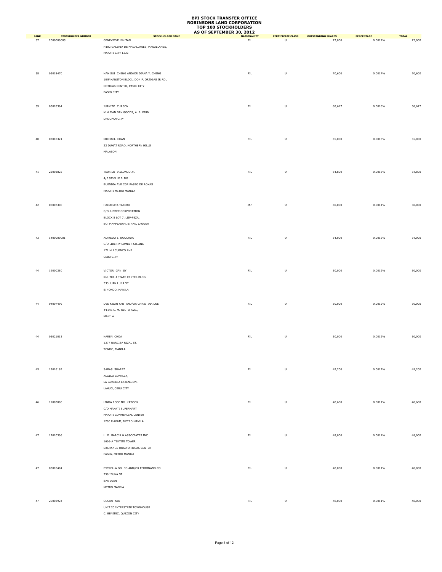|                   |                                         |                                                     | AS OF SEPTEMBER 30, 2012 |                                                                                                            |                                     |                       |                        |
|-------------------|-----------------------------------------|-----------------------------------------------------|--------------------------|------------------------------------------------------------------------------------------------------------|-------------------------------------|-----------------------|------------------------|
| <b>RANK</b><br>37 | <b>STOCKHOLDER NUMBER</b><br>2000000005 | <b>STOCKHOLDER NAME</b><br><b>GENEVIEVE LIM TAN</b> | <b>NATIONALITY</b><br>FL | <b>CERTIFICATE CLASS</b><br>$\overline{U}$                                                                 | <b>OUTSTANDING SHARES</b><br>72,000 | PERCENTAGE<br>0.0017% | <b>TOTAL</b><br>72,000 |
|                   |                                         |                                                     |                          |                                                                                                            |                                     |                       |                        |
|                   |                                         | H102 GALERIA DE MAGALLANES, MAGALLANES,             |                          |                                                                                                            |                                     |                       |                        |
|                   |                                         | MAKATI CITY 1232                                    |                          |                                                                                                            |                                     |                       |                        |
|                   |                                         |                                                     |                          |                                                                                                            |                                     |                       |                        |
|                   |                                         |                                                     |                          |                                                                                                            |                                     |                       |                        |
| 38                | 03018470                                | HAN SUI CHENG AND/OR DIANA Y. CHENG                 | ${\sf FIL}$              | U                                                                                                          | 70,600                              | 0.0017%               | 70,600                 |
|                   |                                         | 10/F HANSTON BLDG., DON F. ORTIGAS JR RD.,          |                          |                                                                                                            |                                     |                       |                        |
|                   |                                         | ORTIGAS CENTER, PASIG CITY                          |                          |                                                                                                            |                                     |                       |                        |
|                   |                                         |                                                     |                          |                                                                                                            |                                     |                       |                        |
|                   |                                         | PASIG CITY                                          |                          |                                                                                                            |                                     |                       |                        |
|                   |                                         |                                                     |                          |                                                                                                            |                                     |                       |                        |
| 39                | 03018364                                | JUANITO CUASON                                      | ${\sf FIL}$              | U                                                                                                          | 68,617                              | 0.0016%               | 68,617                 |
|                   |                                         | KIM PIAN DRY GOODS, A. B. FERN                      |                          |                                                                                                            |                                     |                       |                        |
|                   |                                         | DAGUPAN CITY                                        |                          |                                                                                                            |                                     |                       |                        |
|                   |                                         |                                                     |                          |                                                                                                            |                                     |                       |                        |
|                   |                                         |                                                     |                          |                                                                                                            |                                     |                       |                        |
|                   |                                         |                                                     |                          |                                                                                                            |                                     |                       |                        |
| 40                | 03018321                                | MICHAEL CHAN                                        | ${\sf FIL}$              | $\sf U$                                                                                                    | 65,000                              | 0.0015%               | 65,000                 |
|                   |                                         | 22 DUHAT ROAD, NORTHERN HILLS                       |                          |                                                                                                            |                                     |                       |                        |
|                   |                                         | MALABON                                             |                          |                                                                                                            |                                     |                       |                        |
|                   |                                         |                                                     |                          |                                                                                                            |                                     |                       |                        |
|                   |                                         |                                                     |                          |                                                                                                            |                                     |                       |                        |
|                   |                                         |                                                     |                          |                                                                                                            |                                     |                       |                        |
| 41                | 22003825                                | TEOFILO VILLONCO JR.                                | ${\sf FIL}$              | $\sf U$                                                                                                    | 64,800                              | 0.0015%               | 64,800                 |
|                   |                                         | 4/F SAVILLE BLDG                                    |                          |                                                                                                            |                                     |                       |                        |
|                   |                                         | BUENDIA AVE COR PASEO DE ROXAS                      |                          |                                                                                                            |                                     |                       |                        |
|                   |                                         | MAKATI METRO MANILA                                 |                          |                                                                                                            |                                     |                       |                        |
|                   |                                         |                                                     |                          |                                                                                                            |                                     |                       |                        |
|                   |                                         |                                                     |                          |                                                                                                            |                                     |                       |                        |
| 42                | 08007308                                | HAMAHATA TAKERO                                     | JAP                      | $\sf U$                                                                                                    | 60,000                              | 0.0014%               | 60,000                 |
|                   |                                         | C/O JUNTEC CORPORATION                              |                          |                                                                                                            |                                     |                       |                        |
|                   |                                         | BLOCK 5 LOT 7, LIIP-PEZA,                           |                          |                                                                                                            |                                     |                       |                        |
|                   |                                         | BO. MAMPLASAN, BINAN, LAGUNA                        |                          |                                                                                                            |                                     |                       |                        |
|                   |                                         |                                                     |                          |                                                                                                            |                                     |                       |                        |
|                   |                                         |                                                     |                          |                                                                                                            |                                     |                       |                        |
| 43                | 1400000001                              | ALFREDO Y. NGOCHUA                                  | ${\sf FIL}$              | U                                                                                                          | 54,000                              | 0.0013%               | 54,000                 |
|                   |                                         | C/O LIBERTY LUMBER CO., INC                         |                          |                                                                                                            |                                     |                       |                        |
|                   |                                         | 171 M.J.CUENCO AVE.                                 |                          |                                                                                                            |                                     |                       |                        |
|                   |                                         | CEBU CITY                                           |                          |                                                                                                            |                                     |                       |                        |
|                   |                                         |                                                     |                          |                                                                                                            |                                     |                       |                        |
| 44                | 19000380                                | VICTOR GAN SY                                       | ${\sf FIL}$              | U                                                                                                          | 50,000                              | 0.0012%               | 50,000                 |
|                   |                                         | RM. 701-J STATE CENTER BLDG.                        |                          |                                                                                                            |                                     |                       |                        |
|                   |                                         |                                                     |                          |                                                                                                            |                                     |                       |                        |
|                   |                                         | 333 JUAN LUNA ST.                                   |                          |                                                                                                            |                                     |                       |                        |
|                   |                                         | BINONDO, MANILA                                     |                          |                                                                                                            |                                     |                       |                        |
|                   |                                         |                                                     |                          |                                                                                                            |                                     |                       |                        |
| 44                | 04007499                                | DEE KWAN YAN AND/OR CHRISTINA DEE                   | ${\sf FIL}$              | $\mathsf{U}% _{T}=\mathsf{U}_{T}\!\left( a,b\right) ,\ \mathsf{U}_{T}=\mathsf{U}_{T}\!\left( a,b\right) ,$ | 50,000                              | 0.0012%               | 50,000                 |
|                   |                                         | #1146 C. M. RECTO AVE.,                             |                          |                                                                                                            |                                     |                       |                        |
|                   |                                         | MANILA                                              |                          |                                                                                                            |                                     |                       |                        |
|                   |                                         |                                                     |                          |                                                                                                            |                                     |                       |                        |
|                   |                                         |                                                     |                          |                                                                                                            |                                     |                       |                        |
|                   |                                         |                                                     |                          |                                                                                                            |                                     |                       |                        |
| 44                | 03021013                                | KAREN CHOA                                          | ${\sf FIL}$              | U                                                                                                          | 50,000                              | 0.0012%               | 50,000                 |
|                   |                                         | 1377 NARCISA RIZAL ST.                              |                          |                                                                                                            |                                     |                       |                        |
|                   |                                         | TONDO, MANILA                                       |                          |                                                                                                            |                                     |                       |                        |
|                   |                                         |                                                     |                          |                                                                                                            |                                     |                       |                        |
|                   |                                         |                                                     |                          |                                                                                                            |                                     |                       |                        |
|                   |                                         |                                                     |                          |                                                                                                            |                                     |                       |                        |
| 45                | 19016189                                | SABAS SUAREZ                                        | ${\sf FIL}$              | $\sf U$                                                                                                    | 49,200                              | 0.0012%               | 49,200                 |
|                   |                                         | ALGICO COMPLEX,                                     |                          |                                                                                                            |                                     |                       |                        |
|                   |                                         | LA GUARDIA EXTENSION,                               |                          |                                                                                                            |                                     |                       |                        |
|                   |                                         | LAHUG, CEBU CITY                                    |                          |                                                                                                            |                                     |                       |                        |
|                   |                                         |                                                     |                          |                                                                                                            |                                     |                       |                        |
|                   |                                         |                                                     |                          |                                                                                                            |                                     |                       |                        |
| 46                | 11003006                                | LINDA ROSE NG KAWSEK                                | ${\sf FIL}$              | $\sf U$                                                                                                    | 48,600                              | 0.0011%               | 48,600                 |
|                   |                                         | C/O MAKATI SUPERMART                                |                          |                                                                                                            |                                     |                       |                        |
|                   |                                         | MAKATI COMMERCIAL CENTER                            |                          |                                                                                                            |                                     |                       |                        |
|                   |                                         | 1200 MAKATI, METRO MANILA                           |                          |                                                                                                            |                                     |                       |                        |
|                   |                                         |                                                     |                          |                                                                                                            |                                     |                       |                        |
| 47                | 12010306                                | L. M. GARCIA & ASSOCIATES INC.                      | ${\sf FIL}$              | U                                                                                                          | 48,000                              | 0.0011%               | 48,000                 |
|                   |                                         |                                                     |                          |                                                                                                            |                                     |                       |                        |
|                   |                                         | 1606-A TEKTITE TOWER                                |                          |                                                                                                            |                                     |                       |                        |
|                   |                                         | EXCHANGE ROAD ORTIGAS CENTER                        |                          |                                                                                                            |                                     |                       |                        |
|                   |                                         | PASIG, METRO MANILA                                 |                          |                                                                                                            |                                     |                       |                        |
|                   |                                         |                                                     |                          |                                                                                                            |                                     |                       |                        |
| 47                | 03018404                                | ESTRELLA GO CO AND/OR FERDINAND CO                  | ${\sf FIL}$              | $\sf U$                                                                                                    | 48,000                              | 0.0011%               | 48,000                 |
|                   |                                         | 250 IBUNA ST                                        |                          |                                                                                                            |                                     |                       |                        |
|                   |                                         |                                                     |                          |                                                                                                            |                                     |                       |                        |
|                   |                                         | SAN JUAN                                            |                          |                                                                                                            |                                     |                       |                        |
|                   |                                         | METRO MANILA                                        |                          |                                                                                                            |                                     |                       |                        |
|                   |                                         |                                                     |                          |                                                                                                            |                                     |                       |                        |
| 47                | 25003924                                | SUSAN YAO                                           | ${\sf FIL}$              | $\sf U$                                                                                                    | 48,000                              | 0.0011%               | 48,000                 |
|                   |                                         | UNIT 20 INTERSTATE TOWNHOUSE                        |                          |                                                                                                            |                                     |                       |                        |
|                   |                                         | C. BENITEZ, QUEZON CITY                             |                          |                                                                                                            |                                     |                       |                        |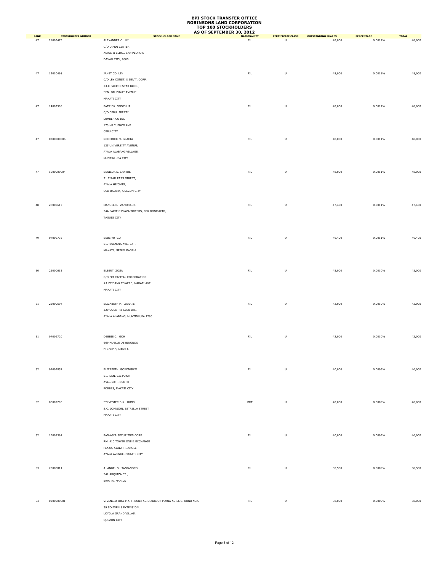|                   |                                       |                                                                | AS OF SEPTEMBER 30, 2012         |                                                                                                            |                                     |                       |                        |
|-------------------|---------------------------------------|----------------------------------------------------------------|----------------------------------|------------------------------------------------------------------------------------------------------------|-------------------------------------|-----------------------|------------------------|
| <b>RANK</b><br>47 | <b>STOCKHOLDER NUMBER</b><br>21003473 | <b>STOCKHOLDER NAME</b><br>ALEXANDER C. UY                     | <b>NATIONALITY</b><br><b>FIL</b> | <b>CERTIFICATE CLASS</b><br>$\overline{U}$                                                                 | <b>OUTSTANDING SHARES</b><br>48,000 | PERCENTAGE<br>0.0011% | <b>TOTAL</b><br>48,000 |
|                   |                                       | C/O DIMDI CENTER                                               |                                  |                                                                                                            |                                     |                       |                        |
|                   |                                       |                                                                |                                  |                                                                                                            |                                     |                       |                        |
|                   |                                       | ASAJE II BLDG., SAN PEDRO ST.                                  |                                  |                                                                                                            |                                     |                       |                        |
|                   |                                       | DAVAO CITY, 8000                                               |                                  |                                                                                                            |                                     |                       |                        |
|                   |                                       |                                                                |                                  |                                                                                                            |                                     |                       |                        |
| 47                | 12010498                              | JANET CO LEY                                                   | ${\sf FIL}$                      | U                                                                                                          | 48,000                              | 0.0011%               | 48,000                 |
|                   |                                       | C/O LEY CONST. & DEV'T. CORP.                                  |                                  |                                                                                                            |                                     |                       |                        |
|                   |                                       | 23-E PACIFIC STAR BLDG.,                                       |                                  |                                                                                                            |                                     |                       |                        |
|                   |                                       | SEN. GIL PUYAT AVENUE                                          |                                  |                                                                                                            |                                     |                       |                        |
|                   |                                       |                                                                |                                  |                                                                                                            |                                     |                       |                        |
|                   |                                       | MAKATI CITY                                                    |                                  |                                                                                                            |                                     |                       |                        |
| 47                | 14002598                              | PATRICK NGOCHUA                                                | ${\sf FIL}$                      | U                                                                                                          | 48,000                              | 0.0011%               | 48,000                 |
|                   |                                       | C/O CEBU LIBERTY                                               |                                  |                                                                                                            |                                     |                       |                        |
|                   |                                       | LUMBER CO INC                                                  |                                  |                                                                                                            |                                     |                       |                        |
|                   |                                       | 173 MJ CUENCO AVE                                              |                                  |                                                                                                            |                                     |                       |                        |
|                   |                                       | CEBU CITY                                                      |                                  |                                                                                                            |                                     |                       |                        |
|                   |                                       |                                                                |                                  |                                                                                                            |                                     |                       |                        |
| 47                | 0700000006                            | RODERICK M. GRACIA                                             | ${\sf FIL}$                      | $\mathsf{U}% _{T}=\mathsf{U}_{T}\!\left( a,b\right) ,\ \mathsf{U}_{T}=\mathsf{U}_{T}\!\left( a,b\right) ,$ | 48,000                              | 0.0011%               | 48,000                 |
|                   |                                       | 125 UNIVERSITY AVENUE,                                         |                                  |                                                                                                            |                                     |                       |                        |
|                   |                                       | AYALA ALABANG VILLAGE,                                         |                                  |                                                                                                            |                                     |                       |                        |
|                   |                                       | MUNTINLUPA CITY                                                |                                  |                                                                                                            |                                     |                       |                        |
|                   |                                       |                                                                |                                  |                                                                                                            |                                     |                       |                        |
|                   |                                       |                                                                |                                  |                                                                                                            |                                     |                       |                        |
| 47                | 1900000004                            | BENILDA S. SANTOS                                              | ${\sf FIL}$                      | $\sf U$                                                                                                    | 48,000                              | 0.0011%               | 48,000                 |
|                   |                                       | 21 TIRAD PASS STREET,                                          |                                  |                                                                                                            |                                     |                       |                        |
|                   |                                       | AYALA HEIGHTS,                                                 |                                  |                                                                                                            |                                     |                       |                        |
|                   |                                       | OLD BALARA, QUEZON CITY                                        |                                  |                                                                                                            |                                     |                       |                        |
|                   |                                       |                                                                |                                  |                                                                                                            |                                     |                       |                        |
| 48                | 26000617                              | MANUEL B. ZAMORA JR.                                           | ${\sf FIL}$                      | U                                                                                                          | 47,400                              | 0.0011%               | 47,400                 |
|                   |                                       |                                                                |                                  |                                                                                                            |                                     |                       |                        |
|                   |                                       | 34A PACIFIC PLAZA TOWERS, FOR BONIFACIO,                       |                                  |                                                                                                            |                                     |                       |                        |
|                   |                                       | TAGUIG CITY                                                    |                                  |                                                                                                            |                                     |                       |                        |
|                   |                                       |                                                                |                                  |                                                                                                            |                                     |                       |                        |
|                   |                                       |                                                                |                                  |                                                                                                            |                                     |                       |                        |
| 49                | 07009735                              | BEBE YU GO                                                     | FL                               | U                                                                                                          | 46,400                              | 0.0011%               | 46,400                 |
|                   |                                       |                                                                |                                  |                                                                                                            |                                     |                       |                        |
|                   |                                       | 517 BUENDIA AVE. EXT.                                          |                                  |                                                                                                            |                                     |                       |                        |
|                   |                                       | MAKATI, METRO MANILA                                           |                                  |                                                                                                            |                                     |                       |                        |
|                   |                                       |                                                                |                                  |                                                                                                            |                                     |                       |                        |
|                   |                                       |                                                                |                                  |                                                                                                            |                                     |                       |                        |
| 50                | 26000613                              | ELBERT ZOSA                                                    | ${\sf FIL}$                      | U                                                                                                          | 45,000                              | 0.0010%               | 45,000                 |
|                   |                                       | C/O PCI CAPITAL CORPORATION                                    |                                  |                                                                                                            |                                     |                       |                        |
|                   |                                       |                                                                |                                  |                                                                                                            |                                     |                       |                        |
|                   |                                       | #1 PCIBANK TOWERS, MAKATI AVE                                  |                                  |                                                                                                            |                                     |                       |                        |
|                   |                                       | MAKATI CITY                                                    |                                  |                                                                                                            |                                     |                       |                        |
|                   |                                       |                                                                |                                  |                                                                                                            |                                     |                       |                        |
| 51                | 26000604                              | ELIZABETH M. ZARATE                                            | ${\sf FIL}$                      | U                                                                                                          | 42,000                              | 0.0010%               | 42,000                 |
|                   |                                       | 320 COUNTRY CLUB DR.,                                          |                                  |                                                                                                            |                                     |                       |                        |
|                   |                                       |                                                                |                                  |                                                                                                            |                                     |                       |                        |
|                   |                                       | AYALA ALABANG, MUNTINLUPA 1780                                 |                                  |                                                                                                            |                                     |                       |                        |
|                   |                                       |                                                                |                                  |                                                                                                            |                                     |                       |                        |
|                   |                                       |                                                                |                                  |                                                                                                            |                                     |                       |                        |
| 51                | 07009720                              | DEBBIE C. GOH                                                  | ${\sf FIL}$                      | $\sf U$                                                                                                    | 42,000                              | 0.0010%               | 42,000                 |
|                   |                                       | 669 MUELLE DE BINONDO                                          |                                  |                                                                                                            |                                     |                       |                        |
|                   |                                       | BINONDO, MANILA                                                |                                  |                                                                                                            |                                     |                       |                        |
|                   |                                       |                                                                |                                  |                                                                                                            |                                     |                       |                        |
|                   |                                       |                                                                |                                  |                                                                                                            |                                     |                       |                        |
|                   |                                       |                                                                |                                  |                                                                                                            |                                     |                       |                        |
| 52                | 07009851                              | ELIZABETH GOKONGWEI                                            | ${\sf FIL}$                      | $\sf U$                                                                                                    | 40,000                              | 0.0009%               | 40,000                 |
|                   |                                       | 517 SEN. GIL PUYAT                                             |                                  |                                                                                                            |                                     |                       |                        |
|                   |                                       | AVE., EXT., NORTH                                              |                                  |                                                                                                            |                                     |                       |                        |
|                   |                                       | FORBES, MAKATI CITY                                            |                                  |                                                                                                            |                                     |                       |                        |
|                   |                                       |                                                                |                                  |                                                                                                            |                                     |                       |                        |
|                   |                                       |                                                                |                                  |                                                                                                            |                                     |                       |                        |
| 52                | 08007205                              | SYLVESTER S.K. HUNG                                            | <b>BRT</b>                       | $\sf U$                                                                                                    | 40,000                              | 0.0009%               | 40,000                 |
|                   |                                       | S.C. JOHNSON, ESTRELLA STREET                                  |                                  |                                                                                                            |                                     |                       |                        |
|                   |                                       | MAKATI CITY                                                    |                                  |                                                                                                            |                                     |                       |                        |
|                   |                                       |                                                                |                                  |                                                                                                            |                                     |                       |                        |
|                   |                                       |                                                                |                                  |                                                                                                            |                                     |                       |                        |
|                   |                                       |                                                                |                                  |                                                                                                            |                                     |                       |                        |
| 52                | 16007361                              | PAN-ASIA SECURITIES CORP.                                      | ${\sf FIL}$                      | U                                                                                                          | 40,000                              | 0.0009%               | 40,000                 |
|                   |                                       | RM. 910 TOWER ONE & EXCHANGE                                   |                                  |                                                                                                            |                                     |                       |                        |
|                   |                                       | PLAZA, AYALA TRIANGLE                                          |                                  |                                                                                                            |                                     |                       |                        |
|                   |                                       | AYALA AVENUE, MAKATI CITY                                      |                                  |                                                                                                            |                                     |                       |                        |
|                   |                                       |                                                                |                                  |                                                                                                            |                                     |                       |                        |
|                   |                                       |                                                                |                                  |                                                                                                            |                                     |                       |                        |
| 53                | 20008811                              | A. ANGEL S. TANJANGCO                                          | ${\sf FIL}$                      | U                                                                                                          | 38,500                              | 0.0009%               | 38,500                 |
|                   |                                       | 542 ARQUIZA ST.,                                               |                                  |                                                                                                            |                                     |                       |                        |
|                   |                                       | ERMITA, MANILA                                                 |                                  |                                                                                                            |                                     |                       |                        |
|                   |                                       |                                                                |                                  |                                                                                                            |                                     |                       |                        |
|                   |                                       |                                                                |                                  |                                                                                                            |                                     |                       |                        |
|                   | 0200000001                            | VIVENCIO JOSE MA. F. BONIFACIO AND/OR MARIA ADIEL S. BONIFACIO | ${\sf FIL}$                      | $\sf U$                                                                                                    |                                     | 0.0009%               |                        |
| 54                |                                       |                                                                |                                  |                                                                                                            | 38,000                              |                       | 38,000                 |
|                   |                                       | 39 SOLIVEN 3 EXTENSION,                                        |                                  |                                                                                                            |                                     |                       |                        |
|                   |                                       | LOYOLA GRAND VILLAS,                                           |                                  |                                                                                                            |                                     |                       |                        |
|                   |                                       | QUEZON CITY                                                    |                                  |                                                                                                            |                                     |                       |                        |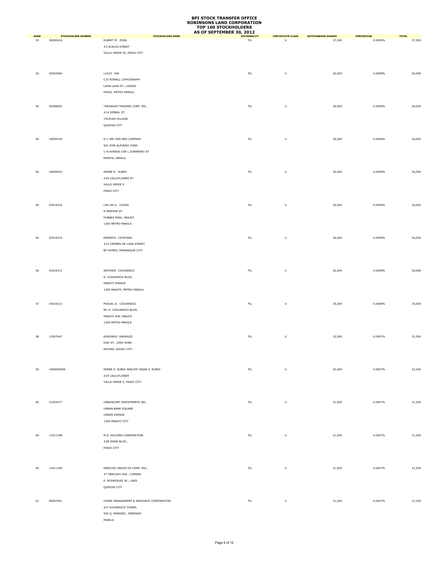|                   |                                       |                                           | AS OF SEPTEMBER 30, 2012 |                                                                                                            |                                     |                       |                        |
|-------------------|---------------------------------------|-------------------------------------------|--------------------------|------------------------------------------------------------------------------------------------------------|-------------------------------------|-----------------------|------------------------|
| <b>RANK</b><br>55 | <b>STOCKHOLDER NUMBER</b><br>26000616 | <b>STOCKHOLDER NAME</b><br>ELBERT M. ZOSA | <b>NATIONALITY</b><br>FL | <b>CERTIFICATE CLASS</b><br>U                                                                              | <b>OUTSTANDING SHARES</b><br>37,500 | PERCENTAGE<br>0.0009% | <b>TOTAL</b><br>37,500 |
|                   |                                       | #3 ACACIA STREET                          |                          |                                                                                                            |                                     |                       |                        |
|                   |                                       |                                           |                          |                                                                                                            |                                     |                       |                        |
|                   |                                       | VALLE VERDE III, PASIG CITY               |                          |                                                                                                            |                                     |                       |                        |
|                   |                                       |                                           |                          |                                                                                                            |                                     |                       |                        |
|                   |                                       |                                           |                          |                                                                                                            |                                     |                       |                        |
| 56                | 25003906                              | LUCIO YAN                                 | ${\sf FIL}$              | U                                                                                                          | 36,000                              | 0.0008%               | 36,000                 |
|                   |                                       | C/O ROWELL LITHOGRAPHY                    |                          |                                                                                                            |                                     |                       |                        |
|                   |                                       | LAON-LAAN ST., UGONG                      |                          |                                                                                                            |                                     |                       |                        |
|                   |                                       | PASIG, METRO MANILA                       |                          |                                                                                                            |                                     |                       |                        |
|                   |                                       |                                           |                          |                                                                                                            |                                     |                       |                        |
|                   |                                       |                                           |                          |                                                                                                            |                                     |                       |                        |
| 56                | 20008820                              | TAKASAGO TRADING CORP. INC.               | ${\sf FIL}$              | $\sf U$                                                                                                    | 36,000                              | 0.0008%               | 36,000                 |
|                   |                                       | $\#14$ SIMBAL ST.                         |                          |                                                                                                            |                                     |                       |                        |
|                   |                                       | TALAYAN VILLAGE                           |                          |                                                                                                            |                                     |                       |                        |
|                   |                                       | QUEZON CITY                               |                          |                                                                                                            |                                     |                       |                        |
|                   |                                       |                                           |                          |                                                                                                            |                                     |                       |                        |
| 56                | 18009105                              | R.J. DEL PAN AND COMPANY                  | ${\sf FIL}$              | $\sf U$                                                                                                    | 36,000                              | 0.0008%               | 36,000                 |
|                   |                                       | 501 DON ALFONSO COND                      |                          |                                                                                                            |                                     |                       |                        |
|                   |                                       | U N AVENUE COR L GUERRERO ST              |                          |                                                                                                            |                                     |                       |                        |
|                   |                                       |                                           |                          |                                                                                                            |                                     |                       |                        |
|                   |                                       | ERMITA, MANILA                            |                          |                                                                                                            |                                     |                       |                        |
|                   |                                       |                                           |                          |                                                                                                            |                                     |                       |                        |
| 56                | 18009053                              | RENEE D. RUBIO                            | ${\sf FIL}$              | $\sf U$                                                                                                    | 36,000                              | 0.0008%               | 36,000                 |
|                   |                                       | #29 CAULIFLOWER ST.                       |                          |                                                                                                            |                                     |                       |                        |
|                   |                                       | VALLE VERDE V                             |                          |                                                                                                            |                                     |                       |                        |
|                   |                                       | PASIG CITY                                |                          |                                                                                                            |                                     |                       |                        |
|                   |                                       |                                           |                          |                                                                                                            |                                     |                       |                        |
|                   |                                       |                                           |                          |                                                                                                            |                                     |                       |                        |
| 56                | 03018325                              | LIN LIN G. CHUNG                          | ${\sf FIL}$              | $\sf U$                                                                                                    | 36,000                              | 0.0008%               | 36,000                 |
|                   |                                       | 8 ANAHAW ST                               |                          |                                                                                                            |                                     |                       |                        |
|                   |                                       | FORBES PARK, MAKATI                       |                          |                                                                                                            |                                     |                       |                        |
|                   |                                       | 1200 METRO MANILA                         |                          |                                                                                                            |                                     |                       |                        |
|                   |                                       |                                           |                          |                                                                                                            |                                     |                       |                        |
| 56                | 03018315                              | ERNESTO CAYETANO                          | ${\sf FIL}$              | U                                                                                                          | 36,000                              | 0.0008%               | 36,000                 |
|                   |                                       | #12 CARMEN DE LUNA STREET                 |                          |                                                                                                            |                                     |                       |                        |
|                   |                                       |                                           |                          |                                                                                                            |                                     |                       |                        |
|                   |                                       | BF HOMES, PARANAQUE CITY                  |                          |                                                                                                            |                                     |                       |                        |
|                   |                                       |                                           |                          |                                                                                                            |                                     |                       |                        |
|                   |                                       |                                           |                          |                                                                                                            |                                     |                       |                        |
| 56                | 03018312                              | ANTONIO COJUANGCO                         | ${\sf FIL}$              | U                                                                                                          | 36,000                              | 0.0008%               | 36,000                 |
|                   |                                       | R. COJUANGCO BLDG.                        |                          |                                                                                                            |                                     |                       |                        |
|                   |                                       | MAKATI AVENUE                             |                          |                                                                                                            |                                     |                       |                        |
|                   |                                       | 1200 MAKATI, METRO MANILA                 |                          |                                                                                                            |                                     |                       |                        |
|                   |                                       |                                           |                          |                                                                                                            |                                     |                       |                        |
|                   |                                       |                                           |                          |                                                                                                            |                                     |                       |                        |
| 57                | 03018313                              | MIGUEL O. COJUANGCO                       | ${\sf FIL}$              | $\mathsf{U}% _{T}=\mathsf{U}_{T}\!\left( a,b\right) ,\ \mathsf{U}_{T}=\mathsf{U}_{T}\!\left( a,b\right) ,$ | 35,000                              | 0.0008%               | 35,000                 |
|                   |                                       | 8F, R. COJUANGCO BLDG.                    |                          |                                                                                                            |                                     |                       |                        |
|                   |                                       | MAKATI AVE, MAKATI                        |                          |                                                                                                            |                                     |                       |                        |
|                   |                                       | 1200 METRO MANILA                         |                          |                                                                                                            |                                     |                       |                        |
|                   |                                       |                                           |                          |                                                                                                            |                                     |                       |                        |
|                   |                                       |                                           |                          |                                                                                                            |                                     |                       |                        |
| 58                | 13007947                              | EDMUNDO MADRAZO                           | ${\sf FIL}$              | U                                                                                                          | 32,500                              | 0.0007%               | 32,500                 |
|                   |                                       | DAO ST., JUNA SUBD.                       |                          |                                                                                                            |                                     |                       |                        |
|                   |                                       | MATINA, DAVAO CITY                        |                          |                                                                                                            |                                     |                       |                        |
|                   |                                       |                                           |                          |                                                                                                            |                                     |                       |                        |
|                   |                                       |                                           |                          |                                                                                                            |                                     |                       |                        |
| 59                | 1800000006                            | RENEE D. RUBIO AND/OR CESAR A. RUBIO      | ${\sf FIL}$              | $\sf U$                                                                                                    | 32,400                              | 0.0007%               | 32,400                 |
|                   |                                       | #29 CAULIFLOWER                           |                          |                                                                                                            |                                     |                       |                        |
|                   |                                       | VALLE VERDE 5, PASIG CITY                 |                          |                                                                                                            |                                     |                       |                        |
|                   |                                       |                                           |                          |                                                                                                            |                                     |                       |                        |
|                   |                                       |                                           |                          |                                                                                                            |                                     |                       |                        |
|                   |                                       |                                           |                          |                                                                                                            |                                     |                       |                        |
| 60                | 21003477                              | URBANCORP INVESTMENTS INC.                | ${\sf FIL}$              | $\mathsf{U}% _{T}=\mathsf{U}_{T}\!\left( a,b\right) ,\ \mathsf{U}_{T}=\mathsf{U}_{T}\!\left( a,b\right) ,$ | 31,500                              | 0.0007%               | 31,500                 |
|                   |                                       | URBAN BANK SQUARE                         |                          |                                                                                                            |                                     |                       |                        |
|                   |                                       | URBAN AVENUE                              |                          |                                                                                                            |                                     |                       |                        |
|                   |                                       | 1200 MAKATI CITY                          |                          |                                                                                                            |                                     |                       |                        |
|                   |                                       |                                           |                          |                                                                                                            |                                     |                       |                        |
|                   |                                       | M.E. HOLDING CORPORATION                  |                          |                                                                                                            |                                     |                       |                        |
| 60                | 13011188                              |                                           | ${\sf FIL}$              | $\sf U$                                                                                                    | 31,500                              | 0.0007%               | 31,500                 |
|                   |                                       | #28 SHAW BLVD.,                           |                          |                                                                                                            |                                     |                       |                        |
|                   |                                       | PASIG CITY                                |                          |                                                                                                            |                                     |                       |                        |
|                   |                                       |                                           |                          |                                                                                                            |                                     |                       |                        |
|                   |                                       |                                           |                          |                                                                                                            |                                     |                       |                        |
| 60                | 13011189                              | MERCURY GROUP OF COMP. INC.,              | ${\sf FIL}$              | $\sf U$                                                                                                    | 31,500                              | 0.0007%               | 31,500                 |
|                   |                                       | #7 MERCURY AVE., CORNER                   |                          |                                                                                                            |                                     |                       |                        |
|                   |                                       | E. RODRIGUEZ JR., LIBIS                   |                          |                                                                                                            |                                     |                       |                        |
|                   |                                       |                                           |                          |                                                                                                            |                                     |                       |                        |
|                   |                                       | QUEZON CITY                               |                          |                                                                                                            |                                     |                       |                        |
|                   |                                       |                                           |                          |                                                                                                            |                                     |                       |                        |
| 61                | 08007041                              | HYDEE MANAGEMENT & RESOURCE CORPORATION   | ${\sf FIL}$              | $\sf U$                                                                                                    | 31,200                              | 0.0007%               | 31,200                 |
|                   |                                       | 4/F YUCHENGCO TOWER,                      |                          |                                                                                                            |                                     |                       |                        |
|                   |                                       | 500 Q. PAREDES, BINONDO                   |                          |                                                                                                            |                                     |                       |                        |
|                   |                                       | MANILA                                    |                          |                                                                                                            |                                     |                       |                        |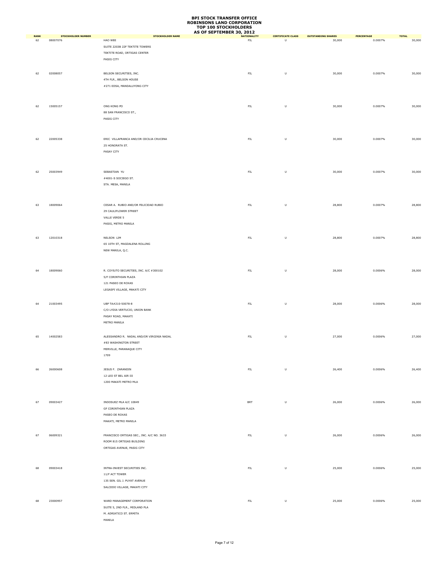|                   |                                       |                                           | AS OF SEPTEMBER 30, 2012         |                                                                                                            |                                     |                       |                        |
|-------------------|---------------------------------------|-------------------------------------------|----------------------------------|------------------------------------------------------------------------------------------------------------|-------------------------------------|-----------------------|------------------------|
| <b>RANK</b><br>62 | <b>STOCKHOLDER NUMBER</b><br>08007076 | <b>STOCKHOLDER NAME</b><br>HAO WEE        | <b>NATIONALITY</b><br><b>FIL</b> | <b>CERTIFICATE CLASS</b><br>U                                                                              | <b>OUTSTANDING SHARES</b><br>30,000 | PERCENTAGE<br>0.0007% | <b>TOTAL</b><br>30,000 |
|                   |                                       | SUITE 2203B 22F TEKTITE TOWERS            |                                  |                                                                                                            |                                     |                       |                        |
|                   |                                       |                                           |                                  |                                                                                                            |                                     |                       |                        |
|                   |                                       | TEKTITE ROAD, ORTIGAS CENTER              |                                  |                                                                                                            |                                     |                       |                        |
|                   |                                       | PASIG CITY                                |                                  |                                                                                                            |                                     |                       |                        |
|                   |                                       |                                           |                                  |                                                                                                            |                                     |                       |                        |
| 62                | 02008057                              | BELSON SECURITIES, INC.                   | ${\sf FIL}$                      | $\sf U$                                                                                                    | 30,000                              | 0.0007%               | 30,000                 |
|                   |                                       | 4TH FLR., BELSON HOUSE                    |                                  |                                                                                                            |                                     |                       |                        |
|                   |                                       | #271 EDSA, MANDALUYONG CITY               |                                  |                                                                                                            |                                     |                       |                        |
|                   |                                       |                                           |                                  |                                                                                                            |                                     |                       |                        |
|                   |                                       |                                           |                                  |                                                                                                            |                                     |                       |                        |
|                   |                                       |                                           |                                  |                                                                                                            |                                     |                       |                        |
| 62                | 15005157                              | ONG KONG PO                               | ${\sf FIL}$                      | $\sf U$                                                                                                    | 30,000                              | 0.0007%               | 30,000                 |
|                   |                                       | 88 SAN FRANCISCO ST.,                     |                                  |                                                                                                            |                                     |                       |                        |
|                   |                                       | PASIG CITY                                |                                  |                                                                                                            |                                     |                       |                        |
|                   |                                       |                                           |                                  |                                                                                                            |                                     |                       |                        |
|                   |                                       |                                           |                                  |                                                                                                            |                                     |                       |                        |
| 62                | 22005338                              | ERIC VILLAFRANCA AND/OR CECILIA CRUCENA   | ${\sf FIL}$                      | $\sf U$                                                                                                    | 30,000                              | 0.0007%               | 30,000                 |
|                   |                                       | 25 HONORATA ST.                           |                                  |                                                                                                            |                                     |                       |                        |
|                   |                                       | PASAY CITY                                |                                  |                                                                                                            |                                     |                       |                        |
|                   |                                       |                                           |                                  |                                                                                                            |                                     |                       |                        |
|                   |                                       |                                           |                                  |                                                                                                            |                                     |                       |                        |
|                   |                                       |                                           |                                  |                                                                                                            |                                     |                       |                        |
| 62                | 25003949                              | SEBASTIAN YU                              | ${\sf FIL}$                      | $\sf U$                                                                                                    | 30,000                              | 0.0007%               | 30,000                 |
|                   |                                       | #4001-S SOCIEGO ST.                       |                                  |                                                                                                            |                                     |                       |                        |
|                   |                                       | STA. MESA, MANILA                         |                                  |                                                                                                            |                                     |                       |                        |
|                   |                                       |                                           |                                  |                                                                                                            |                                     |                       |                        |
|                   |                                       |                                           |                                  |                                                                                                            |                                     |                       |                        |
|                   |                                       |                                           |                                  |                                                                                                            |                                     |                       |                        |
| 63                | 18009064                              | CESAR A. RUBIO AND/OR FELICIDAD RUBIO     | ${\sf FIL}$                      | $\sf U$                                                                                                    | 28,800                              | 0.0007%               | 28,800                 |
|                   |                                       | 29 CAULIFLOWER STREET                     |                                  |                                                                                                            |                                     |                       |                        |
|                   |                                       | VALLE VERDE 5                             |                                  |                                                                                                            |                                     |                       |                        |
|                   |                                       | PASIG, METRO MANILA                       |                                  |                                                                                                            |                                     |                       |                        |
|                   |                                       |                                           |                                  |                                                                                                            |                                     |                       |                        |
| 63                | 12010318                              | NELSON LIM                                | ${\sf FIL}$                      | $\sf U$                                                                                                    | 28,800                              | 0.0007%               | 28,800                 |
|                   |                                       | 65 10TH ST, MAGDALENA ROLLING             |                                  |                                                                                                            |                                     |                       |                        |
|                   |                                       | NEW MANILA, Q.C.                          |                                  |                                                                                                            |                                     |                       |                        |
|                   |                                       |                                           |                                  |                                                                                                            |                                     |                       |                        |
|                   |                                       |                                           |                                  |                                                                                                            |                                     |                       |                        |
|                   |                                       |                                           |                                  |                                                                                                            |                                     |                       |                        |
| 64                | 18009060                              | R. COYIUTO SECURITIES, INC. A/C #300102   | ${\sf FIL}$                      | $\sf U$                                                                                                    | 28,000                              | 0.0006%               | 28,000                 |
|                   |                                       | 5/F CORINTHIAN PLAZA                      |                                  |                                                                                                            |                                     |                       |                        |
|                   |                                       | 121 PASEO DE ROXAS                        |                                  |                                                                                                            |                                     |                       |                        |
|                   |                                       | LEGASPI VILLAGE, MAKATI CITY              |                                  |                                                                                                            |                                     |                       |                        |
|                   |                                       |                                           |                                  |                                                                                                            |                                     |                       |                        |
|                   |                                       |                                           |                                  |                                                                                                            |                                     |                       |                        |
| 64                | 21003495                              | UBP TA#210-50078-8                        | ${\sf FIL}$                      | $\mathsf{U}% _{T}=\mathsf{U}_{T}\!\left( a,b\right) ,\ \mathsf{U}_{T}=\mathsf{U}_{T}\!\left( a,b\right) ,$ | 28,000                              | 0.0006%               | 28,000                 |
|                   |                                       | C/O LYDIA VERTUCIO, UNION BANK            |                                  |                                                                                                            |                                     |                       |                        |
|                   |                                       | PASAY ROAD, MAKATI                        |                                  |                                                                                                            |                                     |                       |                        |
|                   |                                       | METRO MANILA                              |                                  |                                                                                                            |                                     |                       |                        |
|                   |                                       |                                           |                                  |                                                                                                            |                                     |                       |                        |
| 65                | 14002583                              | ALESSANDRO R. NADAL AND/OR VIRGINIA NADAL | ${\sf FIL}$                      | $\sf U$                                                                                                    | 27,000                              | 0.0006%               | 27,000                 |
|                   |                                       | #83 WASHINGTON STREET                     |                                  |                                                                                                            |                                     |                       |                        |
|                   |                                       | MERVILLE, PARANAQUE CITY                  |                                  |                                                                                                            |                                     |                       |                        |
|                   |                                       |                                           |                                  |                                                                                                            |                                     |                       |                        |
|                   |                                       | 1709                                      |                                  |                                                                                                            |                                     |                       |                        |
|                   |                                       |                                           |                                  |                                                                                                            |                                     |                       |                        |
| 66                | 26000608                              | JESUS F. ZARANDIN                         | ${\sf FIL}$                      | $\sf U$                                                                                                    | 26,400                              | 0.0006%               | 26,400                 |
|                   |                                       | 12 LEO ST BEL AIR III                     |                                  |                                                                                                            |                                     |                       |                        |
|                   |                                       | 1200 MAKATI METRO MLA                     |                                  |                                                                                                            |                                     |                       |                        |
|                   |                                       |                                           |                                  |                                                                                                            |                                     |                       |                        |
|                   |                                       |                                           |                                  |                                                                                                            |                                     |                       |                        |
|                   |                                       |                                           |                                  |                                                                                                            |                                     |                       |                        |
| 67                | 09003427                              | INDOSUEZ MLA A/C 10849                    | <b>BRT</b>                       | $\sf U$                                                                                                    | 26,000                              | 0.0006%               | 26,000                 |
|                   |                                       | GF CORINTHIAN PLAZA                       |                                  |                                                                                                            |                                     |                       |                        |
|                   |                                       | PASEO DE ROXAS                            |                                  |                                                                                                            |                                     |                       |                        |
|                   |                                       | MAKATI, METRO MANILA                      |                                  |                                                                                                            |                                     |                       |                        |
|                   |                                       |                                           |                                  |                                                                                                            |                                     |                       |                        |
| 67                | 06009321                              | FRANCISCO ORTIGAS SEC., INC. A/C NO. 3633 | ${\sf FIL}$                      | $\sf U$                                                                                                    | 26,000                              | 0.0006%               | 26,000                 |
|                   |                                       | ROOM 815 ORTIGAS BUILDING                 |                                  |                                                                                                            |                                     |                       |                        |
|                   |                                       | ORTIGAS AVENUE, PASIG CITY                |                                  |                                                                                                            |                                     |                       |                        |
|                   |                                       |                                           |                                  |                                                                                                            |                                     |                       |                        |
|                   |                                       |                                           |                                  |                                                                                                            |                                     |                       |                        |
|                   |                                       |                                           |                                  |                                                                                                            |                                     |                       |                        |
| 68                | 09003418                              | INTRA-INVEST SECURITIES INC.              | ${\sf FIL}$                      | $\sf U$                                                                                                    | 25,000                              | 0.0006%               | 25,000                 |
|                   |                                       | 11/F ACT TOWER                            |                                  |                                                                                                            |                                     |                       |                        |
|                   |                                       | 135 SEN. GIL J. PUYAT AVENUE              |                                  |                                                                                                            |                                     |                       |                        |
|                   |                                       | SALCEDO VILLAGE, MAKATI CITY              |                                  |                                                                                                            |                                     |                       |                        |
|                   |                                       |                                           |                                  |                                                                                                            |                                     |                       |                        |
|                   |                                       |                                           |                                  |                                                                                                            |                                     |                       |                        |
| 68                | 23000957                              | WARD MANAGEMENT CORPORATION               | ${\sf FIL}$                      | $\sf U$                                                                                                    | 25,000                              | 0.0006%               | 25,000                 |
|                   |                                       | SUITE 5, 2ND FLR., MIDLAND PLA            |                                  |                                                                                                            |                                     |                       |                        |
|                   |                                       | M. ADRIATICO ST. ERMITA                   |                                  |                                                                                                            |                                     |                       |                        |
|                   |                                       | MANILA                                    |                                  |                                                                                                            |                                     |                       |                        |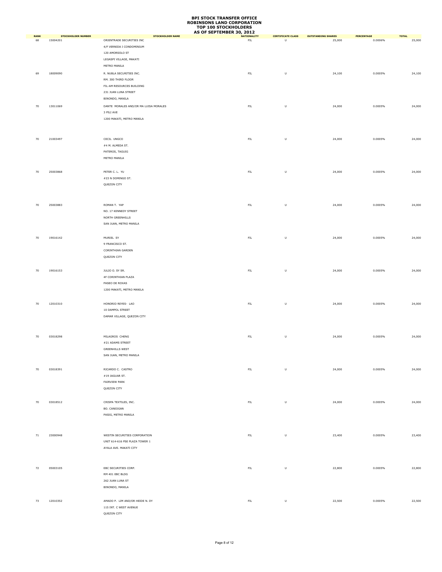|                   |                                       |                                                      | AS OF SEPTEMBER 30, 2012 |                                                                                                            |                                     |                       |                        |
|-------------------|---------------------------------------|------------------------------------------------------|--------------------------|------------------------------------------------------------------------------------------------------------|-------------------------------------|-----------------------|------------------------|
| <b>RANK</b><br>68 | <b>STOCKHOLDER NUMBER</b><br>15004201 | <b>STOCKHOLDER NAME</b><br>ORIENTRADE SECURITIES INC | <b>NATIONALITY</b><br>FL | <b>CERTIFICATE CLASS</b><br>$\sf U$                                                                        | <b>OUTSTANDING SHARES</b><br>25,000 | PERCENTAGE<br>0.0006% | <b>TOTAL</b><br>25,000 |
|                   |                                       | 4/F VERNIDA I CONDOMINIUM                            |                          |                                                                                                            |                                     |                       |                        |
|                   |                                       |                                                      |                          |                                                                                                            |                                     |                       |                        |
|                   |                                       | 120 AMORSOLO ST                                      |                          |                                                                                                            |                                     |                       |                        |
|                   |                                       | LEGASPI VILLAGE, MAKATI                              |                          |                                                                                                            |                                     |                       |                        |
|                   |                                       | METRO MANILA                                         |                          |                                                                                                            |                                     |                       |                        |
| 69                | 18009090                              | R. NUBLA SECURITIES INC.                             | ${\sf FIL}$              | U                                                                                                          | 24,100                              | 0.0005%               | 24,100                 |
|                   |                                       | RM. 300 THIRD FLOOR                                  |                          |                                                                                                            |                                     |                       |                        |
|                   |                                       |                                                      |                          |                                                                                                            |                                     |                       |                        |
|                   |                                       | FIL-AM RESOURCES BUILDING                            |                          |                                                                                                            |                                     |                       |                        |
|                   |                                       | 231 JUAN LUNA STREET                                 |                          |                                                                                                            |                                     |                       |                        |
|                   |                                       | BINONDO, MANILA                                      |                          |                                                                                                            |                                     |                       |                        |
| 70                | 13011069                              | DANTE MORALES AND/OR MA LUISA MORALES                | ${\sf FIL}$              | $\sf U$                                                                                                    | 24,000                              | 0.0005%               | 24,000                 |
|                   |                                       | 3 PILI AVE                                           |                          |                                                                                                            |                                     |                       |                        |
|                   |                                       | 1200 MAKATI, METRO MANILA                            |                          |                                                                                                            |                                     |                       |                        |
|                   |                                       |                                                      |                          |                                                                                                            |                                     |                       |                        |
|                   |                                       |                                                      |                          |                                                                                                            |                                     |                       |                        |
|                   |                                       |                                                      |                          |                                                                                                            |                                     |                       |                        |
| 70                | 21003497                              | CECIL UNGCO                                          | ${\sf FIL}$              | $\mathsf{U}% _{T}=\mathsf{U}_{T}\!\left( a,b\right) ,\ \mathsf{U}_{T}=\mathsf{U}_{T}\!\left( a,b\right) ,$ | 24,000                              | 0.0005%               | 24,000                 |
|                   |                                       | #4 M. ALMEDA ST.                                     |                          |                                                                                                            |                                     |                       |                        |
|                   |                                       | PATEROS, TAGUIG                                      |                          |                                                                                                            |                                     |                       |                        |
|                   |                                       | METRO MANILA                                         |                          |                                                                                                            |                                     |                       |                        |
|                   |                                       |                                                      |                          |                                                                                                            |                                     |                       |                        |
|                   |                                       |                                                      |                          |                                                                                                            |                                     |                       |                        |
| 70                | 25003868                              | PETER C. L. YU                                       | ${\sf FIL}$              | $\sf U$                                                                                                    | 24,000                              | 0.0005%               | 24,000                 |
|                   |                                       | #23 N DOMINGO ST.                                    |                          |                                                                                                            |                                     |                       |                        |
|                   |                                       | QUEZON CITY                                          |                          |                                                                                                            |                                     |                       |                        |
|                   |                                       |                                                      |                          |                                                                                                            |                                     |                       |                        |
|                   |                                       |                                                      |                          |                                                                                                            |                                     |                       |                        |
|                   |                                       |                                                      |                          |                                                                                                            |                                     |                       |                        |
| 70                | 25003883                              | ROMAN T. YAP                                         | ${\sf FIL}$              | U                                                                                                          | 24,000                              | 0.0005%               | 24,000                 |
|                   |                                       | NO. 17 KENNEDY STREET                                |                          |                                                                                                            |                                     |                       |                        |
|                   |                                       | NORTH GREENHILLS                                     |                          |                                                                                                            |                                     |                       |                        |
|                   |                                       | SAN JUAN, METRO MANILA                               |                          |                                                                                                            |                                     |                       |                        |
|                   |                                       |                                                      |                          |                                                                                                            |                                     |                       |                        |
|                   |                                       |                                                      |                          |                                                                                                            |                                     |                       |                        |
| 70                | 19016142                              | MURIEL SY                                            | ${\sf FIL}$              | U                                                                                                          | 24,000                              | 0.0005%               | 24,000                 |
|                   |                                       | 9 FRANCISCO ST.                                      |                          |                                                                                                            |                                     |                       |                        |
|                   |                                       | CORINTHIAN GARDEN                                    |                          |                                                                                                            |                                     |                       |                        |
|                   |                                       | QUEZON CITY                                          |                          |                                                                                                            |                                     |                       |                        |
|                   |                                       |                                                      |                          |                                                                                                            |                                     |                       |                        |
|                   |                                       |                                                      |                          |                                                                                                            |                                     |                       |                        |
| 70                | 19016153                              | JULIO O. SY SR.                                      | ${\sf FIL}$              | U                                                                                                          | 24,000                              | 0.0005%               | 24,000                 |
|                   |                                       | 4F CORINTHIAN PLAZA                                  |                          |                                                                                                            |                                     |                       |                        |
|                   |                                       | PASEO DE ROXAS                                       |                          |                                                                                                            |                                     |                       |                        |
|                   |                                       | 1200 MAKATI, METRO MANILA                            |                          |                                                                                                            |                                     |                       |                        |
|                   |                                       |                                                      |                          |                                                                                                            |                                     |                       |                        |
|                   |                                       |                                                      |                          |                                                                                                            |                                     |                       |                        |
| 70                | 12010310                              | HONORIO REYES- LAO                                   | ${\sf FIL}$              | U                                                                                                          | 24,000                              | 0.0005%               | 24,000                 |
|                   |                                       | 10 DAMPOL STREET                                     |                          |                                                                                                            |                                     |                       |                        |
|                   |                                       | DAMAR VILLAGE, QUEZON CITY                           |                          |                                                                                                            |                                     |                       |                        |
|                   |                                       |                                                      |                          |                                                                                                            |                                     |                       |                        |
|                   |                                       |                                                      |                          |                                                                                                            |                                     |                       |                        |
|                   |                                       |                                                      |                          |                                                                                                            |                                     |                       |                        |
| 70                | 03018298                              | MILAGROS CHENG                                       | ${\sf FIL}$              | $\sf U$                                                                                                    | 24,000                              | 0.0005%               | 24,000                 |
|                   |                                       | #21 ADAMS STREET                                     |                          |                                                                                                            |                                     |                       |                        |
|                   |                                       | <b>GREENHILLS WEST</b>                               |                          |                                                                                                            |                                     |                       |                        |
|                   |                                       | SAN JUAN, METRO MANILA                               |                          |                                                                                                            |                                     |                       |                        |
|                   |                                       |                                                      |                          |                                                                                                            |                                     |                       |                        |
|                   |                                       |                                                      |                          |                                                                                                            |                                     |                       |                        |
| 70                | 03018391                              | RICARDO C. CASTRO                                    | ${\sf FIL}$              | $\sf U$                                                                                                    | 24,000                              | 0.0005%               | 24,000                 |
|                   |                                       | #19 JAGUAR ST.                                       |                          |                                                                                                            |                                     |                       |                        |
|                   |                                       | FAIRVIEW PARK                                        |                          |                                                                                                            |                                     |                       |                        |
|                   |                                       | QUEZON CITY                                          |                          |                                                                                                            |                                     |                       |                        |
|                   |                                       |                                                      |                          |                                                                                                            |                                     |                       |                        |
| 70                | 03018512                              | CRISPA TEXTILES, INC.                                | ${\sf FIL}$              | $\sf U$                                                                                                    | 24,000                              | 0.0005%               | 24,000                 |
|                   |                                       | BO. CANIOGAN                                         |                          |                                                                                                            |                                     |                       |                        |
|                   |                                       |                                                      |                          |                                                                                                            |                                     |                       |                        |
|                   |                                       | PASIG, METRO MANILA                                  |                          |                                                                                                            |                                     |                       |                        |
|                   |                                       |                                                      |                          |                                                                                                            |                                     |                       |                        |
|                   |                                       |                                                      |                          |                                                                                                            |                                     |                       |                        |
| 71                | 23000948                              | WESTIN SECURITIES CORPORATION                        | ${\sf FIL}$              | $\sf U$                                                                                                    | 23,400                              | 0.0005%               | 23,400                 |
|                   |                                       | UNIT 614-616 PSE PLAZA TOWER 1                       |                          |                                                                                                            |                                     |                       |                        |
|                   |                                       |                                                      |                          |                                                                                                            |                                     |                       |                        |
|                   |                                       | AYALA AVE. MAKATI CITY                               |                          |                                                                                                            |                                     |                       |                        |
|                   |                                       |                                                      |                          |                                                                                                            |                                     |                       |                        |
|                   |                                       |                                                      |                          |                                                                                                            |                                     |                       |                        |
| 72                | 05003105                              | EBC SECURITIES CORP.                                 | ${\sf FIL}$              | $\sf U$                                                                                                    | 22,800                              | 0.0005%               | 22,800                 |
|                   |                                       | RM 401 EBC BLDG                                      |                          |                                                                                                            |                                     |                       |                        |
|                   |                                       | 262 JUAN LUNA ST                                     |                          |                                                                                                            |                                     |                       |                        |
|                   |                                       |                                                      |                          |                                                                                                            |                                     |                       |                        |
|                   |                                       | BINONDO, MANILA                                      |                          |                                                                                                            |                                     |                       |                        |
|                   |                                       |                                                      |                          |                                                                                                            |                                     |                       |                        |
| 73                | 12010352                              | AMADO P. LIM AND/OR HEIDE N. DY                      | ${\sf FIL}$              | $\sf U$                                                                                                    | 22,500                              | 0.0005%               | 22,500                 |
|                   |                                       | 115 INT. C WEST AVENUE                               |                          |                                                                                                            |                                     |                       |                        |
|                   |                                       | QUEZON CITY                                          |                          |                                                                                                            |                                     |                       |                        |
|                   |                                       |                                                      |                          |                                                                                                            |                                     |                       |                        |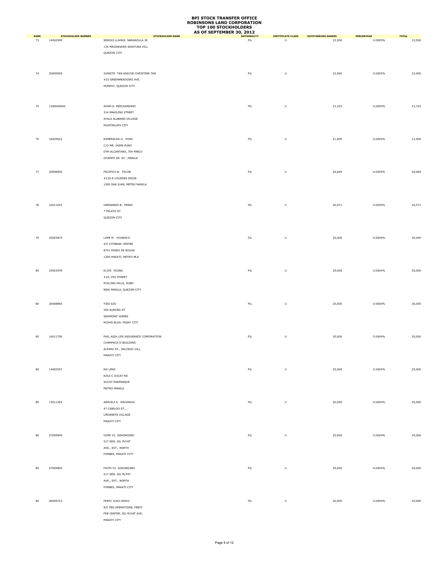|                   |                                       |                                                         | AS OF SEPTEMBER 30, 2012 |                                                                                                            |                                     |                       |                        |
|-------------------|---------------------------------------|---------------------------------------------------------|--------------------------|------------------------------------------------------------------------------------------------------------|-------------------------------------|-----------------------|------------------------|
| <b>RANK</b><br>73 | <b>STOCKHOLDER NUMBER</b><br>14002599 | <b>STOCKHOLDER NAME</b><br>SERGIO LLAMAS NARANJILLA JR. | <b>NATIONALITY</b><br>FL | <b>CERTIFICATE CLASS</b><br>U                                                                              | <b>OUTSTANDING SHARES</b><br>22,500 | PERCENTAGE<br>0.0005% | <b>TOTAL</b><br>22,500 |
|                   |                                       | 135 MAGINHAWA SIKATUNA VILL                             |                          |                                                                                                            |                                     |                       |                        |
|                   |                                       | QUEZON CITY                                             |                          |                                                                                                            |                                     |                       |                        |
|                   |                                       |                                                         |                          |                                                                                                            |                                     |                       |                        |
|                   |                                       |                                                         |                          |                                                                                                            |                                     |                       |                        |
|                   | 20009009                              | JUANITO TAN AND/OR CHRISTINE TAN                        |                          |                                                                                                            | 22,000                              | 0.0005%               | 22,000                 |
| 74                |                                       | #23 GREENMEADOWS AVE.                                   | ${\sf FIL}$              | U                                                                                                          |                                     |                       |                        |
|                   |                                       | MURPHY, QUEZON CITY                                     |                          |                                                                                                            |                                     |                       |                        |
|                   |                                       |                                                         |                          |                                                                                                            |                                     |                       |                        |
|                   |                                       |                                                         |                          |                                                                                                            |                                     |                       |                        |
|                   |                                       |                                                         |                          |                                                                                                            |                                     |                       |                        |
| 75                | 1300000002                            | SHAM H. MIRCHANDANI                                     | ${\sf FIL}$              | $\sf U$                                                                                                    | 21,325                              | 0.0005%               | 21,325                 |
|                   |                                       | 314 MAKILING STREET                                     |                          |                                                                                                            |                                     |                       |                        |
|                   |                                       | AYALA ALABANG VILLAGE<br>MUNTINLUPA CITY                |                          |                                                                                                            |                                     |                       |                        |
|                   |                                       |                                                         |                          |                                                                                                            |                                     |                       |                        |
|                   |                                       |                                                         |                          |                                                                                                            |                                     |                       |                        |
| 76                | 16029622                              | ESMERALDA G. PUNO                                       | ${\sf FIL}$              | $\sf U$                                                                                                    | 21,000                              | 0.0005%               | 21,000                 |
|                   |                                       | C/O MR. JAIME PUNO                                      |                          |                                                                                                            |                                     |                       |                        |
|                   |                                       | DYR-ALCANTARA, 704 PABLO                                |                          |                                                                                                            |                                     |                       |                        |
|                   |                                       | OCAMPO SR. ST., MANILA                                  |                          |                                                                                                            |                                     |                       |                        |
|                   |                                       |                                                         |                          |                                                                                                            |                                     |                       |                        |
| 77                | 20008840                              | PACIFICO B. TACUB                                       | ${\sf FIL}$              | $\sf U$                                                                                                    | 20,669                              | 0.0005%               | 20,669                 |
|                   |                                       | #135-R LOURDES DRIVE                                    |                          |                                                                                                            |                                     |                       |                        |
|                   |                                       | 1500 SAN JUAN, METRO MANILA                             |                          |                                                                                                            |                                     |                       |                        |
|                   |                                       |                                                         |                          |                                                                                                            |                                     |                       |                        |
|                   |                                       |                                                         |                          |                                                                                                            |                                     |                       |                        |
| 78                | 16011655                              | HERNANDO B. PEREZ                                       | ${\sf FIL}$              | $\sf U$                                                                                                    | 20,571                              | 0.0005%               | 20,571                 |
|                   |                                       | 7 PELAYO ST                                             |                          |                                                                                                            |                                     |                       |                        |
|                   |                                       | QUEZON CITY                                             |                          |                                                                                                            |                                     |                       |                        |
|                   |                                       |                                                         |                          |                                                                                                            |                                     |                       |                        |
|                   |                                       |                                                         |                          |                                                                                                            |                                     |                       |                        |
| 79                | 25003875                              | LOPE M. YUVIENCO                                        | ${\sf FIL}$              | U                                                                                                          | 20,400                              | 0.0004%               | 20,400                 |
|                   |                                       | 4/F CITIBANK CENTRE                                     |                          |                                                                                                            |                                     |                       |                        |
|                   |                                       | 8741 PASEO DE ROXAS                                     |                          |                                                                                                            |                                     |                       |                        |
|                   |                                       | 1200 MAKATI, METRO MLA                                  |                          |                                                                                                            |                                     |                       |                        |
|                   |                                       |                                                         |                          |                                                                                                            |                                     |                       |                        |
|                   |                                       |                                                         |                          |                                                                                                            |                                     |                       |                        |
| 80                | 25003939                              | ELVIS YOUNG                                             | ${\sf FIL}$              | U                                                                                                          | 20,000                              | 0.0004%               | 20,000                 |
|                   |                                       | $\#18,$ 9TH STREET                                      |                          |                                                                                                            |                                     |                       |                        |
|                   |                                       | ROLLING HILLS, SUBD.                                    |                          |                                                                                                            |                                     |                       |                        |
|                   |                                       | NEW MANILA, QUEZON CITY                                 |                          |                                                                                                            |                                     |                       |                        |
|                   |                                       |                                                         |                          |                                                                                                            |                                     |                       |                        |
| 80                | 20008883                              | TSAI SZU                                                | ${\sf FIL}$              | $\mathsf{U}% _{T}=\mathsf{U}_{T}\!\left( a,b\right) ,\ \mathsf{U}_{T}=\mathsf{U}_{T}\!\left( a,b\right) ,$ | 20,000                              | 0.0004%               | 20,000                 |
|                   |                                       | 204 AURORA ST                                           |                          |                                                                                                            |                                     |                       |                        |
|                   |                                       | SEAFRONT HOMES                                          |                          |                                                                                                            |                                     |                       |                        |
|                   |                                       | ROXAS BLVD, PASAY CITY                                  |                          |                                                                                                            |                                     |                       |                        |
|                   |                                       |                                                         |                          |                                                                                                            |                                     |                       |                        |
| 80                | 16011750                              | PHIL ASIA LIFE ASSURANCE CORPORATION                    | ${\sf FIL}$              | U                                                                                                          | 20,000                              | 0.0004%               | 20,000                 |
|                   |                                       | CHAMPACA II BUILDING                                    |                          |                                                                                                            |                                     |                       |                        |
|                   |                                       | ALFARO ST., SALCEDO VILL.                               |                          |                                                                                                            |                                     |                       |                        |
|                   |                                       | MAKATI CITY                                             |                          |                                                                                                            |                                     |                       |                        |
|                   |                                       |                                                         |                          |                                                                                                            |                                     |                       |                        |
| 80                | 14002597                              | NG LENG                                                 | ${\sf FIL}$              | $\sf U$                                                                                                    | 20,000                              | 0.0004%               | 20,000                 |
|                   |                                       | 8252-C SUCAT RD                                         |                          |                                                                                                            |                                     |                       |                        |
|                   |                                       | SUCAT PARANAQUE                                         |                          |                                                                                                            |                                     |                       |                        |
|                   |                                       | METRO MANILA                                            |                          |                                                                                                            |                                     |                       |                        |
|                   |                                       |                                                         |                          |                                                                                                            |                                     |                       |                        |
| 80                | 13011265                              | ARACELI A. MACARAIG                                     | ${\sf FIL}$              | $\sf U$                                                                                                    | 20,000                              | 0.0004%               | 20,000                 |
|                   |                                       | 47 CABILDO ST.,                                         |                          |                                                                                                            |                                     |                       |                        |
|                   |                                       | URDANETA VILLAGE                                        |                          |                                                                                                            |                                     |                       |                        |
|                   |                                       | MAKATI CITY                                             |                          |                                                                                                            |                                     |                       |                        |
|                   |                                       |                                                         |                          |                                                                                                            |                                     |                       |                        |
|                   |                                       |                                                         |                          |                                                                                                            |                                     |                       |                        |
| 80                | 07009849                              | HOPE YU GOKONGWEI                                       | ${\sf FIL}$              | $\sf U$                                                                                                    | 20,000                              | 0.0004%               | 20,000                 |
|                   |                                       | 517 SEN. GIL PUYAT                                      |                          |                                                                                                            |                                     |                       |                        |
|                   |                                       | AVE., EXT., NORTH                                       |                          |                                                                                                            |                                     |                       |                        |
|                   |                                       | FORBES, MAKATI CITY                                     |                          |                                                                                                            |                                     |                       |                        |
|                   |                                       |                                                         |                          |                                                                                                            |                                     |                       |                        |
| 80                | 07009850                              | FAITH YU GOKONGWEI                                      | ${\sf FIL}$              | $\sf U$                                                                                                    | 20,000                              | 0.0004%               | 20,000                 |
|                   |                                       | 517 SEN. GIL PUYAT                                      |                          |                                                                                                            |                                     |                       |                        |
|                   |                                       | AVE., EXT., NORTH                                       |                          |                                                                                                            |                                     |                       |                        |
|                   |                                       | FORBES, MAKATI CITY                                     |                          |                                                                                                            |                                     |                       |                        |
|                   |                                       |                                                         |                          |                                                                                                            |                                     |                       |                        |
| 80                | 06009153                              | FEBTC #202-00043                                        | ${\sf FIL}$              | $\sf U$                                                                                                    | 20,000                              | 0.0004%               | 20,000                 |
|                   |                                       | 8/F TBG OPERATIONS, FEBTC                               |                          |                                                                                                            |                                     |                       |                        |
|                   |                                       | FEB CENTER, GIL PUYAT AVE.                              |                          |                                                                                                            |                                     |                       |                        |
|                   |                                       | MAKATI CITY                                             |                          |                                                                                                            |                                     |                       |                        |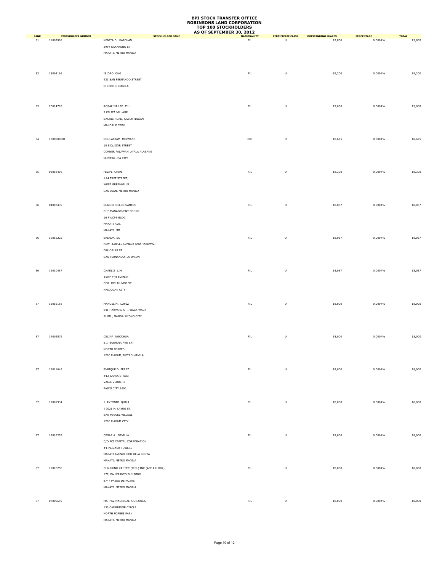|                   |                                       |                                              | AS OF SEPTEMBER 30, 2012           |                                                                                                            |                                     |                       |                        |
|-------------------|---------------------------------------|----------------------------------------------|------------------------------------|------------------------------------------------------------------------------------------------------------|-------------------------------------|-----------------------|------------------------|
| <b>RANK</b><br>81 | <b>STOCKHOLDER NUMBER</b><br>11002998 | <b>STOCKHOLDER NAME</b><br>NENITA D. KAPCHAN | <b>NATIONALITY</b><br>FL           | <b>CERTIFICATE CLASS</b><br>$\overline{U}$                                                                 | <b>OUTSTANDING SHARES</b><br>19,800 | PERCENTAGE<br>0.0004% | <b>TOTAL</b><br>19,800 |
|                   |                                       | 2994 KAKARONG ST.                            |                                    |                                                                                                            |                                     |                       |                        |
|                   |                                       | MAKATI, METRO MANILA                         |                                    |                                                                                                            |                                     |                       |                        |
|                   |                                       |                                              |                                    |                                                                                                            |                                     |                       |                        |
|                   |                                       |                                              |                                    |                                                                                                            |                                     |                       |                        |
|                   |                                       |                                              |                                    |                                                                                                            |                                     |                       |                        |
| 82                | 15004196                              | ISIDRO ONG                                   | ${\sf FIL}$                        | $\sf U$                                                                                                    | 19,200                              | 0.0004%               | 19,200                 |
|                   |                                       | 433 SAN FERNANDO STREET<br>BINONDO, MANILA   |                                    |                                                                                                            |                                     |                       |                        |
|                   |                                       |                                              |                                    |                                                                                                            |                                     |                       |                        |
|                   |                                       |                                              |                                    |                                                                                                            |                                     |                       |                        |
|                   |                                       |                                              |                                    |                                                                                                            |                                     |                       |                        |
| 83                | 20014705                              | ROSALINA LEE TIU                             | ${\sf FIL}$                        | $\sf U$                                                                                                    | 19,000                              | 0.0004%               | 19,000                 |
|                   |                                       | 7 FELIZA VILLAGE                             |                                    |                                                                                                            |                                     |                       |                        |
|                   |                                       | SACRIS ROAD, CASUNTINGAN                     |                                    |                                                                                                            |                                     |                       |                        |
|                   |                                       | MANDAUE CEBU                                 |                                    |                                                                                                            |                                     |                       |                        |
|                   |                                       |                                              |                                    |                                                                                                            |                                     |                       |                        |
| 84                | 1300000001                            | DOULATRAM MELWANI                            | $\ensuremath{\mathsf{IND}}\xspace$ | $\sf U$                                                                                                    | 18,675                              | 0.0004%               | 18,675                 |
|                   |                                       | 10 SIQUIJOR STREET                           |                                    |                                                                                                            |                                     |                       |                        |
|                   |                                       | CORNER PALAWAN, AYALA ALABANG                |                                    |                                                                                                            |                                     |                       |                        |
|                   |                                       | MUNTINLUPA CITY                              |                                    |                                                                                                            |                                     |                       |                        |
|                   |                                       |                                              |                                    |                                                                                                            |                                     |                       |                        |
| 85                | 03018408                              | FELIPE CHAN                                  | ${\sf FIL}$                        | $\sf U$                                                                                                    | 18,300                              | 0.0004%               | 18,300                 |
|                   |                                       | #24 TAFT STREET,                             |                                    |                                                                                                            |                                     |                       |                        |
|                   |                                       | WEST GREENHILLS                              |                                    |                                                                                                            |                                     |                       |                        |
|                   |                                       | SAN JUAN, METRO MANILA                       |                                    |                                                                                                            |                                     |                       |                        |
|                   |                                       |                                              |                                    |                                                                                                            |                                     |                       |                        |
| 86                | 04007439                              | ELADIO DELOS SANTOS                          | ${\sf FIL}$                        | $\sf U$                                                                                                    | 18,057                              | 0.0004%               | 18,057                 |
|                   |                                       | CIIF MANAGEMENT CO INC.                      |                                    |                                                                                                            |                                     |                       |                        |
|                   |                                       | 16 F UCPB BLDG.                              |                                    |                                                                                                            |                                     |                       |                        |
|                   |                                       | MAKATI AVE.                                  |                                    |                                                                                                            |                                     |                       |                        |
|                   |                                       | MAKATI, MM                                   |                                    |                                                                                                            |                                     |                       |                        |
|                   |                                       |                                              |                                    |                                                                                                            |                                     |                       |                        |
| 86                | 19016225                              | BRENDA SO                                    | ${\sf FIL}$                        | U                                                                                                          | 18,057                              | 0.0004%               | 18,057                 |
|                   |                                       | NEW PEOPLES LUMBER AND HARDWAR               |                                    |                                                                                                            |                                     |                       |                        |
|                   |                                       | 008 OSIAS ST                                 |                                    |                                                                                                            |                                     |                       |                        |
|                   |                                       | SAN FERNANDO, LA UNION                       |                                    |                                                                                                            |                                     |                       |                        |
|                   |                                       |                                              |                                    |                                                                                                            |                                     |                       |                        |
| 86                | 12010487                              | CHARLIE LIM                                  | ${\sf FIL}$                        | U                                                                                                          | 18,057                              | 0.0004%               | 18,057                 |
|                   |                                       | #207 7TH AVENUE                              |                                    |                                                                                                            |                                     |                       |                        |
|                   |                                       | COR. DEL MUNDO ST.                           |                                    |                                                                                                            |                                     |                       |                        |
|                   |                                       | KALOOCAN CITY                                |                                    |                                                                                                            |                                     |                       |                        |
|                   |                                       |                                              |                                    |                                                                                                            |                                     |                       |                        |
| 87                | 12016168                              | MANUEL M. LOPEZ                              | ${\sf FIL}$                        | $\mathsf{U}% _{T}=\mathsf{U}_{T}\!\left( a,b\right) ,\ \mathsf{U}_{T}=\mathsf{U}_{T}\!\left( a,b\right) ,$ | 18,000                              | 0.0004%               | 18,000                 |
|                   |                                       | 841 HARVARD ST., WACK WACK                   |                                    |                                                                                                            |                                     |                       |                        |
|                   |                                       | SUBD., MANDALUYONG CITY                      |                                    |                                                                                                            |                                     |                       |                        |
|                   |                                       |                                              |                                    |                                                                                                            |                                     |                       |                        |
|                   |                                       |                                              |                                    |                                                                                                            |                                     |                       |                        |
| 87                | 14002576                              | CELINA NGOCHUA                               | ${\sf FIL}$                        | $\sf U$                                                                                                    | 18,000                              | 0.0004%               | 18,000                 |
|                   |                                       | 517 BUENDIA AVE EXT                          |                                    |                                                                                                            |                                     |                       |                        |
|                   |                                       | NORTH FORBES                                 |                                    |                                                                                                            |                                     |                       |                        |
|                   |                                       | 1200 MAKATI, METRO MANILA                    |                                    |                                                                                                            |                                     |                       |                        |
|                   |                                       |                                              |                                    |                                                                                                            |                                     |                       |                        |
|                   | 16011649                              |                                              |                                    |                                                                                                            |                                     |                       |                        |
| 87                |                                       | ENRIQUE D. PEREZ                             | ${\sf FIL}$                        | $\sf U$                                                                                                    | 18,000                              | 0.0004%               | 18,000                 |
|                   |                                       | #12 CAMIA STREET                             |                                    |                                                                                                            |                                     |                       |                        |
|                   |                                       | VALLE VERDE II                               |                                    |                                                                                                            |                                     |                       |                        |
|                   |                                       | PASIG CITY 1600                              |                                    |                                                                                                            |                                     |                       |                        |
|                   |                                       |                                              |                                    |                                                                                                            |                                     |                       |                        |
| 87                | 17001934                              | J. ANTONIO QUILA                             | ${\sf FIL}$                        | $\sf U$                                                                                                    | 18,000                              | 0.0004%               | 18,000                 |
|                   |                                       | #2021 M. LAYUG ST.                           |                                    |                                                                                                            |                                     |                       |                        |
|                   |                                       | SAN MIGUEL VILLAGE                           |                                    |                                                                                                            |                                     |                       |                        |
|                   |                                       | 1200 MAKATI CITY                             |                                    |                                                                                                            |                                     |                       |                        |
|                   |                                       |                                              |                                    |                                                                                                            |                                     |                       |                        |
| 87                | 19016255                              | CESAR A. SEVILLA                             | ${\sf FIL}$                        | $\sf U$                                                                                                    | 18,000                              | 0.0004%               | 18,000                 |
|                   |                                       | C/O PCI CAPITAL CORPORATION                  |                                    |                                                                                                            |                                     |                       |                        |
|                   |                                       | #1 PCIBANK TOWERS                            |                                    |                                                                                                            |                                     |                       |                        |
|                   |                                       | MAKATI AVENUE COR DELA COSTA                 |                                    |                                                                                                            |                                     |                       |                        |
|                   |                                       | MAKATI, METRO MANILA                         |                                    |                                                                                                            |                                     |                       |                        |
| 87                | 19016258                              | SUN HUNG KAI SEC (PHIL) INC (A/C #RU002)     | ${\sf FIL}$                        | $\sf U$                                                                                                    | 18,000                              | 0.0004%               | 18,000                 |
|                   |                                       | 17F, BA LEPANTO BUILDING                     |                                    |                                                                                                            |                                     |                       |                        |
|                   |                                       | 8747 PASEO DE ROXAS                          |                                    |                                                                                                            |                                     |                       |                        |
|                   |                                       | MAKATI, METRO MANILA                         |                                    |                                                                                                            |                                     |                       |                        |
|                   |                                       |                                              |                                    |                                                                                                            |                                     |                       |                        |
|                   |                                       |                                              |                                    |                                                                                                            |                                     |                       |                        |
| 87                | 07009692                              | MA. PAZ MADRIGAL GONZALES                    | ${\sf FIL}$                        | $\sf U$                                                                                                    | 18,000                              | 0.0004%               | 18,000                 |
|                   |                                       | 133 CAMBRIDGE CIRCLE                         |                                    |                                                                                                            |                                     |                       |                        |
|                   |                                       | NORTH FORBES PARK                            |                                    |                                                                                                            |                                     |                       |                        |
|                   |                                       | MAKATI, METRO MANILA                         |                                    |                                                                                                            |                                     |                       |                        |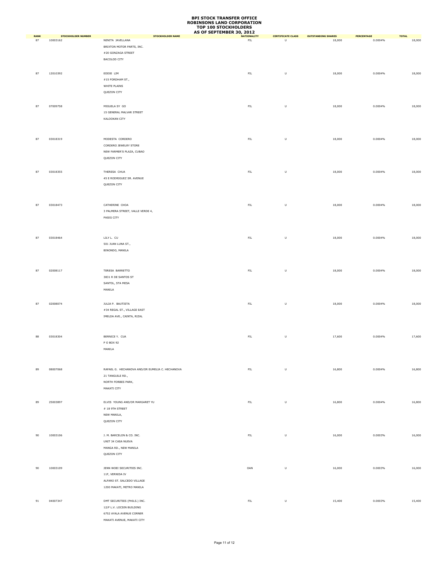|                   |                                       |                                                                                                                     | AS OF SEPTEMBER 30, 2012 |                                                                                                            |                                     |                       |                        |
|-------------------|---------------------------------------|---------------------------------------------------------------------------------------------------------------------|--------------------------|------------------------------------------------------------------------------------------------------------|-------------------------------------|-----------------------|------------------------|
| <b>RANK</b><br>87 | <b>STOCKHOLDER NUMBER</b><br>10003162 | <b>STOCKHOLDER NAME</b><br>NENITA JAVELLANA<br>BRIXTON MOTOR PARTS, INC.<br>#20 GONZAGA STREET<br>BACOLOD CITY      | <b>NATIONALITY</b><br>FL | <b>CERTIFICATE CLASS</b><br>$\sf U$                                                                        | <b>OUTSTANDING SHARES</b><br>18,000 | PERCENTAGE<br>0.0004% | <b>TOTAL</b><br>18,000 |
| 87                | 12010392                              | EDDIE LIM<br>#15 FORDHAM ST.,<br>WHITE PLAINS<br>QUEZON CITY                                                        | ${\sf FIL}$              | $\sf U$                                                                                                    | 18,000                              | 0.0004%               | 18,000                 |
| 87                | 07009758                              | MIGUELA SY GO<br>15 GENERAL MALVAR STREET<br>KALOOKAN CITY                                                          | ${\sf FIL}$              | $\sf U$                                                                                                    | 18,000                              | 0.0004%               | 18,000                 |
| 87                | 03018319                              | MODESTA CORDERO<br>CORDERO JEWELRY STORE<br>NEW FARMER'S PLAZA, CUBAO<br>QUEZON CITY                                | ${\sf FIL}$              | $\sf U$                                                                                                    | 18,000                              | 0.0004%               | 18,000                 |
| 87                | 03018355                              | THERESA CHUA<br>45 E RODRIGUEZ SR. AVENUE<br>QUEZON CITY                                                            | ${\sf FIL}$              | $\sf U$                                                                                                    | 18,000                              | 0.0004%               | 18,000                 |
| 87                | 03018473                              | CATHERINE CHOA<br>3 PALMERA STREET, VALLE VERDE 4,<br>PASIG CITY                                                    | ${\sf FIL}$              | $\sf U$                                                                                                    | 18,000                              | 0.0004%               | 18,000                 |
| 87                | 03018464                              | LILY L. CU<br>501 JUAN LUNA ST.,<br>BINONDO, MANILA                                                                 | ${\sf FIL}$              | $\mathsf{U}% _{T}=\mathsf{U}_{T}\!\left( a,b\right) ,\ \mathsf{U}_{T}=\mathsf{U}_{T}\!\left( a,b\right) ,$ | 18,000                              | 0.0004%               | 18,000                 |
| 87                | 02008117                              | TERESA BARRETTO<br>3831 R DE SANTOS ST<br>SANTOL, STA MESA<br>MANILA                                                | ${\sf FIL}$              | $\sf U$                                                                                                    | 18,000                              | 0.0004%               | 18,000                 |
| 87                | 02008074                              | JULIA P. BAUTISTA<br>#34 REGAL ST., VILLAGE EAST<br>IMELDA AVE., CAINTA, RIZAL                                      | ${\sf FIL}$              | $\sf U$                                                                                                    | 18,000                              | 0.0004%               | 18,000                 |
| 88                | 03018304                              | BERNICE Y. CUA<br>P O BOX 92<br>MANILA                                                                              | ${\sf FIL}$              | $\sf U$                                                                                                    | 17,600                              | 0.0004%               | 17,600                 |
| 89                | 08007068                              | RAFAEL G. HECHANOVA AND/OR EUMELIA C. HECHANOVA<br>21 TANGUILE RD.,<br>NORTH FORBES PARK,<br>MAKATI CITY            | ${\sf FIL}$              | $\sf U$                                                                                                    | 16,800                              | 0.0004%               | 16,800                 |
| 89                | 25003897                              | ELVIS YOUNG AND/OR MARGARET YU<br>$\#$ 18 9TH STREET<br>NEW MANILA,<br>QUEZON CITY                                  | FL                       | $\mathsf{U}% _{T}=\mathsf{U}_{T}\!\left( a,b\right) ,\ \mathsf{U}_{T}=\mathsf{U}_{T}\!\left( a,b\right) ,$ | 16,800                              | 0.0004%               | 16,800                 |
| 90                | 10003106                              | J. M. BARCELON & CO. INC.<br>UNIT 34 CASA NUEVA<br>MANGA RD., NEW MANILA<br>QUEZON CITY                             | FL                       | $\sf U$                                                                                                    | 16,000                              | 0.0003%               | 16,000                 |
| 90                | 10003109                              | JENN WOEI SECURITIES INC.<br>11F, VERNIDA IV<br>ALFARO ST. SALCEDO VILLAGE<br>1200 MAKATI, METRO MANILA             | OAN                      | $\sf U$                                                                                                    | 16,000                              | 0.0003%               | 16,000                 |
| 91                | 04007347                              | DMT SECURITIES (PHILS.) INC.<br>12/F L.V. LOCSIN BUILDING<br>6752 AYALA AVENUE CORNER<br>MAKATI AVENUE, MAKATI CITY | FL                       | $\sf U$                                                                                                    | 15,400                              | 0.0003%               | 15,400                 |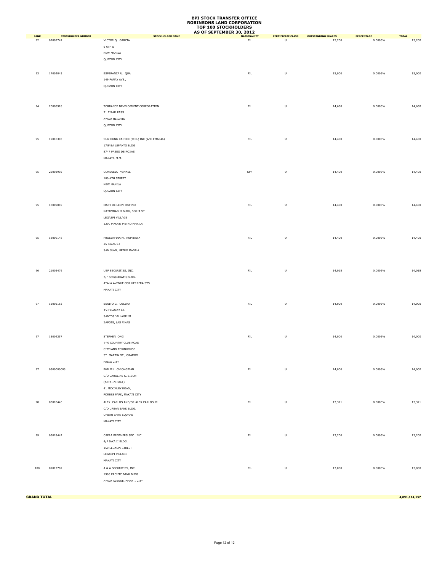|             |                           |                                          | AS OF SEPTEMBER 30, 2012 |                                                                                                            |                           |            |              |
|-------------|---------------------------|------------------------------------------|--------------------------|------------------------------------------------------------------------------------------------------------|---------------------------|------------|--------------|
| <b>RANK</b> | <b>STOCKHOLDER NUMBER</b> | <b>STOCKHOLDER NAME</b>                  | <b>NATIONALITY</b>       | <b>CERTIFICATE CLASS</b>                                                                                   | <b>OUTSTANDING SHARES</b> | PERCENTAGE | <b>TOTAL</b> |
| 92          | 07009747                  | VICTOR Q. GARCIA                         | ${\sf FIL}$              | U                                                                                                          | 15,200                    | 0.0003%    | 15,200       |
|             |                           | 6 6TH ST                                 |                          |                                                                                                            |                           |            |              |
|             |                           | NEW MANILA                               |                          |                                                                                                            |                           |            |              |
|             |                           | QUEZON CITY                              |                          |                                                                                                            |                           |            |              |
|             |                           |                                          |                          |                                                                                                            |                           |            |              |
|             |                           |                                          |                          |                                                                                                            |                           |            |              |
| 93          | 17002043                  | ESPERANZA U. QUA                         | ${\sf FIL}$              | $\sf U$                                                                                                    | 15,000                    | 0.0003%    | 15,000       |
|             |                           | 149 PANAY AVE.,                          |                          |                                                                                                            |                           |            |              |
|             |                           | QUEZON CITY                              |                          |                                                                                                            |                           |            |              |
|             |                           |                                          |                          |                                                                                                            |                           |            |              |
|             |                           |                                          |                          |                                                                                                            |                           |            |              |
| 94          | 20008918                  | TORRANCE DEVELOPMENT CORPORATION         | ${\sf FIL}$              | $\sf U$                                                                                                    | 14,650                    | 0.0003%    | 14,650       |
|             |                           |                                          |                          |                                                                                                            |                           |            |              |
|             |                           | 21 TIRAD PASS                            |                          |                                                                                                            |                           |            |              |
|             |                           | AYALA HEIGHTS                            |                          |                                                                                                            |                           |            |              |
|             |                           | QUEZON CITY                              |                          |                                                                                                            |                           |            |              |
|             |                           |                                          |                          |                                                                                                            |                           |            |              |
| 95          | 19016303                  | SUN HUNG KAI SEC (PHIL) INC (A/C #MA046) | ${\sf FIL}$              | $\sf U$                                                                                                    | 14,400                    | 0.0003%    | 14,400       |
|             |                           |                                          |                          |                                                                                                            |                           |            |              |
|             |                           | 17/F BA LEPANTO BLDG                     |                          |                                                                                                            |                           |            |              |
|             |                           | 8747 PASEO DE ROXAS                      |                          |                                                                                                            |                           |            |              |
|             |                           | MAKATI, M.M.                             |                          |                                                                                                            |                           |            |              |
|             |                           |                                          |                          |                                                                                                            |                           |            |              |
| 95          | 25003902                  | CONSUELO YSMAEL                          | SPN                      | $\sf U$                                                                                                    | 14,400                    | 0.0003%    | 14,400       |
|             |                           | 100-4TH STREET                           |                          |                                                                                                            |                           |            |              |
|             |                           |                                          |                          |                                                                                                            |                           |            |              |
|             |                           | NEW MANILA                               |                          |                                                                                                            |                           |            |              |
|             |                           | QUEZON CITY                              |                          |                                                                                                            |                           |            |              |
|             |                           |                                          |                          |                                                                                                            |                           |            |              |
| 95          | 18009049                  | MARY DE LEON RUFINO                      | ${\sf FIL}$              | $\sf U$                                                                                                    | 14,400                    | 0.0003%    | 14,400       |
|             |                           | NATIVIDAD II BLDG, SORIA ST              |                          |                                                                                                            |                           |            |              |
|             |                           |                                          |                          |                                                                                                            |                           |            |              |
|             |                           | LEGASPI VILLAGE                          |                          |                                                                                                            |                           |            |              |
|             |                           | 1200 MAKATI METRO MANILA                 |                          |                                                                                                            |                           |            |              |
|             |                           |                                          |                          |                                                                                                            |                           |            |              |
| 95          | 18009148                  | PROSERFINA M. RUMBAWA                    | ${\sf FIL}$              | $\sf U$                                                                                                    | 14,400                    | 0.0003%    | 14,400       |
|             |                           |                                          |                          |                                                                                                            |                           |            |              |
|             |                           | 35 RIZAL ST                              |                          |                                                                                                            |                           |            |              |
|             |                           | SAN JUAN, METRO MANILA                   |                          |                                                                                                            |                           |            |              |
|             |                           |                                          |                          |                                                                                                            |                           |            |              |
|             |                           |                                          |                          |                                                                                                            |                           |            |              |
| 96          | 21003476                  | UBP SECURITIES, INC.                     | ${\sf FIL}$              | $\sf U$                                                                                                    | 14,018                    | 0.0003%    | 14,018       |
|             |                           | 3/F SSS(MAKATI) BLDG.                    |                          |                                                                                                            |                           |            |              |
|             |                           |                                          |                          |                                                                                                            |                           |            |              |
|             |                           | AYALA AVENUE COR HERRERA STS.            |                          |                                                                                                            |                           |            |              |
|             |                           | MAKATI CITY                              |                          |                                                                                                            |                           |            |              |
|             |                           |                                          |                          |                                                                                                            |                           |            |              |
| 97          | 15005163                  | BENITO G. OBLENA                         | ${\sf FIL}$              | $\sf U$                                                                                                    | 14,000                    | 0.0003%    | 14,000       |
|             |                           | #2 HILOSKY ST.                           |                          |                                                                                                            |                           |            |              |
|             |                           |                                          |                          |                                                                                                            |                           |            |              |
|             |                           | SANTOS VILLAGE III                       |                          |                                                                                                            |                           |            |              |
|             |                           | ZAPOTE, LAS PINAS                        |                          |                                                                                                            |                           |            |              |
|             |                           |                                          |                          |                                                                                                            |                           |            |              |
| 97          | 15004257                  | STEPHEN ONG                              | ${\sf FIL}$              | $\sf U$                                                                                                    | 14,000                    | 0.0003%    | 14,000       |
|             |                           | #40 COUNTRY CLUB ROAD                    |                          |                                                                                                            |                           |            |              |
|             |                           |                                          |                          |                                                                                                            |                           |            |              |
|             |                           | CITYLAND TOWNHOUSE                       |                          |                                                                                                            |                           |            |              |
|             |                           | ST. MARTIN ST., ORAMBO                   |                          |                                                                                                            |                           |            |              |
|             |                           | PASIG CITY                               |                          |                                                                                                            |                           |            |              |
| 97          | 0300000003                | PHILIP L. CHIONGBIAN                     | ${\sf FIL}$              | $\mathsf{U}% _{T}=\mathsf{U}_{T}\!\left( a,b\right) ,\ \mathsf{U}_{T}=\mathsf{U}_{T}\!\left( a,b\right) ,$ | 14,000                    | 0.0003%    | 14,000       |
|             |                           | C/O CAROLINE C. SISON                    |                          |                                                                                                            |                           |            |              |
|             |                           | (ATTY-IN-FACT)                           |                          |                                                                                                            |                           |            |              |
|             |                           |                                          |                          |                                                                                                            |                           |            |              |
|             |                           | 41 MCKINLEY ROAD,                        |                          |                                                                                                            |                           |            |              |
|             |                           | FORBES PARK, MAKATI CITY                 |                          |                                                                                                            |                           |            |              |
| 98          | 03018445                  | ALEX CARLOS AND/OR ALEX CARLOS JR.       | FL                       | $\sf U$                                                                                                    | 13,371                    | 0.0003%    | 13,371       |
|             |                           | C/O URBAN BANK BLDG.                     |                          |                                                                                                            |                           |            |              |
|             |                           |                                          |                          |                                                                                                            |                           |            |              |
|             |                           | URBAN BANK SQUARE                        |                          |                                                                                                            |                           |            |              |
|             |                           | MAKATI CITY                              |                          |                                                                                                            |                           |            |              |
|             |                           |                                          |                          |                                                                                                            |                           |            |              |
| 99          | 03018442                  | CAFRA BROTHERS SEC., INC.                | ${\sf FIL}$              | $\sf U$                                                                                                    | 13,200                    | 0.0003%    | 13,200       |
|             |                           | 4/F JAKA II BLDG.                        |                          |                                                                                                            |                           |            |              |
|             |                           |                                          |                          |                                                                                                            |                           |            |              |
|             |                           | 150 LEGASPI STREET                       |                          |                                                                                                            |                           |            |              |
|             |                           | LEGASPI VILLAGE                          |                          |                                                                                                            |                           |            |              |
|             |                           | MAKATI CITY                              |                          |                                                                                                            |                           |            |              |
| 100         | 01017782                  | A & A SECURITIES, INC.                   | ${\sf FIL}$              | $\sf U$                                                                                                    | 13,000                    | 0.0003%    | 13,000       |
|             |                           | 1906 PACIFIC BANK BLDG.                  |                          |                                                                                                            |                           |            |              |
|             |                           |                                          |                          |                                                                                                            |                           |            |              |
|             |                           | AYALA AVENUE, MAKATI CITY                |                          |                                                                                                            |                           |            |              |
|             |                           |                                          |                          |                                                                                                            |                           |            |              |

**GRAND TOTAL 4,091,114,157**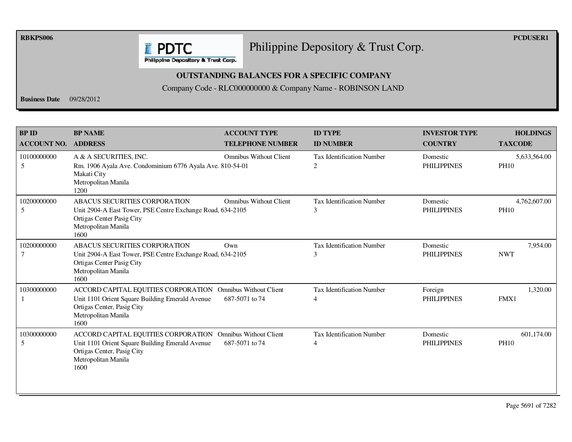**RBKPS006 PCDUSER1** 

#### Philippine Depository & Trust Corp.

Philippine Depository & Trust Corp.

**E** PDTC

#### **OUTSTANDING BALANCES FOR A SPECIFIC COMPANY**

Company Code - RLC000000000 & Company Name - ROBINSON LAND

**Business Date** 09/28/2012

| <b>BP ID</b><br><b>ACCOUNT NO.</b> | <b>BP NAME</b><br><b>ADDRESS</b>                                                                                                                                           | <b>ACCOUNT TYPE</b><br><b>TELEPHONE NUMBER</b>  | <b>ID TYPE</b><br><b>ID NUMBER</b>    | <b>INVESTOR TYPE</b><br><b>COUNTRY</b> | <b>HOLDINGS</b><br><b>TAXCODE</b> |
|------------------------------------|----------------------------------------------------------------------------------------------------------------------------------------------------------------------------|-------------------------------------------------|---------------------------------------|----------------------------------------|-----------------------------------|
| 10100000000<br>5                   | A & A SECURITIES, INC.<br>Rm. 1906 Ayala Ave. Condominium 6776 Ayala Ave. 810-54-01<br>Makati City<br>Metropolitan Manila<br>1200                                          | <b>Omnibus Without Client</b>                   | <b>Tax Identification Number</b><br>2 | Domestic<br><b>PHILIPPINES</b>         | 5,633,564.00<br><b>PH10</b>       |
| 10200000000<br>5                   | ABACUS SECURITIES CORPORATION<br>Unit 2904-A East Tower, PSE Centre Exchange Road, 634-2105<br>Ortigas Center Pasig City<br>Metropolitan Manila<br>1600                    | <b>Omnibus Without Client</b>                   | <b>Tax Identification Number</b><br>3 | Domestic<br><b>PHILIPPINES</b>         | 4,762,607.00<br><b>PH10</b>       |
| 10200000000                        | <b>ABACUS SECURITIES CORPORATION</b><br>Unit 2904-A East Tower, PSE Centre Exchange Road, 634-2105<br>Ortigas Center Pasig City<br>Metropolitan Manila<br>1600             | Own                                             | <b>Tax Identification Number</b><br>3 | Domestic<br><b>PHILIPPINES</b>         | 7,954.00<br><b>NWT</b>            |
| 10300000000                        | ACCORD CAPITAL EQUITIES CORPORATION<br>Unit 1101 Orient Square Building Emerald Avenue<br>Ortigas Center, Pasig City<br>Metropolitan Manila<br>1600                        | <b>Omnibus Without Client</b><br>687-5071 to 74 | <b>Tax Identification Number</b><br>4 | Foreign<br><b>PHILIPPINES</b>          | 1,320.00<br>FMX1                  |
| 10300000000<br>5                   | ACCORD CAPITAL EQUITIES CORPORATION Omnibus Without Client<br>Unit 1101 Orient Square Building Emerald Avenue<br>Ortigas Center, Pasig City<br>Metropolitan Manila<br>1600 | 687-5071 to 74                                  | <b>Tax Identification Number</b><br>4 | Domestic<br><b>PHILIPPINES</b>         | 601,174.00<br><b>PH10</b>         |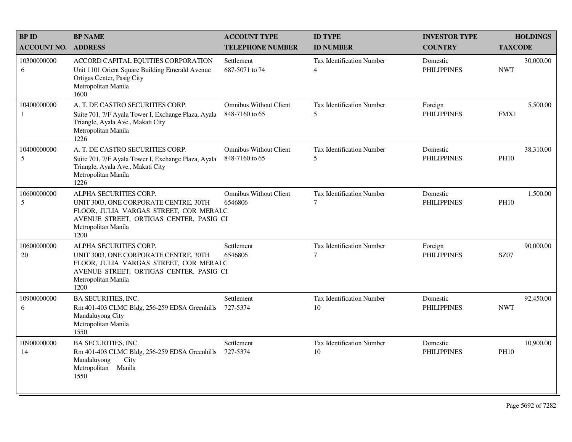| <b>BPID</b>                 | <b>BP NAME</b>                                                                                                                                                                      | <b>ACCOUNT TYPE</b>                             | <b>ID TYPE</b>                         | <b>INVESTOR TYPE</b>           | <b>HOLDINGS</b>          |
|-----------------------------|-------------------------------------------------------------------------------------------------------------------------------------------------------------------------------------|-------------------------------------------------|----------------------------------------|--------------------------------|--------------------------|
| <b>ACCOUNT NO.</b>          | <b>ADDRESS</b>                                                                                                                                                                      | <b>TELEPHONE NUMBER</b>                         | <b>ID NUMBER</b>                       | <b>COUNTRY</b>                 | <b>TAXCODE</b>           |
| 10300000000<br>6            | ACCORD CAPITAL EQUITIES CORPORATION<br>Unit 1101 Orient Square Building Emerald Avenue<br>Ortigas Center, Pasig City<br>Metropolitan Manila<br>1600                                 | Settlement<br>687-5071 to 74                    | Tax Identification Number<br>4         | Domestic<br><b>PHILIPPINES</b> | 30,000.00<br><b>NWT</b>  |
| 10400000000<br>$\mathbf{1}$ | A. T. DE CASTRO SECURITIES CORP.<br>Suite 701, 7/F Ayala Tower I, Exchange Plaza, Ayala<br>Triangle, Ayala Ave., Makati City<br>Metropolitan Manila<br>1226                         | <b>Omnibus Without Client</b><br>848-7160 to 65 | Tax Identification Number<br>5         | Foreign<br><b>PHILIPPINES</b>  | 5,500.00<br>FMX1         |
| 10400000000<br>5            | A. T. DE CASTRO SECURITIES CORP.<br>Suite 701, 7/F Ayala Tower I, Exchange Plaza, Ayala<br>Triangle, Ayala Ave., Makati City<br>Metropolitan Manila<br>1226                         | <b>Omnibus Without Client</b><br>848-7160 to 65 | <b>Tax Identification Number</b><br>5  | Domestic<br><b>PHILIPPINES</b> | 38,310.00<br><b>PH10</b> |
| 10600000000<br>5            | ALPHA SECURITIES CORP.<br>UNIT 3003, ONE CORPORATE CENTRE, 30TH<br>FLOOR, JULIA VARGAS STREET, COR MERALC<br>AVENUE STREET, ORTIGAS CENTER, PASIG CI<br>Metropolitan Manila<br>1200 | Omnibus Without Client<br>6546806               | <b>Tax Identification Number</b><br>7  | Domestic<br><b>PHILIPPINES</b> | 1,500.00<br><b>PH10</b>  |
| 10600000000<br>20           | ALPHA SECURITIES CORP.<br>UNIT 3003, ONE CORPORATE CENTRE, 30TH<br>FLOOR, JULIA VARGAS STREET, COR MERALC<br>AVENUE STREET, ORTIGAS CENTER, PASIG CI<br>Metropolitan Manila<br>1200 | Settlement<br>6546806                           | Tax Identification Number<br>7         | Foreign<br><b>PHILIPPINES</b>  | 90,000.00<br><b>SZ07</b> |
| 10900000000<br>6            | <b>BA SECURITIES, INC.</b><br>Rm 401-403 CLMC Bldg, 256-259 EDSA Greenhills<br>Mandaluyong City<br>Metropolitan Manila<br>1550                                                      | Settlement<br>727-5374                          | <b>Tax Identification Number</b><br>10 | Domestic<br><b>PHILIPPINES</b> | 92,450.00<br><b>NWT</b>  |
| 10900000000<br>14           | <b>BA SECURITIES, INC.</b><br>Rm 401-403 CLMC Bldg, 256-259 EDSA Greenhills<br>City<br>Mandaluyong<br>Metropolitan Manila<br>1550                                                   | Settlement<br>727-5374                          | <b>Tax Identification Number</b><br>10 | Domestic<br><b>PHILIPPINES</b> | 10,900.00<br><b>PH10</b> |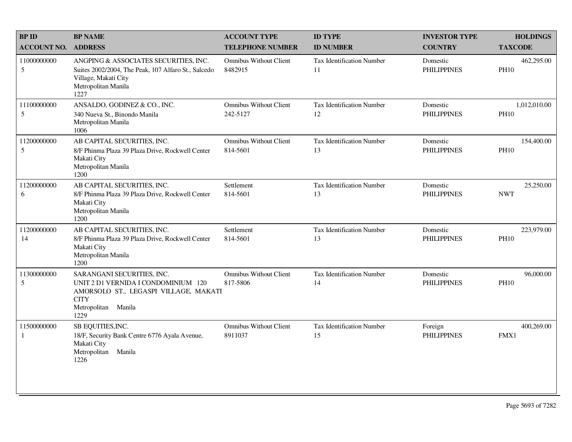| <b>BP NAME</b>                                                                                                                                      | <b>ACCOUNT TYPE</b>                       | <b>ID TYPE</b>                         | <b>INVESTOR TYPE</b>           | <b>HOLDINGS</b>             |
|-----------------------------------------------------------------------------------------------------------------------------------------------------|-------------------------------------------|----------------------------------------|--------------------------------|-----------------------------|
| <b>ADDRESS</b>                                                                                                                                      | <b>TELEPHONE NUMBER</b>                   | <b>ID NUMBER</b>                       | <b>COUNTRY</b>                 | <b>TAXCODE</b>              |
| ANGPING & ASSOCIATES SECURITIES, INC.<br>Suites 2002/2004, The Peak, 107 Alfaro St., Salcedo<br>Village, Makati City<br>Metropolitan Manila<br>1227 | <b>Omnibus Without Client</b><br>8482915  | <b>Tax Identification Number</b><br>11 | Domestic<br><b>PHILIPPINES</b> | 462,295.00<br><b>PH10</b>   |
| ANSALDO, GODINEZ & CO., INC.<br>340 Nueva St., Binondo Manila<br>Metropolitan Manila<br>1006                                                        | <b>Omnibus Without Client</b><br>242-5127 | Tax Identification Number<br>12        | Domestic<br><b>PHILIPPINES</b> | 1,012,010.00<br><b>PH10</b> |
| AB CAPITAL SECURITIES, INC.<br>8/F Phinma Plaza 39 Plaza Drive, Rockwell Center<br>Makati City<br>Metropolitan Manila<br>1200                       | <b>Omnibus Without Client</b><br>814-5601 | <b>Tax Identification Number</b><br>13 | Domestic<br><b>PHILIPPINES</b> | 154,400.00<br><b>PH10</b>   |
| AB CAPITAL SECURITIES, INC.<br>8/F Phinma Plaza 39 Plaza Drive, Rockwell Center<br>Makati City<br>Metropolitan Manila<br>1200                       | Settlement<br>814-5601                    | <b>Tax Identification Number</b><br>13 | Domestic<br><b>PHILIPPINES</b> | 25,250.00<br><b>NWT</b>     |
| AB CAPITAL SECURITIES, INC.<br>8/F Phinma Plaza 39 Plaza Drive, Rockwell Center<br>Makati City<br>Metropolitan Manila<br>1200                       | Settlement<br>814-5601                    | Tax Identification Number<br>13        | Domestic<br><b>PHILIPPINES</b> | 223,979.00<br><b>PH10</b>   |
| SARANGANI SECURITIES, INC.<br>UNIT 2 D1 VERNIDA I CONDOMINIUM 120<br><b>CITY</b><br>Metropolitan Manila<br>1229                                     | <b>Omnibus Without Client</b><br>817-5806 | <b>Tax Identification Number</b><br>14 | Domestic<br><b>PHILIPPINES</b> | 96,000.00<br><b>PH10</b>    |
| SB EQUITIES, INC.<br>18/F, Security Bank Centre 6776 Ayala Avenue,<br>Makati City<br>Metropolitan Manila<br>1226                                    | <b>Omnibus Without Client</b><br>8911037  | Tax Identification Number<br>15        | Foreign<br><b>PHILIPPINES</b>  | 400,269.00<br>FMX1          |
|                                                                                                                                                     |                                           | AMORSOLO ST., LEGASPI VILLAGE, MAKATI  |                                |                             |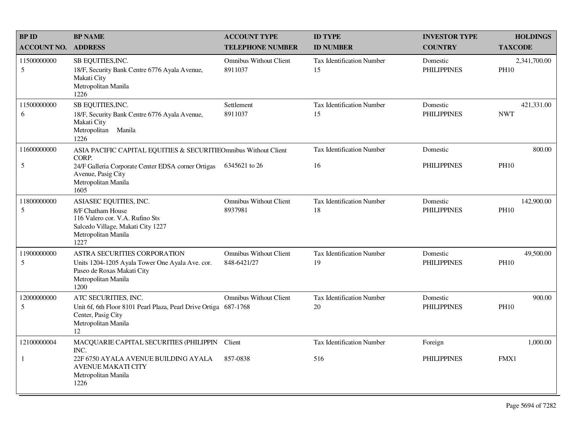| <b>BPID</b>        | <b>BP NAME</b>                                                                                                                                     | <b>ACCOUNT TYPE</b>                          | <b>ID TYPE</b>                         | <b>INVESTOR TYPE</b>           | <b>HOLDINGS</b>             |
|--------------------|----------------------------------------------------------------------------------------------------------------------------------------------------|----------------------------------------------|----------------------------------------|--------------------------------|-----------------------------|
| <b>ACCOUNT NO.</b> | <b>ADDRESS</b>                                                                                                                                     | <b>TELEPHONE NUMBER</b>                      | <b>ID NUMBER</b>                       | <b>COUNTRY</b>                 | <b>TAXCODE</b>              |
| 11500000000<br>5   | SB EQUITIES, INC.<br>18/F, Security Bank Centre 6776 Ayala Avenue,<br>Makati City<br>Metropolitan Manila<br>1226                                   | <b>Omnibus Without Client</b><br>8911037     | Tax Identification Number<br>15        | Domestic<br><b>PHILIPPINES</b> | 2,341,700.00<br><b>PH10</b> |
| 11500000000<br>6   | SB EQUITIES, INC.<br>18/F, Security Bank Centre 6776 Ayala Avenue,<br>Makati City<br>Metropolitan<br>Manila<br>1226                                | Settlement<br>8911037                        | Tax Identification Number<br>15        | Domestic<br><b>PHILIPPINES</b> | 421,331.00<br><b>NWT</b>    |
| 11600000000        | ASIA PACIFIC CAPITAL EQUITIES & SECURITIEOmnibus Without Client<br>CORP.                                                                           |                                              | <b>Tax Identification Number</b>       | Domestic                       | 800.00                      |
| $\sqrt{5}$         | 24/F Galleria Corporate Center EDSA corner Ortigas<br>Avenue, Pasig City<br>Metropolitan Manila<br>1605                                            | 6345621 to 26                                | 16                                     | <b>PHILIPPINES</b>             | <b>PH10</b>                 |
| 11800000000<br>5   | ASIASEC EQUITIES, INC.<br>8/F Chatham House<br>116 Valero cor. V.A. Rufino Sts<br>Salcedo Village, Makati City 1227<br>Metropolitan Manila<br>1227 | <b>Omnibus Without Client</b><br>8937981     | <b>Tax Identification Number</b><br>18 | Domestic<br><b>PHILIPPINES</b> | 142,900.00<br><b>PH10</b>   |
| 11900000000<br>5   | ASTRA SECURITIES CORPORATION<br>Units 1204-1205 Ayala Tower One Ayala Ave. cor.<br>Paseo de Roxas Makati City<br>Metropolitan Manila<br>1200       | <b>Omnibus Without Client</b><br>848-6421/27 | Tax Identification Number<br>19        | Domestic<br><b>PHILIPPINES</b> | 49,500.00<br><b>PH10</b>    |
| 12000000000<br>5   | ATC SECURITIES, INC.<br>Unit 6f, 6th Floor 8101 Pearl Plaza, Pearl Drive Ortiga 687-1768<br>Center, Pasig City<br>Metropolitan Manila<br>12        | <b>Omnibus Without Client</b>                | <b>Tax Identification Number</b><br>20 | Domestic<br><b>PHILIPPINES</b> | 900.00<br><b>PH10</b>       |
| 12100000004        | MACQUARIE CAPITAL SECURITIES (PHILIPPIN<br>INC.                                                                                                    | Client                                       | Tax Identification Number              | Foreign                        | 1,000.00                    |
| $\mathbf{1}$       | 22F 6750 AYALA AVENUE BUILDING AYALA<br><b>AVENUE MAKATI CITY</b><br>Metropolitan Manila<br>1226                                                   | 857-0838                                     | 516                                    | <b>PHILIPPINES</b>             | FMX1                        |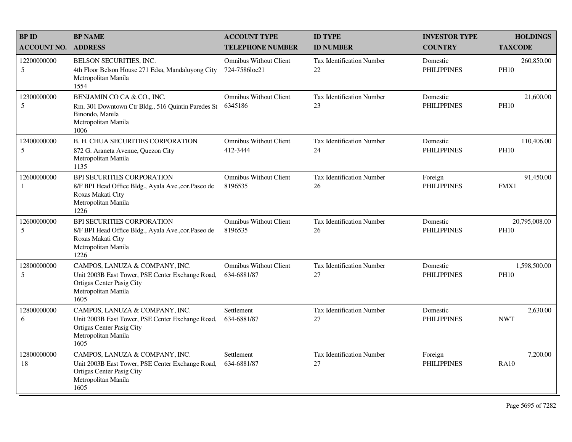| <b>BPID</b>        | <b>BP NAME</b>                                                                                                                                 | <b>ACCOUNT TYPE</b>                            | <b>ID TYPE</b>                         | <b>INVESTOR TYPE</b>           | <b>HOLDINGS</b>              |
|--------------------|------------------------------------------------------------------------------------------------------------------------------------------------|------------------------------------------------|----------------------------------------|--------------------------------|------------------------------|
| <b>ACCOUNT NO.</b> | <b>ADDRESS</b>                                                                                                                                 | <b>TELEPHONE NUMBER</b>                        | <b>ID NUMBER</b>                       | <b>COUNTRY</b>                 | <b>TAXCODE</b>               |
| 12200000000<br>5   | BELSON SECURITIES, INC.<br>4th Floor Belson House 271 Edsa, Mandaluyong City<br>Metropolitan Manila<br>1554                                    | <b>Omnibus Without Client</b><br>724-7586loc21 | <b>Tax Identification Number</b><br>22 | Domestic<br><b>PHILIPPINES</b> | 260,850.00<br><b>PH10</b>    |
| 12300000000<br>5   | BENJAMIN CO CA & CO., INC.<br>Rm. 301 Downtown Ctr Bldg., 516 Quintin Paredes St<br>Binondo, Manila<br>Metropolitan Manila<br>1006             | <b>Omnibus Without Client</b><br>6345186       | <b>Tax Identification Number</b><br>23 | Domestic<br><b>PHILIPPINES</b> | 21,600.00<br><b>PH10</b>     |
| 12400000000<br>5   | <b>B. H. CHUA SECURITIES CORPORATION</b><br>872 G. Araneta Avenue, Quezon City<br>Metropolitan Manila<br>1135                                  | <b>Omnibus Without Client</b><br>412-3444      | <b>Tax Identification Number</b><br>24 | Domestic<br><b>PHILIPPINES</b> | 110,406.00<br><b>PH10</b>    |
| 12600000000<br>1   | <b>BPI SECURITIES CORPORATION</b><br>8/F BPI Head Office Bldg., Ayala Ave., cor. Paseo de<br>Roxas Makati City<br>Metropolitan Manila<br>1226  | <b>Omnibus Without Client</b><br>8196535       | <b>Tax Identification Number</b><br>26 | Foreign<br><b>PHILIPPINES</b>  | 91,450.00<br>FMX1            |
| 12600000000<br>5   | BPI SECURITIES CORPORATION<br>8/F BPI Head Office Bldg., Ayala Ave., cor. Paseo de<br>Roxas Makati City<br>Metropolitan Manila<br>1226         | <b>Omnibus Without Client</b><br>8196535       | Tax Identification Number<br>26        | Domestic<br><b>PHILIPPINES</b> | 20,795,008.00<br><b>PH10</b> |
| 12800000000<br>5   | CAMPOS, LANUZA & COMPANY, INC.<br>Unit 2003B East Tower, PSE Center Exchange Road,<br>Ortigas Center Pasig City<br>Metropolitan Manila<br>1605 | <b>Omnibus Without Client</b><br>634-6881/87   | Tax Identification Number<br>27        | Domestic<br><b>PHILIPPINES</b> | 1,598,500.00<br><b>PH10</b>  |
| 12800000000<br>6   | CAMPOS, LANUZA & COMPANY, INC.<br>Unit 2003B East Tower, PSE Center Exchange Road,<br>Ortigas Center Pasig City<br>Metropolitan Manila<br>1605 | Settlement<br>634-6881/87                      | <b>Tax Identification Number</b><br>27 | Domestic<br><b>PHILIPPINES</b> | 2,630.00<br><b>NWT</b>       |
| 12800000000<br>18  | CAMPOS, LANUZA & COMPANY, INC.<br>Unit 2003B East Tower, PSE Center Exchange Road,<br>Ortigas Center Pasig City<br>Metropolitan Manila<br>1605 | Settlement<br>634-6881/87                      | <b>Tax Identification Number</b><br>27 | Foreign<br><b>PHILIPPINES</b>  | 7,200.00<br><b>RA10</b>      |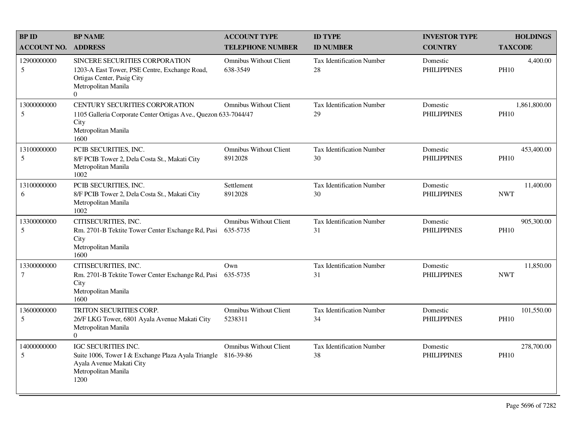| <b>BPID</b>                   | <b>BP NAME</b>                                                                                                                                         | <b>ACCOUNT TYPE</b>                       | <b>ID TYPE</b>                         | <b>INVESTOR TYPE</b>           | <b>HOLDINGS</b>             |
|-------------------------------|--------------------------------------------------------------------------------------------------------------------------------------------------------|-------------------------------------------|----------------------------------------|--------------------------------|-----------------------------|
| <b>ACCOUNT NO.</b>            | <b>ADDRESS</b>                                                                                                                                         | <b>TELEPHONE NUMBER</b>                   | <b>ID NUMBER</b>                       | <b>COUNTRY</b>                 | <b>TAXCODE</b>              |
| 12900000000<br>5              | SINCERE SECURITIES CORPORATION<br>1203-A East Tower, PSE Centre, Exchange Road,<br>Ortigas Center, Pasig City<br>Metropolitan Manila<br>$\overline{0}$ | <b>Omnibus Without Client</b><br>638-3549 | <b>Tax Identification Number</b><br>28 | Domestic<br><b>PHILIPPINES</b> | 4,400.00<br><b>PH10</b>     |
| 13000000000<br>5              | CENTURY SECURITIES CORPORATION<br>1105 Galleria Corporate Center Ortigas Ave., Quezon 633-7044/47<br>City<br>Metropolitan Manila<br>1600               | <b>Omnibus Without Client</b>             | <b>Tax Identification Number</b><br>29 | Domestic<br><b>PHILIPPINES</b> | 1,861,800.00<br><b>PH10</b> |
| 13100000000<br>5              | PCIB SECURITIES, INC.<br>8/F PCIB Tower 2, Dela Costa St., Makati City<br>Metropolitan Manila<br>1002                                                  | <b>Omnibus Without Client</b><br>8912028  | <b>Tax Identification Number</b><br>30 | Domestic<br><b>PHILIPPINES</b> | 453,400.00<br><b>PH10</b>   |
| 13100000000<br>6              | PCIB SECURITIES, INC.<br>8/F PCIB Tower 2, Dela Costa St., Makati City<br>Metropolitan Manila<br>1002                                                  | Settlement<br>8912028                     | Tax Identification Number<br>30        | Domestic<br><b>PHILIPPINES</b> | 11,400.00<br><b>NWT</b>     |
| 13300000000<br>5              | CITISECURITIES, INC.<br>Rm. 2701-B Tektite Tower Center Exchange Rd, Pasi<br>City<br>Metropolitan Manila<br>1600                                       | <b>Omnibus Without Client</b><br>635-5735 | <b>Tax Identification Number</b><br>31 | Domestic<br><b>PHILIPPINES</b> | 905,300.00<br><b>PH10</b>   |
| 13300000000<br>$\overline{7}$ | CITISECURITIES, INC.<br>Rm. 2701-B Tektite Tower Center Exchange Rd, Pasi<br>City<br>Metropolitan Manila<br>1600                                       | Own<br>635-5735                           | <b>Tax Identification Number</b><br>31 | Domestic<br><b>PHILIPPINES</b> | 11,850.00<br><b>NWT</b>     |
| 13600000000<br>5              | TRITON SECURITIES CORP.<br>26/F LKG Tower, 6801 Ayala Avenue Makati City<br>Metropolitan Manila<br>$\Omega$                                            | <b>Omnibus Without Client</b><br>5238311  | <b>Tax Identification Number</b><br>34 | Domestic<br><b>PHILIPPINES</b> | 101,550.00<br><b>PH10</b>   |
| 14000000000<br>5              | IGC SECURITIES INC.<br>Suite 1006, Tower I & Exchange Plaza Ayala Triangle 816-39-86<br>Ayala Avenue Makati City<br>Metropolitan Manila<br>1200        | <b>Omnibus Without Client</b>             | <b>Tax Identification Number</b><br>38 | Domestic<br><b>PHILIPPINES</b> | 278,700.00<br><b>PH10</b>   |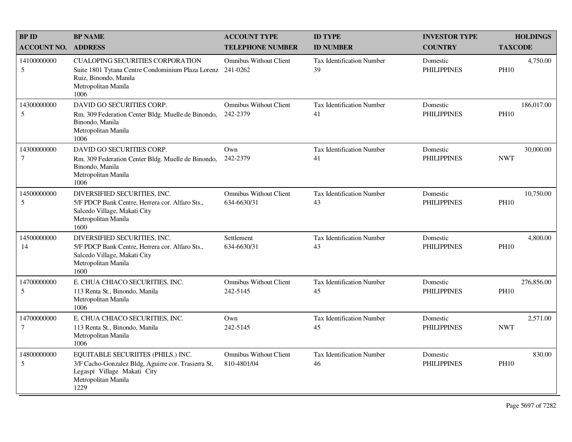| <b>BPID</b>                   | <b>BP NAME</b>                                                                                                                                          | <b>ACCOUNT TYPE</b>                          | <b>ID TYPE</b>                         | <b>INVESTOR TYPE</b>           | <b>HOLDINGS</b>           |
|-------------------------------|---------------------------------------------------------------------------------------------------------------------------------------------------------|----------------------------------------------|----------------------------------------|--------------------------------|---------------------------|
| <b>ACCOUNT NO.</b>            | <b>ADDRESS</b>                                                                                                                                          | <b>TELEPHONE NUMBER</b>                      | <b>ID NUMBER</b>                       | <b>COUNTRY</b>                 | <b>TAXCODE</b>            |
| 14100000000<br>5              | <b>CUALOPING SECURITIES CORPORATION</b><br>Suite 1801 Tytana Centre Condominium Plaza Lorenz<br>Ruiz, Binondo, Manila<br>Metropolitan Manila<br>1006    | <b>Omnibus Without Client</b><br>241-0262    | <b>Tax Identification Number</b><br>39 | Domestic<br><b>PHILIPPINES</b> | 4,750.00<br><b>PH10</b>   |
| 14300000000<br>5              | DAVID GO SECURITIES CORP.<br>Rm. 309 Federation Center Bldg. Muelle de Binondo,<br>Binondo, Manila<br>Metropolitan Manila<br>1006                       | <b>Omnibus Without Client</b><br>242-2379    | Tax Identification Number<br>41        | Domestic<br><b>PHILIPPINES</b> | 186,017.00<br><b>PH10</b> |
| 14300000000<br>$\overline{7}$ | DAVID GO SECURITIES CORP.<br>Rm. 309 Federation Center Bldg. Muelle de Binondo,<br>Binondo, Manila<br>Metropolitan Manila<br>1006                       | Own<br>242-2379                              | <b>Tax Identification Number</b><br>41 | Domestic<br><b>PHILIPPINES</b> | 30,000.00<br><b>NWT</b>   |
| 14500000000<br>5              | DIVERSIFIED SECURITIES, INC.<br>5/F PDCP Bank Centre, Herrera cor. Alfaro Sts.,<br>Salcedo Village, Makati City<br>Metropolitan Manila<br>1600          | Omnibus Without Client<br>634-6630/31        | Tax Identification Number<br>43        | Domestic<br><b>PHILIPPINES</b> | 10,750.00<br><b>PH10</b>  |
| 14500000000<br>14             | DIVERSIFIED SECURITIES, INC.<br>5/F PDCP Bank Centre, Herrera cor. Alfaro Sts.,<br>Salcedo Village, Makati City<br>Metropolitan Manila<br>1600          | Settlement<br>634-6630/31                    | <b>Tax Identification Number</b><br>43 | Domestic<br><b>PHILIPPINES</b> | 4.800.00<br><b>PH10</b>   |
| 14700000000<br>5              | E. CHUA CHIACO SECURITIES, INC.<br>113 Renta St., Binondo, Manila<br>Metropolitan Manila<br>1006                                                        | <b>Omnibus Without Client</b><br>242-5145    | <b>Tax Identification Number</b><br>45 | Domestic<br><b>PHILIPPINES</b> | 276,856.00<br><b>PH10</b> |
| 14700000000<br>7              | E. CHUA CHIACO SECURITIES, INC.<br>113 Renta St., Binondo, Manila<br>Metropolitan Manila<br>1006                                                        | Own<br>242-5145                              | Tax Identification Number<br>45        | Domestic<br><b>PHILIPPINES</b> | 2,571.00<br><b>NWT</b>    |
| 14800000000<br>5              | EQUITABLE SECURIITES (PHILS.) INC.<br>3/F Cacho-Gonzalez Bldg, Aguirre cor. Trasierra St,<br>Legaspi Village Makati City<br>Metropolitan Manila<br>1229 | <b>Omnibus Without Client</b><br>810-4801/04 | Tax Identification Number<br>46        | Domestic<br><b>PHILIPPINES</b> | 830.00<br><b>PH10</b>     |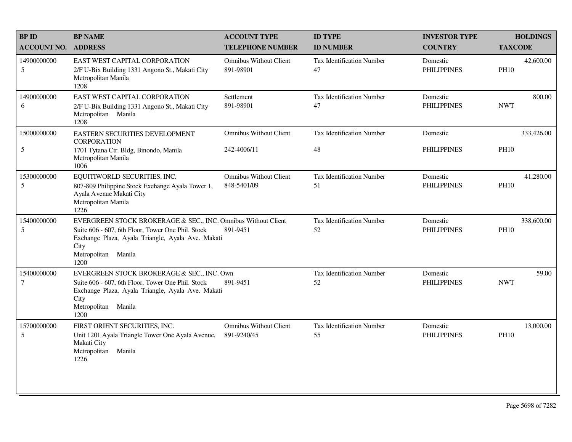| <b>BPID</b>           | <b>BP NAME</b>                                                                                                                                                                                                 | <b>ACCOUNT TYPE</b>                          | <b>ID TYPE</b>                         | <b>INVESTOR TYPE</b>           | <b>HOLDINGS</b>           |
|-----------------------|----------------------------------------------------------------------------------------------------------------------------------------------------------------------------------------------------------------|----------------------------------------------|----------------------------------------|--------------------------------|---------------------------|
| <b>ACCOUNT NO.</b>    | <b>ADDRESS</b>                                                                                                                                                                                                 | <b>TELEPHONE NUMBER</b>                      | <b>ID NUMBER</b>                       | <b>COUNTRY</b>                 | <b>TAXCODE</b>            |
| 14900000000<br>5      | EAST WEST CAPITAL CORPORATION<br>2/F U-Bix Building 1331 Angono St., Makati City<br>Metropolitan Manila<br>1208                                                                                                | <b>Omnibus Without Client</b><br>891-98901   | Tax Identification Number<br>47        | Domestic<br><b>PHILIPPINES</b> | 42,600.00<br><b>PH10</b>  |
| 14900000000<br>6      | EAST WEST CAPITAL CORPORATION<br>2/F U-Bix Building 1331 Angono St., Makati City<br>Metropolitan Manila<br>1208                                                                                                | Settlement<br>891-98901                      | Tax Identification Number<br>47        | Domestic<br><b>PHILIPPINES</b> | 800.00<br><b>NWT</b>      |
| 15000000000           | EASTERN SECURITIES DEVELOPMENT<br><b>CORPORATION</b>                                                                                                                                                           | <b>Omnibus Without Client</b>                | Tax Identification Number              | Domestic                       | 333,426.00                |
| $\sqrt{5}$            | 1701 Tytana Ctr. Bldg, Binondo, Manila<br>Metropolitan Manila<br>1006                                                                                                                                          | 242-4006/11                                  | 48                                     | <b>PHILIPPINES</b>             | <b>PH10</b>               |
| 15300000000<br>5      | EQUITIWORLD SECURITIES, INC.<br>807-809 Philippine Stock Exchange Ayala Tower 1,<br>Ayala Avenue Makati City<br>Metropolitan Manila<br>1226                                                                    | <b>Omnibus Without Client</b><br>848-5401/09 | <b>Tax Identification Number</b><br>51 | Domestic<br><b>PHILIPPINES</b> | 41,280.00<br><b>PH10</b>  |
| 15400000000<br>5      | EVERGREEN STOCK BROKERAGE & SEC., INC. Omnibus Without Client<br>Suite 606 - 607, 6th Floor, Tower One Phil. Stock<br>Exchange Plaza, Ayala Triangle, Ayala Ave. Makati<br>City<br>Metropolitan Manila<br>1200 | 891-9451                                     | Tax Identification Number<br>52        | Domestic<br><b>PHILIPPINES</b> | 338,600.00<br><b>PH10</b> |
| 15400000000<br>$\tau$ | EVERGREEN STOCK BROKERAGE & SEC., INC. Own<br>Suite 606 - 607, 6th Floor, Tower One Phil. Stock<br>Exchange Plaza, Ayala Triangle, Ayala Ave. Makati<br>City<br>Metropolitan Manila<br>1200                    | 891-9451                                     | Tax Identification Number<br>52        | Domestic<br><b>PHILIPPINES</b> | 59.00<br><b>NWT</b>       |
| 15700000000<br>5      | FIRST ORIENT SECURITIES, INC.<br>Unit 1201 Ayala Triangle Tower One Ayala Avenue,<br>Makati City<br>Metropolitan Manila<br>1226                                                                                | <b>Omnibus Without Client</b><br>891-9240/45 | Tax Identification Number<br>55        | Domestic<br><b>PHILIPPINES</b> | 13,000.00<br><b>PH10</b>  |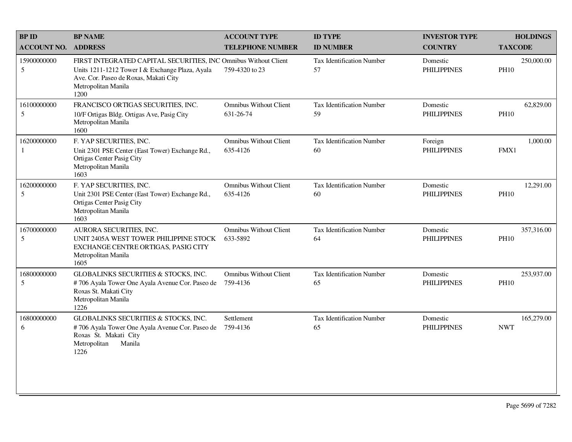| <b>BPID</b>        | <b>BP NAME</b>                                                                                                                                                                             | <b>ACCOUNT TYPE</b>                        | <b>ID TYPE</b>                         | <b>INVESTOR TYPE</b>           | <b>HOLDINGS</b>           |
|--------------------|--------------------------------------------------------------------------------------------------------------------------------------------------------------------------------------------|--------------------------------------------|----------------------------------------|--------------------------------|---------------------------|
| <b>ACCOUNT NO.</b> | <b>ADDRESS</b>                                                                                                                                                                             | <b>TELEPHONE NUMBER</b>                    | <b>ID NUMBER</b>                       | <b>COUNTRY</b>                 | <b>TAXCODE</b>            |
| 15900000000<br>5   | FIRST INTEGRATED CAPITAL SECURITIES, INC Omnibus Without Client<br>Units 1211-1212 Tower I & Exchange Plaza, Ayala<br>Ave. Cor. Paseo de Roxas, Makati City<br>Metropolitan Manila<br>1200 | 759-4320 to 23                             | <b>Tax Identification Number</b><br>57 | Domestic<br><b>PHILIPPINES</b> | 250,000.00<br><b>PH10</b> |
| 16100000000<br>5   | FRANCISCO ORTIGAS SECURITIES, INC.<br>10/F Ortigas Bldg. Ortigas Ave, Pasig City<br>Metropolitan Manila<br>1600                                                                            | <b>Omnibus Without Client</b><br>631-26-74 | Tax Identification Number<br>59        | Domestic<br><b>PHILIPPINES</b> | 62,829.00<br><b>PH10</b>  |
| 16200000000<br>-1  | F. YAP SECURITIES, INC.<br>Unit 2301 PSE Center (East Tower) Exchange Rd.,<br>Ortigas Center Pasig City<br>Metropolitan Manila<br>1603                                                     | <b>Omnibus Without Client</b><br>635-4126  | Tax Identification Number<br>60        | Foreign<br><b>PHILIPPINES</b>  | 1,000.00<br>FMX1          |
| 16200000000<br>5   | F. YAP SECURITIES, INC.<br>Unit 2301 PSE Center (East Tower) Exchange Rd.,<br>Ortigas Center Pasig City<br>Metropolitan Manila<br>1603                                                     | <b>Omnibus Without Client</b><br>635-4126  | Tax Identification Number<br>60        | Domestic<br><b>PHILIPPINES</b> | 12,291.00<br><b>PH10</b>  |
| 16700000000<br>5   | AURORA SECURITIES, INC.<br>UNIT 2405A WEST TOWER PHILIPPINE STOCK<br>EXCHANGE CENTRE ORTIGAS, PASIG CITY<br>Metropolitan Manila<br>1605                                                    | <b>Omnibus Without Client</b><br>633-5892  | Tax Identification Number<br>64        | Domestic<br><b>PHILIPPINES</b> | 357,316.00<br><b>PH10</b> |
| 16800000000<br>5   | GLOBALINKS SECURITIES & STOCKS, INC.<br>#706 Ayala Tower One Ayala Avenue Cor. Paseo de<br>Roxas St. Makati City<br>Metropolitan Manila<br>1226                                            | <b>Omnibus Without Client</b><br>759-4136  | Tax Identification Number<br>65        | Domestic<br><b>PHILIPPINES</b> | 253,937.00<br><b>PH10</b> |
| 16800000000<br>6   | <b>GLOBALINKS SECURITIES &amp; STOCKS, INC.</b><br>#706 Ayala Tower One Ayala Avenue Cor. Paseo de<br>Roxas St. Makati City<br>Metropolitan<br>Manila<br>1226                              | Settlement<br>759-4136                     | Tax Identification Number<br>65        | Domestic<br><b>PHILIPPINES</b> | 165,279.00<br><b>NWT</b>  |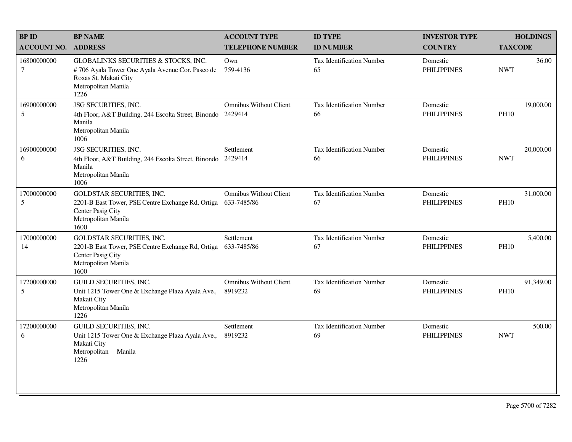| <b>BP ID</b>          | <b>BP NAME</b>                                                                                                                                  | <b>ACCOUNT TYPE</b>                          | <b>ID TYPE</b>                         | <b>INVESTOR TYPE</b>           | <b>HOLDINGS</b>          |
|-----------------------|-------------------------------------------------------------------------------------------------------------------------------------------------|----------------------------------------------|----------------------------------------|--------------------------------|--------------------------|
| <b>ACCOUNT NO.</b>    | <b>ADDRESS</b>                                                                                                                                  | <b>TELEPHONE NUMBER</b>                      | <b>ID NUMBER</b>                       | <b>COUNTRY</b>                 | <b>TAXCODE</b>           |
| 16800000000<br>$\tau$ | GLOBALINKS SECURITIES & STOCKS, INC.<br>#706 Ayala Tower One Ayala Avenue Cor. Paseo de<br>Roxas St. Makati City<br>Metropolitan Manila<br>1226 | Own<br>759-4136                              | Tax Identification Number<br>65        | Domestic<br><b>PHILIPPINES</b> | 36.00<br><b>NWT</b>      |
| 16900000000<br>5      | JSG SECURITIES, INC.<br>4th Floor, A&T Building, 244 Escolta Street, Binondo<br>Manila<br>Metropolitan Manila<br>1006                           | <b>Omnibus Without Client</b><br>2429414     | Tax Identification Number<br>66        | Domestic<br><b>PHILIPPINES</b> | 19,000.00<br><b>PH10</b> |
| 16900000000<br>6      | JSG SECURITIES, INC.<br>4th Floor, A&T Building, 244 Escolta Street, Binondo<br>Manila<br>Metropolitan Manila<br>1006                           | Settlement<br>2429414                        | <b>Tax Identification Number</b><br>66 | Domestic<br><b>PHILIPPINES</b> | 20,000.00<br><b>NWT</b>  |
| 17000000000<br>5      | GOLDSTAR SECURITIES, INC.<br>2201-B East Tower, PSE Centre Exchange Rd, Ortiga<br>Center Pasig City<br>Metropolitan Manila<br>1600              | <b>Omnibus Without Client</b><br>633-7485/86 | <b>Tax Identification Number</b><br>67 | Domestic<br><b>PHILIPPINES</b> | 31,000.00<br><b>PH10</b> |
| 17000000000<br>14     | <b>GOLDSTAR SECURITIES, INC.</b><br>2201-B East Tower, PSE Centre Exchange Rd, Ortiga<br>Center Pasig City<br>Metropolitan Manila<br>1600       | Settlement<br>633-7485/86                    | <b>Tax Identification Number</b><br>67 | Domestic<br><b>PHILIPPINES</b> | 5,400.00<br><b>PH10</b>  |
| 17200000000<br>5      | <b>GUILD SECURITIES, INC.</b><br>Unit 1215 Tower One & Exchange Plaza Ayala Ave.,<br>Makati City<br>Metropolitan Manila<br>1226                 | <b>Omnibus Without Client</b><br>8919232     | <b>Tax Identification Number</b><br>69 | Domestic<br><b>PHILIPPINES</b> | 91,349.00<br><b>PH10</b> |
| 17200000000<br>6      | <b>GUILD SECURITIES, INC.</b><br>Unit 1215 Tower One & Exchange Plaza Ayala Ave.,<br>Makati City<br>Metropolitan<br>Manila<br>1226              | Settlement<br>8919232                        | <b>Tax Identification Number</b><br>69 | Domestic<br><b>PHILIPPINES</b> | 500.00<br><b>NWT</b>     |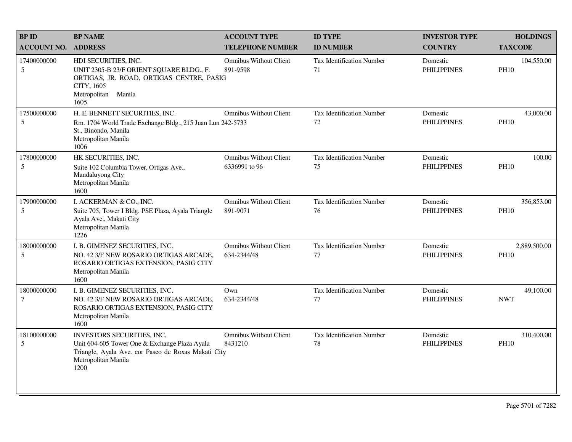| <b>BPID</b>           | <b>BP NAME</b>                                                                                                                                                    | <b>ACCOUNT TYPE</b>                            | <b>ID TYPE</b>                         | <b>INVESTOR TYPE</b>           | <b>HOLDINGS</b>             |
|-----------------------|-------------------------------------------------------------------------------------------------------------------------------------------------------------------|------------------------------------------------|----------------------------------------|--------------------------------|-----------------------------|
| <b>ACCOUNT NO.</b>    | <b>ADDRESS</b>                                                                                                                                                    | <b>TELEPHONE NUMBER</b>                        | <b>ID NUMBER</b>                       | <b>COUNTRY</b>                 | <b>TAXCODE</b>              |
| 17400000000<br>5      | HDI SECURITIES, INC.<br>UNIT 2305-B 23/F ORIENT SQUARE BLDG., F.<br>ORTIGAS, JR. ROAD, ORTIGAS CENTRE, PASIG<br>CITY, 1605<br>Metropolitan Manila<br>1605         | <b>Omnibus Without Client</b><br>891-9598      | <b>Tax Identification Number</b><br>71 | Domestic<br><b>PHILIPPINES</b> | 104,550.00<br><b>PH10</b>   |
| 17500000000<br>5      | H. E. BENNETT SECURITIES, INC.<br>Rm. 1704 World Trade Exchange Bldg., 215 Juan Lun 242-5733<br>St., Binondo, Manila<br>Metropolitan Manila<br>1006               | <b>Omnibus Without Client</b>                  | <b>Tax Identification Number</b><br>72 | Domestic<br><b>PHILIPPINES</b> | 43,000.00<br><b>PH10</b>    |
| 17800000000<br>5      | HK SECURITIES, INC.<br>Suite 102 Columbia Tower, Ortigas Ave.,<br>Mandaluyong City<br>Metropolitan Manila<br>1600                                                 | <b>Omnibus Without Client</b><br>6336991 to 96 | <b>Tax Identification Number</b><br>75 | Domestic<br><b>PHILIPPINES</b> | 100.00<br><b>PH10</b>       |
| 17900000000<br>5      | I. ACKERMAN & CO., INC.<br>Suite 705, Tower I Bldg. PSE Plaza, Ayala Triangle<br>Ayala Ave., Makati City<br>Metropolitan Manila<br>1226                           | <b>Omnibus Without Client</b><br>891-9071      | Tax Identification Number<br>76        | Domestic<br><b>PHILIPPINES</b> | 356,853.00<br><b>PH10</b>   |
| 18000000000<br>5      | I. B. GIMENEZ SECURITIES, INC.<br>NO. 42 3/F NEW ROSARIO ORTIGAS ARCADE,<br>ROSARIO ORTIGAS EXTENSION, PASIG CITY<br>Metropolitan Manila<br>1600                  | <b>Omnibus Without Client</b><br>634-2344/48   | <b>Tax Identification Number</b><br>77 | Domestic<br><b>PHILIPPINES</b> | 2,889,500.00<br><b>PH10</b> |
| 18000000000<br>$\tau$ | I. B. GIMENEZ SECURITIES, INC.<br>NO. 42 3/F NEW ROSARIO ORTIGAS ARCADE,<br>ROSARIO ORTIGAS EXTENSION, PASIG CITY<br>Metropolitan Manila<br>1600                  | Own<br>634-2344/48                             | <b>Tax Identification Number</b><br>77 | Domestic<br><b>PHILIPPINES</b> | 49,100.00<br><b>NWT</b>     |
| 18100000000<br>5      | INVESTORS SECURITIES, INC,<br>Unit 604-605 Tower One & Exchange Plaza Ayala<br>Triangle, Ayala Ave. cor Paseo de Roxas Makati City<br>Metropolitan Manila<br>1200 | <b>Omnibus Without Client</b><br>8431210       | Tax Identification Number<br>78        | Domestic<br><b>PHILIPPINES</b> | 310,400.00<br><b>PH10</b>   |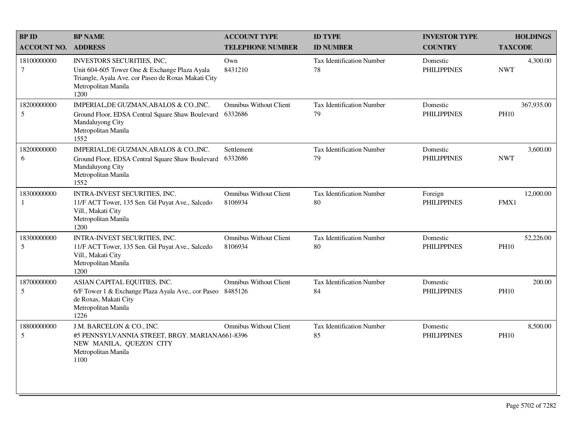| <b>BP ID</b>              | <b>BP NAME</b>                                                                                                                                                    | <b>ACCOUNT TYPE</b>                      | <b>ID TYPE</b>                         | <b>INVESTOR TYPE</b>           | <b>HOLDINGS</b>           |
|---------------------------|-------------------------------------------------------------------------------------------------------------------------------------------------------------------|------------------------------------------|----------------------------------------|--------------------------------|---------------------------|
| <b>ACCOUNT NO.</b>        | <b>ADDRESS</b>                                                                                                                                                    | <b>TELEPHONE NUMBER</b>                  | <b>ID NUMBER</b>                       | <b>COUNTRY</b>                 | <b>TAXCODE</b>            |
| 18100000000<br>$\tau$     | INVESTORS SECURITIES, INC,<br>Unit 604-605 Tower One & Exchange Plaza Ayala<br>Triangle, Ayala Ave. cor Paseo de Roxas Makati City<br>Metropolitan Manila<br>1200 | Own<br>8431210                           | <b>Tax Identification Number</b><br>78 | Domestic<br><b>PHILIPPINES</b> | 4,300.00<br><b>NWT</b>    |
| 18200000000<br>5          | IMPERIAL, DE GUZMAN, ABALOS & CO., INC.<br>Ground Floor, EDSA Central Square Shaw Boulevard<br>Mandaluyong City<br>Metropolitan Manila<br>1552                    | <b>Omnibus Without Client</b><br>6332686 | Tax Identification Number<br>79        | Domestic<br><b>PHILIPPINES</b> | 367,935.00<br><b>PH10</b> |
| 18200000000<br>6          | IMPERIAL, DE GUZMAN, ABALOS & CO., INC.<br>Ground Floor, EDSA Central Square Shaw Boulevard<br>Mandaluyong City<br>Metropolitan Manila<br>1552                    | Settlement<br>6332686                    | <b>Tax Identification Number</b><br>79 | Domestic<br><b>PHILIPPINES</b> | 3,600.00<br><b>NWT</b>    |
| 18300000000               | INTRA-INVEST SECURITIES, INC.<br>11/F ACT Tower, 135 Sen. Gil Puyat Ave., Salcedo<br>Vill., Makati City<br>Metropolitan Manila<br>1200                            | <b>Omnibus Without Client</b><br>8106934 | Tax Identification Number<br>80        | Foreign<br><b>PHILIPPINES</b>  | 12,000.00<br>FMX1         |
| 18300000000<br>5          | INTRA-INVEST SECURITIES, INC.<br>11/F ACT Tower, 135 Sen. Gil Puyat Ave., Salcedo<br>Vill., Makati City<br>Metropolitan Manila<br>1200                            | <b>Omnibus Without Client</b><br>8106934 | <b>Tax Identification Number</b><br>80 | Domestic<br><b>PHILIPPINES</b> | 52,226.00<br><b>PH10</b>  |
| 18700000000<br>$\sqrt{5}$ | ASIAN CAPITAL EQUITIES, INC.<br>6/F Tower 1 & Exchange Plaza Ayala Ave., cor Paseo 8485126<br>de Roxas, Makati City<br>Metropolitan Manila<br>1226                | <b>Omnibus Without Client</b>            | <b>Tax Identification Number</b><br>84 | Domestic<br><b>PHILIPPINES</b> | 200.00<br><b>PH10</b>     |
| 18800000000<br>5          | J.M. BARCELON & CO., INC.<br>#5 PENNSYLVANNIA STREET, BRGY. MARIANA661-8396<br>NEW MANILA, QUEZON CITY<br>Metropolitan Manila<br>1100                             | <b>Omnibus Without Client</b>            | <b>Tax Identification Number</b><br>85 | Domestic<br><b>PHILIPPINES</b> | 8,500.00<br><b>PH10</b>   |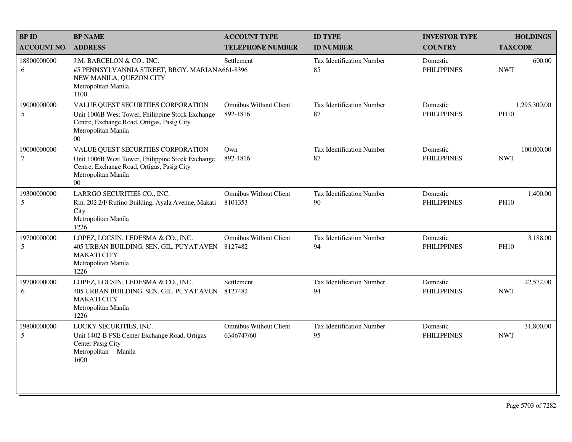| <b>BP NAME</b>                                                                                                                                                        | <b>ACCOUNT TYPE</b>                         | <b>ID TYPE</b>                                 | <b>INVESTOR TYPE</b>           | <b>HOLDINGS</b>             |
|-----------------------------------------------------------------------------------------------------------------------------------------------------------------------|---------------------------------------------|------------------------------------------------|--------------------------------|-----------------------------|
| <b>ADDRESS</b>                                                                                                                                                        | <b>TELEPHONE NUMBER</b>                     | <b>ID NUMBER</b>                               | <b>COUNTRY</b>                 | <b>TAXCODE</b>              |
| J.M. BARCELON & CO., INC.<br>NEW MANILA, QUEZON CITY<br>Metropolitan Manila<br>1100                                                                                   | Settlement                                  | <b>Tax Identification Number</b><br>85         | Domestic<br><b>PHILIPPINES</b> | 600.00<br><b>NWT</b>        |
| VALUE QUEST SECURITIES CORPORATION<br>Unit 1006B West Tower, Philippine Stock Exchange<br>Centre, Exchange Road, Ortigas, Pasig City<br>Metropolitan Manila<br>$00\,$ | <b>Omnibus Without Client</b><br>892-1816   | Tax Identification Number<br>87                | Domestic<br><b>PHILIPPINES</b> | 1,295,300.00<br><b>PH10</b> |
| VALUE QUEST SECURITIES CORPORATION<br>Unit 1006B West Tower, Philippine Stock Exchange<br>Centre, Exchange Road, Ortigas, Pasig City<br>Metropolitan Manila<br>$00\,$ | Own<br>892-1816                             | <b>Tax Identification Number</b><br>87         | Domestic<br><b>PHILIPPINES</b> | 100,000.00<br><b>NWT</b>    |
| LARRGO SECURITIES CO., INC.<br>Rm. 202 2/F Rufino Building, Ayala Avenue, Makati<br>City<br>Metropolitan Manila<br>1226                                               | <b>Omnibus Without Client</b><br>8101353    | <b>Tax Identification Number</b><br>90         | Domestic<br><b>PHILIPPINES</b> | 1,400.00<br><b>PH10</b>     |
| LOPEZ, LOCSIN, LEDESMA & CO., INC.<br>405 URBAN BUILDING, SEN. GIL. PUYAT AVEN<br><b>MAKATI CITY</b><br>Metropolitan Manila<br>1226                                   | <b>Omnibus Without Client</b><br>8127482    | <b>Tax Identification Number</b><br>94         | Domestic<br><b>PHILIPPINES</b> | 3,188.00<br><b>PH10</b>     |
| LOPEZ, LOCSIN, LEDESMA & CO., INC.<br>405 URBAN BUILDING, SEN. GIL. PUYAT AVEN<br><b>MAKATI CITY</b><br>Metropolitan Manila<br>1226                                   | Settlement<br>8127482                       | Tax Identification Number<br>94                | Domestic<br><b>PHILIPPINES</b> | 22,572.00<br><b>NWT</b>     |
| LUCKY SECURITIES, INC.<br>Unit 1402-B PSE Center Exchange Road, Ortigas<br>Center Pasig City<br>Metropolitan Manila<br>1600                                           | <b>Omnibus Without Client</b><br>6346747/60 | <b>Tax Identification Number</b><br>95         | Domestic<br><b>PHILIPPINES</b> | 31,800.00<br><b>NWT</b>     |
|                                                                                                                                                                       |                                             | #5 PENNSYLVANNIA STREET, BRGY. MARIANA661-8396 |                                |                             |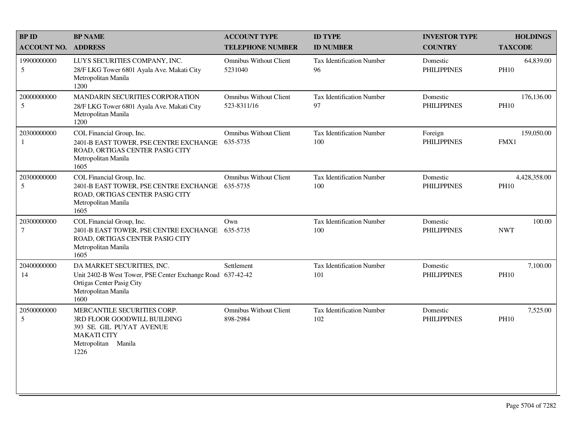| <b>BP ID</b>                  | <b>BP NAME</b>                                                                                                                                       | <b>ACCOUNT TYPE</b>                          | <b>ID TYPE</b>                          | <b>INVESTOR TYPE</b>           | <b>HOLDINGS</b>             |
|-------------------------------|------------------------------------------------------------------------------------------------------------------------------------------------------|----------------------------------------------|-----------------------------------------|--------------------------------|-----------------------------|
| <b>ACCOUNT NO.</b>            | <b>ADDRESS</b>                                                                                                                                       | <b>TELEPHONE NUMBER</b>                      | <b>ID NUMBER</b>                        | <b>COUNTRY</b>                 | <b>TAXCODE</b>              |
| 19900000000<br>5              | LUYS SECURITIES COMPANY, INC.<br>28/F LKG Tower 6801 Ayala Ave. Makati City<br>Metropolitan Manila<br>1200                                           | <b>Omnibus Without Client</b><br>5231040     | <b>Tax Identification Number</b><br>96  | Domestic<br><b>PHILIPPINES</b> | 64,839.00<br><b>PH10</b>    |
| 20000000000<br>5              | MANDARIN SECURITIES CORPORATION<br>28/F LKG Tower 6801 Ayala Ave. Makati City<br>Metropolitan Manila<br>1200                                         | <b>Omnibus Without Client</b><br>523-8311/16 | <b>Tax Identification Number</b><br>97  | Domestic<br><b>PHILIPPINES</b> | 176,136.00<br><b>PH10</b>   |
| 20300000000<br>1              | COL Financial Group, Inc.<br>2401-B EAST TOWER, PSE CENTRE EXCHANGE<br>ROAD, ORTIGAS CENTER PASIG CITY<br>Metropolitan Manila<br>1605                | <b>Omnibus Without Client</b><br>635-5735    | <b>Tax Identification Number</b><br>100 | Foreign<br><b>PHILIPPINES</b>  | 159,050.00<br>FMX1          |
| 20300000000<br>5              | COL Financial Group, Inc.<br>2401-B EAST TOWER, PSE CENTRE EXCHANGE<br>ROAD, ORTIGAS CENTER PASIG CITY<br>Metropolitan Manila<br>1605                | <b>Omnibus Without Client</b><br>635-5735    | Tax Identification Number<br>100        | Domestic<br><b>PHILIPPINES</b> | 4,428,358.00<br><b>PH10</b> |
| 20300000000<br>$\overline{7}$ | COL Financial Group, Inc.<br>2401-B EAST TOWER, PSE CENTRE EXCHANGE<br>ROAD, ORTIGAS CENTER PASIG CITY<br>Metropolitan Manila<br>1605                | Own<br>635-5735                              | <b>Tax Identification Number</b><br>100 | Domestic<br><b>PHILIPPINES</b> | 100.00<br><b>NWT</b>        |
| 20400000000<br>14             | DA MARKET SECURITIES, INC.<br>Unit 2402-B West Tower, PSE Center Exchange Road 637-42-42<br>Ortigas Center Pasig City<br>Metropolitan Manila<br>1600 | Settlement                                   | <b>Tax Identification Number</b><br>101 | Domestic<br><b>PHILIPPINES</b> | 7,100.00<br><b>PH10</b>     |
| 20500000000<br>5              | MERCANTILE SECURITIES CORP.<br>3RD FLOOR GOODWILL BUILDING<br>393 SE. GIL PUYAT AVENUE<br><b>MAKATI CITY</b><br>Metropolitan Manila<br>1226          | <b>Omnibus Without Client</b><br>898-2984    | <b>Tax Identification Number</b><br>102 | Domestic<br><b>PHILIPPINES</b> | 7,525.00<br><b>PH10</b>     |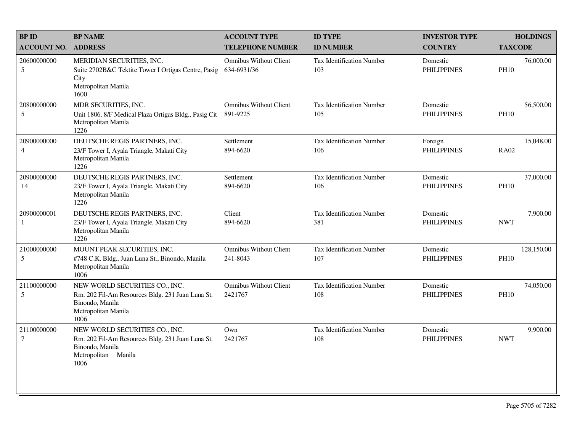| <b>BP ID</b>                  | <b>BP NAME</b>                                                                                                                       | <b>ACCOUNT TYPE</b>                          | <b>ID TYPE</b>                          | <b>INVESTOR TYPE</b>           | <b>HOLDINGS</b>           |
|-------------------------------|--------------------------------------------------------------------------------------------------------------------------------------|----------------------------------------------|-----------------------------------------|--------------------------------|---------------------------|
| <b>ACCOUNT NO.</b>            | <b>ADDRESS</b>                                                                                                                       | <b>TELEPHONE NUMBER</b>                      | <b>ID NUMBER</b>                        | <b>COUNTRY</b>                 | <b>TAXCODE</b>            |
| 20600000000<br>5              | MERIDIAN SECURITIES, INC.<br>Suite 2702B&C Tektite Tower I Ortigas Centre, Pasig<br>City<br>Metropolitan Manila<br>1600              | <b>Omnibus Without Client</b><br>634-6931/36 | Tax Identification Number<br>103        | Domestic<br><b>PHILIPPINES</b> | 76,000.00<br><b>PH10</b>  |
| 20800000000<br>5              | MDR SECURITIES, INC.<br>Unit 1806, 8/F Medical Plaza Ortigas Bldg., Pasig Cit<br>Metropolitan Manila<br>1226                         | <b>Omnibus Without Client</b><br>891-9225    | <b>Tax Identification Number</b><br>105 | Domestic<br><b>PHILIPPINES</b> | 56,500.00<br><b>PH10</b>  |
| 20900000000<br>$\overline{4}$ | DEUTSCHE REGIS PARTNERS, INC.<br>23/F Tower I, Ayala Triangle, Makati City<br>Metropolitan Manila<br>1226                            | Settlement<br>894-6620                       | <b>Tax Identification Number</b><br>106 | Foreign<br><b>PHILIPPINES</b>  | 15,048.00<br><b>RA02</b>  |
| 20900000000<br>14             | DEUTSCHE REGIS PARTNERS, INC.<br>23/F Tower I, Ayala Triangle, Makati City<br>Metropolitan Manila<br>1226                            | Settlement<br>894-6620                       | Tax Identification Number<br>106        | Domestic<br><b>PHILIPPINES</b> | 37,000.00<br><b>PH10</b>  |
| 20900000001<br>-1             | DEUTSCHE REGIS PARTNERS, INC.<br>23/F Tower I, Ayala Triangle, Makati City<br>Metropolitan Manila<br>1226                            | Client<br>894-6620                           | Tax Identification Number<br>381        | Domestic<br><b>PHILIPPINES</b> | 7,900.00<br><b>NWT</b>    |
| 21000000000<br>5              | MOUNT PEAK SECURITIES, INC.<br>#748 C.K. Bldg., Juan Luna St., Binondo, Manila<br>Metropolitan Manila<br>1006                        | Omnibus Without Client<br>241-8043           | Tax Identification Number<br>107        | Domestic<br><b>PHILIPPINES</b> | 128,150.00<br><b>PH10</b> |
| 21100000000<br>5              | NEW WORLD SECURITIES CO., INC.<br>Rm. 202 Fil-Am Resources Bldg. 231 Juan Luna St.<br>Binondo, Manila<br>Metropolitan Manila<br>1006 | <b>Omnibus Without Client</b><br>2421767     | <b>Tax Identification Number</b><br>108 | Domestic<br><b>PHILIPPINES</b> | 74,050.00<br><b>PH10</b>  |
| 21100000000<br>$\tau$         | NEW WORLD SECURITIES CO., INC.<br>Rm. 202 Fil-Am Resources Bldg. 231 Juan Luna St.<br>Binondo, Manila<br>Metropolitan Manila<br>1006 | Own<br>2421767                               | Tax Identification Number<br>108        | Domestic<br><b>PHILIPPINES</b> | 9,900.00<br><b>NWT</b>    |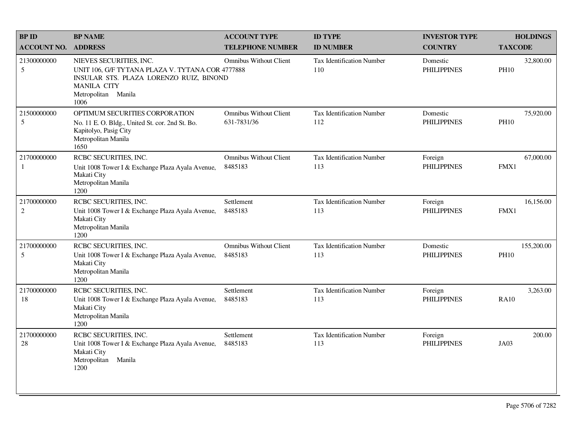| <b>BPID</b>                   | <b>BP NAME</b>                                                                                                                                                              | <b>ACCOUNT TYPE</b>                          | <b>ID TYPE</b>                          | <b>INVESTOR TYPE</b>           | <b>HOLDINGS</b>           |
|-------------------------------|-----------------------------------------------------------------------------------------------------------------------------------------------------------------------------|----------------------------------------------|-----------------------------------------|--------------------------------|---------------------------|
| <b>ACCOUNT NO.</b>            | <b>ADDRESS</b>                                                                                                                                                              | <b>TELEPHONE NUMBER</b>                      | <b>ID NUMBER</b>                        | <b>COUNTRY</b>                 | <b>TAXCODE</b>            |
| 21300000000<br>5              | NIEVES SECURITIES, INC.<br>UNIT 106, G/F TYTANA PLAZA V. TYTANA COR 4777888<br>INSULAR STS. PLAZA LORENZO RUIZ, BINOND<br><b>MANILA CITY</b><br>Metropolitan Manila<br>1006 | <b>Omnibus Without Client</b>                | <b>Tax Identification Number</b><br>110 | Domestic<br><b>PHILIPPINES</b> | 32,800.00<br><b>PH10</b>  |
| 21500000000<br>5              | OPTIMUM SECURITIES CORPORATION<br>No. 11 E. O. Bldg., United St. cor. 2nd St. Bo.<br>Kapitolyo, Pasig City<br>Metropolitan Manila<br>1650                                   | <b>Omnibus Without Client</b><br>631-7831/36 | Tax Identification Number<br>112        | Domestic<br><b>PHILIPPINES</b> | 75,920.00<br><b>PH10</b>  |
| 21700000000<br>$\mathbf{1}$   | RCBC SECURITIES, INC.<br>Unit 1008 Tower I & Exchange Plaza Ayala Avenue,<br>Makati City<br>Metropolitan Manila<br>1200                                                     | <b>Omnibus Without Client</b><br>8485183     | Tax Identification Number<br>113        | Foreign<br><b>PHILIPPINES</b>  | 67,000.00<br>FMX1         |
| 21700000000<br>$\overline{2}$ | RCBC SECURITIES, INC.<br>Unit 1008 Tower I & Exchange Plaza Ayala Avenue,<br>Makati City<br>Metropolitan Manila<br>1200                                                     | Settlement<br>8485183                        | Tax Identification Number<br>113        | Foreign<br><b>PHILIPPINES</b>  | 16,156.00<br>FMX1         |
| 21700000000<br>5              | RCBC SECURITIES, INC.<br>Unit 1008 Tower I & Exchange Plaza Ayala Avenue,<br>Makati City<br>Metropolitan Manila<br>1200                                                     | <b>Omnibus Without Client</b><br>8485183     | Tax Identification Number<br>113        | Domestic<br><b>PHILIPPINES</b> | 155,200.00<br><b>PH10</b> |
| 21700000000<br>18             | RCBC SECURITIES, INC.<br>Unit 1008 Tower I & Exchange Plaza Ayala Avenue,<br>Makati City<br>Metropolitan Manila<br>1200                                                     | Settlement<br>8485183                        | <b>Tax Identification Number</b><br>113 | Foreign<br><b>PHILIPPINES</b>  | 3,263.00<br><b>RA10</b>   |
| 21700000000<br>28             | RCBC SECURITIES, INC.<br>Unit 1008 Tower I & Exchange Plaza Ayala Avenue,<br>Makati City<br>Metropolitan<br>Manila<br>1200                                                  | Settlement<br>8485183                        | <b>Tax Identification Number</b><br>113 | Foreign<br><b>PHILIPPINES</b>  | 200.00<br>JA03            |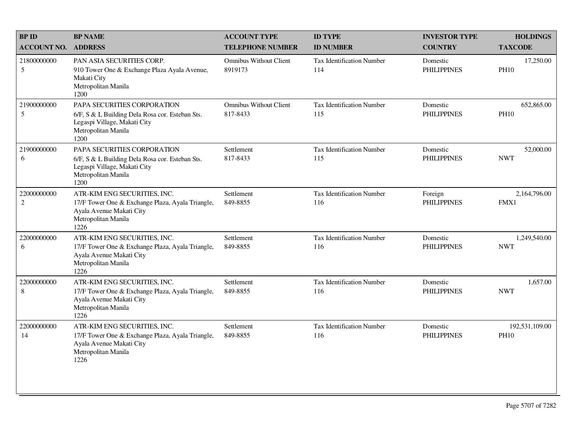| <b>BP ID</b>              | <b>BP NAME</b>                                                                                                                                | <b>ACCOUNT TYPE</b>                       | <b>ID TYPE</b>                          | <b>INVESTOR TYPE</b>           | <b>HOLDINGS</b>               |
|---------------------------|-----------------------------------------------------------------------------------------------------------------------------------------------|-------------------------------------------|-----------------------------------------|--------------------------------|-------------------------------|
| <b>ACCOUNT NO.</b>        | <b>ADDRESS</b>                                                                                                                                | <b>TELEPHONE NUMBER</b>                   | <b>ID NUMBER</b>                        | <b>COUNTRY</b>                 | <b>TAXCODE</b>                |
| 21800000000<br>5          | PAN ASIA SECURITIES CORP.<br>910 Tower One & Exchange Plaza Ayala Avenue,<br>Makati City<br>Metropolitan Manila<br>1200                       | <b>Omnibus Without Client</b><br>8919173  | Tax Identification Number<br>114        | Domestic<br><b>PHILIPPINES</b> | 17,250.00<br><b>PH10</b>      |
| 21900000000<br>5          | PAPA SECURITIES CORPORATION<br>6/F, S & L Building Dela Rosa cor. Esteban Sts.<br>Legaspi Village, Makati City<br>Metropolitan Manila<br>1200 | <b>Omnibus Without Client</b><br>817-8433 | <b>Tax Identification Number</b><br>115 | Domestic<br><b>PHILIPPINES</b> | 652,865.00<br><b>PH10</b>     |
| 21900000000<br>6          | PAPA SECURITIES CORPORATION<br>6/F, S & L Building Dela Rosa cor. Esteban Sts.<br>Legaspi Village, Makati City<br>Metropolitan Manila<br>1200 | Settlement<br>817-8433                    | <b>Tax Identification Number</b><br>115 | Domestic<br><b>PHILIPPINES</b> | 52,000.00<br><b>NWT</b>       |
| 22000000000<br>$\sqrt{2}$ | ATR-KIM ENG SECURITIES, INC.<br>17/F Tower One & Exchange Plaza, Ayala Triangle,<br>Ayala Avenue Makati City<br>Metropolitan Manila<br>1226   | Settlement<br>849-8855                    | <b>Tax Identification Number</b><br>116 | Foreign<br><b>PHILIPPINES</b>  | 2,164,796.00<br>FMX1          |
| 22000000000<br>6          | ATR-KIM ENG SECURITIES, INC.<br>17/F Tower One & Exchange Plaza, Ayala Triangle,<br>Ayala Avenue Makati City<br>Metropolitan Manila<br>1226   | Settlement<br>849-8855                    | <b>Tax Identification Number</b><br>116 | Domestic<br><b>PHILIPPINES</b> | 1,249,540.00<br><b>NWT</b>    |
| 22000000000<br>$\,8\,$    | ATR-KIM ENG SECURITIES, INC.<br>17/F Tower One & Exchange Plaza, Ayala Triangle,<br>Ayala Avenue Makati City<br>Metropolitan Manila<br>1226   | Settlement<br>849-8855                    | Tax Identification Number<br>116        | Domestic<br><b>PHILIPPINES</b> | 1,657.00<br><b>NWT</b>        |
| 22000000000<br>14         | ATR-KIM ENG SECURITIES, INC.<br>17/F Tower One & Exchange Plaza, Ayala Triangle,<br>Ayala Avenue Makati City<br>Metropolitan Manila<br>1226   | Settlement<br>849-8855                    | <b>Tax Identification Number</b><br>116 | Domestic<br><b>PHILIPPINES</b> | 192,531,109.00<br><b>PH10</b> |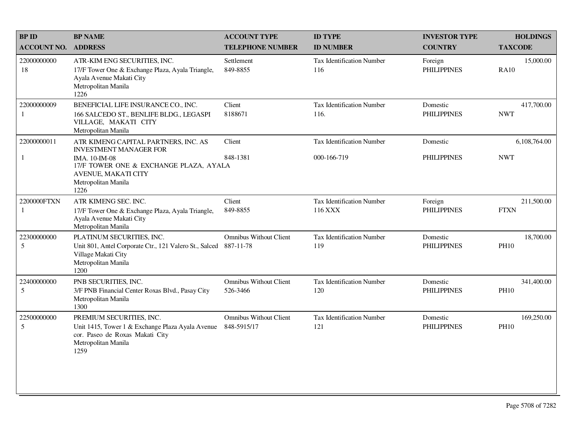| <b>BPID</b>                 | <b>BP NAME</b>                                                                                                                                                                         | <b>ACCOUNT TYPE</b>                          | <b>ID TYPE</b>                           | <b>INVESTOR TYPE</b>           | <b>HOLDINGS</b>            |
|-----------------------------|----------------------------------------------------------------------------------------------------------------------------------------------------------------------------------------|----------------------------------------------|------------------------------------------|--------------------------------|----------------------------|
| <b>ACCOUNT NO. ADDRESS</b>  |                                                                                                                                                                                        | <b>TELEPHONE NUMBER</b>                      | <b>ID NUMBER</b>                         | <b>COUNTRY</b>                 | <b>TAXCODE</b>             |
| 22000000000<br>18           | ATR-KIM ENG SECURITIES, INC.<br>17/F Tower One & Exchange Plaza, Ayala Triangle,<br>Ayala Avenue Makati City<br>Metropolitan Manila<br>1226                                            | Settlement<br>849-8855                       | <b>Tax Identification Number</b><br>116  | Foreign<br><b>PHILIPPINES</b>  | 15,000.00<br><b>RA10</b>   |
| 22000000009<br>$\mathbf{1}$ | BENEFICIAL LIFE INSURANCE CO., INC.<br>166 SALCEDO ST., BENLIFE BLDG., LEGASPI<br>VILLAGE, MAKATI CITY<br>Metropolitan Manila                                                          | Client<br>8188671                            | Tax Identification Number<br>116.        | Domestic<br><b>PHILIPPINES</b> | 417,700.00<br><b>NWT</b>   |
| 22000000011<br>$\mathbf{1}$ | ATR KIMENG CAPITAL PARTNERS, INC. AS<br><b>INVESTMENT MANAGER FOR</b><br>IMA. 10-IM-08<br>17/F TOWER ONE & EXCHANGE PLAZA, AYALA<br>AVENUE, MAKATI CITY<br>Metropolitan Manila<br>1226 | Client<br>848-1381                           | Tax Identification Number<br>000-166-719 | Domestic<br><b>PHILIPPINES</b> | 6,108,764.00<br><b>NWT</b> |
| 2200000FTXN<br>1            | ATR KIMENG SEC. INC.<br>17/F Tower One & Exchange Plaza, Ayala Triangle,<br>Ayala Avenue Makati City<br>Metropolitan Manila                                                            | Client<br>849-8855                           | Tax Identification Number<br>116 XXX     | Foreign<br><b>PHILIPPINES</b>  | 211,500.00<br><b>FTXN</b>  |
| 22300000000<br>5            | PLATINUM SECURITIES, INC.<br>Unit 801, Antel Corporate Ctr., 121 Valero St., Salced<br>Village Makati City<br>Metropolitan Manila<br>1200                                              | <b>Omnibus Without Client</b><br>887-11-78   | Tax Identification Number<br>119         | Domestic<br><b>PHILIPPINES</b> | 18,700.00<br><b>PH10</b>   |
| 22400000000<br>5            | PNB SECURITIES, INC.<br>3/F PNB Financial Center Roxas Blvd., Pasay City<br>Metropolitan Manila<br>1300                                                                                | <b>Omnibus Without Client</b><br>526-3466    | Tax Identification Number<br>120         | Domestic<br><b>PHILIPPINES</b> | 341,400.00<br><b>PH10</b>  |
| 22500000000<br>5            | PREMIUM SECURITIES, INC.<br>Unit 1415, Tower 1 & Exchange Plaza Ayala Avenue<br>cor. Paseo de Roxas Makati City<br>Metropolitan Manila<br>1259                                         | <b>Omnibus Without Client</b><br>848-5915/17 | Tax Identification Number<br>121         | Domestic<br><b>PHILIPPINES</b> | 169,250.00<br><b>PH10</b>  |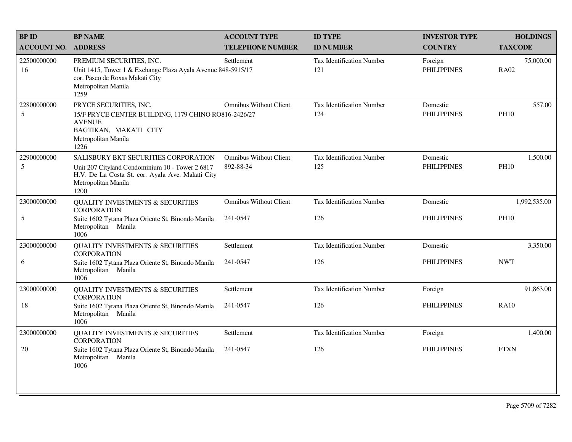| <b>BPID</b>        | <b>BP NAME</b>                                                                                                                                                             | <b>ACCOUNT TYPE</b>                        | <b>ID TYPE</b>                          | <b>INVESTOR TYPE</b>           | <b>HOLDINGS</b>          |
|--------------------|----------------------------------------------------------------------------------------------------------------------------------------------------------------------------|--------------------------------------------|-----------------------------------------|--------------------------------|--------------------------|
| <b>ACCOUNT NO.</b> | <b>ADDRESS</b>                                                                                                                                                             | <b>TELEPHONE NUMBER</b>                    | <b>ID NUMBER</b>                        | <b>COUNTRY</b>                 | <b>TAXCODE</b>           |
| 22500000000<br>16  | PREMIUM SECURITIES, INC.<br>Unit 1415, Tower 1 & Exchange Plaza Ayala Avenue 848-5915/17<br>cor. Paseo de Roxas Makati City<br>Metropolitan Manila<br>1259                 | Settlement                                 | Tax Identification Number<br>121        | Foreign<br><b>PHILIPPINES</b>  | 75,000.00<br><b>RA02</b> |
| 22800000000<br>5   | PRYCE SECURITIES, INC.<br>15/F PRYCE CENTER BUILDING, 1179 CHINO RO816-2426/27<br><b>AVENUE</b><br>BAGTIKAN, MAKATI CITY<br>Metropolitan Manila<br>1226                    | <b>Omnibus Without Client</b>              | <b>Tax Identification Number</b><br>124 | Domestic<br><b>PHILIPPINES</b> | 557.00<br><b>PH10</b>    |
| 22900000000<br>5   | SALISBURY BKT SECURITIES CORPORATION<br>Unit 207 Cityland Condominium 10 - Tower 2 6817<br>H.V. De La Costa St. cor. Ayala Ave. Makati City<br>Metropolitan Manila<br>1200 | <b>Omnibus Without Client</b><br>892-88-34 | <b>Tax Identification Number</b><br>125 | Domestic<br><b>PHILIPPINES</b> | 1,500.00<br><b>PH10</b>  |
| 23000000000        | <b>QUALITY INVESTMENTS &amp; SECURITIES</b><br><b>CORPORATION</b>                                                                                                          | <b>Omnibus Without Client</b>              | <b>Tax Identification Number</b>        | Domestic                       | 1,992,535.00             |
| 5                  | Suite 1602 Tytana Plaza Oriente St, Binondo Manila<br>Metropolitan Manila<br>1006                                                                                          | 241-0547                                   | 126                                     | <b>PHILIPPINES</b>             | <b>PH10</b>              |
| 23000000000        | <b>QUALITY INVESTMENTS &amp; SECURITIES</b><br><b>CORPORATION</b>                                                                                                          | Settlement                                 | <b>Tax Identification Number</b>        | Domestic                       | 3,350.00                 |
| 6                  | Suite 1602 Tytana Plaza Oriente St, Binondo Manila<br>Metropolitan Manila<br>1006                                                                                          | 241-0547                                   | 126                                     | <b>PHILIPPINES</b>             | <b>NWT</b>               |
| 23000000000        | <b>QUALITY INVESTMENTS &amp; SECURITIES</b><br><b>CORPORATION</b>                                                                                                          | Settlement                                 | <b>Tax Identification Number</b>        | Foreign                        | 91,863.00                |
| 18                 | Suite 1602 Tytana Plaza Oriente St, Binondo Manila<br>Metropolitan Manila<br>1006                                                                                          | 241-0547                                   | 126                                     | <b>PHILIPPINES</b>             | <b>RA10</b>              |
| 23000000000        | QUALITY INVESTMENTS & SECURITIES<br><b>CORPORATION</b>                                                                                                                     | Settlement                                 | <b>Tax Identification Number</b>        | Foreign                        | 1,400.00                 |
| $20\,$             | Suite 1602 Tytana Plaza Oriente St, Binondo Manila<br>Metropolitan Manila<br>1006                                                                                          | 241-0547                                   | 126                                     | <b>PHILIPPINES</b>             | <b>FTXN</b>              |
|                    |                                                                                                                                                                            |                                            |                                         |                                |                          |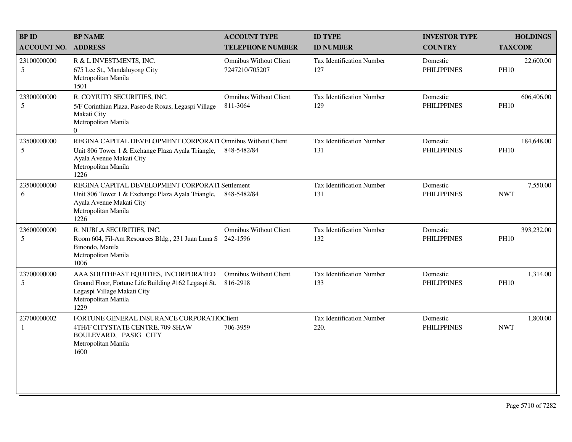| <b>BPID</b>        | <b>BP NAME</b>                                                                                                                                                              | <b>ACCOUNT TYPE</b>                             | <b>ID TYPE</b>                          | <b>INVESTOR TYPE</b>           | <b>HOLDINGS</b>           |
|--------------------|-----------------------------------------------------------------------------------------------------------------------------------------------------------------------------|-------------------------------------------------|-----------------------------------------|--------------------------------|---------------------------|
| <b>ACCOUNT NO.</b> | <b>ADDRESS</b>                                                                                                                                                              | <b>TELEPHONE NUMBER</b>                         | <b>ID NUMBER</b>                        | <b>COUNTRY</b>                 | <b>TAXCODE</b>            |
| 23100000000<br>5   | R & L INVESTMENTS, INC.<br>675 Lee St., Mandaluyong City<br>Metropolitan Manila<br>1501                                                                                     | <b>Omnibus Without Client</b><br>7247210/705207 | Tax Identification Number<br>127        | Domestic<br><b>PHILIPPINES</b> | 22,600.00<br><b>PH10</b>  |
| 23300000000<br>5   | R. COYIUTO SECURITIES, INC.<br>5/F Corinthian Plaza, Paseo de Roxas, Legaspi Village<br>Makati City<br>Metropolitan Manila<br>$\Omega$                                      | <b>Omnibus Without Client</b><br>811-3064       | Tax Identification Number<br>129        | Domestic<br><b>PHILIPPINES</b> | 606,406.00<br><b>PH10</b> |
| 23500000000<br>5   | REGINA CAPITAL DEVELOPMENT CORPORATI Omnibus Without Client<br>Unit 806 Tower 1 & Exchange Plaza Ayala Triangle,<br>Ayala Avenue Makati City<br>Metropolitan Manila<br>1226 | 848-5482/84                                     | Tax Identification Number<br>131        | Domestic<br><b>PHILIPPINES</b> | 184,648.00<br><b>PH10</b> |
| 23500000000<br>6   | REGINA CAPITAL DEVELOPMENT CORPORATI Settlement<br>Unit 806 Tower 1 & Exchange Plaza Ayala Triangle,<br>Ayala Avenue Makati City<br>Metropolitan Manila<br>1226             | 848-5482/84                                     | <b>Tax Identification Number</b><br>131 | Domestic<br><b>PHILIPPINES</b> | 7,550.00<br><b>NWT</b>    |
| 23600000000<br>5   | R. NUBLA SECURITIES, INC.<br>Room 604, Fil-Am Resources Bldg., 231 Juan Luna S 242-1596<br>Binondo, Manila<br>Metropolitan Manila<br>1006                                   | <b>Omnibus Without Client</b>                   | Tax Identification Number<br>132        | Domestic<br><b>PHILIPPINES</b> | 393,232.00<br><b>PH10</b> |
| 23700000000<br>5   | AAA SOUTHEAST EQUITIES, INCORPORATED<br>Ground Floor, Fortune Life Building #162 Legaspi St.<br>Legaspi Village Makati City<br>Metropolitan Manila<br>1229                  | <b>Omnibus Without Client</b><br>816-2918       | Tax Identification Number<br>133        | Domestic<br><b>PHILIPPINES</b> | 1,314.00<br><b>PH10</b>   |
| 23700000002<br>1   | FORTUNE GENERAL INSURANCE CORPORATIOCIEnt<br>4TH/F CITYSTATE CENTRE, 709 SHAW<br>BOULEVARD, PASIG CITY<br>Metropolitan Manila<br>1600                                       | 706-3959                                        | Tax Identification Number<br>220.       | Domestic<br><b>PHILIPPINES</b> | 1,800.00<br><b>NWT</b>    |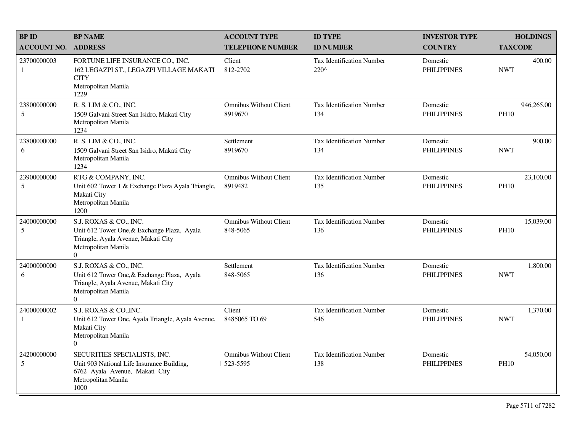| <b>BPID</b>        | <b>BP NAME</b>                                                                                                                                        | <b>ACCOUNT TYPE</b>                       | <b>ID TYPE</b>                                    | <b>INVESTOR TYPE</b>           | <b>HOLDINGS</b>           |
|--------------------|-------------------------------------------------------------------------------------------------------------------------------------------------------|-------------------------------------------|---------------------------------------------------|--------------------------------|---------------------------|
| <b>ACCOUNT NO.</b> | <b>ADDRESS</b>                                                                                                                                        | <b>TELEPHONE NUMBER</b>                   | <b>ID NUMBER</b>                                  | <b>COUNTRY</b>                 | <b>TAXCODE</b>            |
| 23700000003<br>-1  | FORTUNE LIFE INSURANCE CO., INC.<br>162 LEGAZPI ST., LEGAZPI VILLAGE MAKATI<br><b>CITY</b><br>Metropolitan Manila<br>1229                             | Client<br>812-2702                        | <b>Tax Identification Number</b><br>$220^{\circ}$ | Domestic<br><b>PHILIPPINES</b> | 400.00<br><b>NWT</b>      |
| 23800000000<br>5   | R. S. LIM & CO., INC.<br>1509 Galvani Street San Isidro, Makati City<br>Metropolitan Manila<br>1234                                                   | <b>Omnibus Without Client</b><br>8919670  | Tax Identification Number<br>134                  | Domestic<br><b>PHILIPPINES</b> | 946,265.00<br><b>PH10</b> |
| 23800000000<br>6   | R. S. LIM & CO., INC.<br>1509 Galvani Street San Isidro, Makati City<br>Metropolitan Manila<br>1234                                                   | Settlement<br>8919670                     | <b>Tax Identification Number</b><br>134           | Domestic<br><b>PHILIPPINES</b> | 900.00<br><b>NWT</b>      |
| 23900000000<br>5   | RTG & COMPANY, INC.<br>Unit 602 Tower 1 & Exchange Plaza Ayala Triangle,<br>Makati City<br>Metropolitan Manila<br>1200                                | <b>Omnibus Without Client</b><br>8919482  | <b>Tax Identification Number</b><br>135           | Domestic<br><b>PHILIPPINES</b> | 23,100.00<br><b>PH10</b>  |
| 24000000000<br>5   | S.J. ROXAS & CO., INC.<br>Unit 612 Tower One, & Exchange Plaza, Ayala<br>Triangle, Ayala Avenue, Makati City<br>Metropolitan Manila<br>$\overline{0}$ | <b>Omnibus Without Client</b><br>848-5065 | <b>Tax Identification Number</b><br>136           | Domestic<br><b>PHILIPPINES</b> | 15,039.00<br><b>PH10</b>  |
| 24000000000<br>6   | S.J. ROXAS & CO., INC.<br>Unit 612 Tower One, & Exchange Plaza, Ayala<br>Triangle, Ayala Avenue, Makati City<br>Metropolitan Manila<br>$\Omega$       | Settlement<br>848-5065                    | <b>Tax Identification Number</b><br>136           | Domestic<br><b>PHILIPPINES</b> | 1,800.00<br><b>NWT</b>    |
| 24000000002<br>1   | S.J. ROXAS & CO., INC.<br>Unit 612 Tower One, Ayala Triangle, Ayala Avenue,<br>Makati City<br>Metropolitan Manila<br>$\overline{0}$                   | Client<br>8485065 TO 69                   | <b>Tax Identification Number</b><br>546           | Domestic<br><b>PHILIPPINES</b> | 1,370.00<br><b>NWT</b>    |
| 24200000000<br>5   | SECURITIES SPECIALISTS, INC.<br>Unit 903 National Life Insurance Building,<br>6762 Ayala Avenue, Makati City<br>Metropolitan Manila<br>1000           | Omnibus Without Client<br>  523-5595      | <b>Tax Identification Number</b><br>138           | Domestic<br><b>PHILIPPINES</b> | 54,050.00<br><b>PH10</b>  |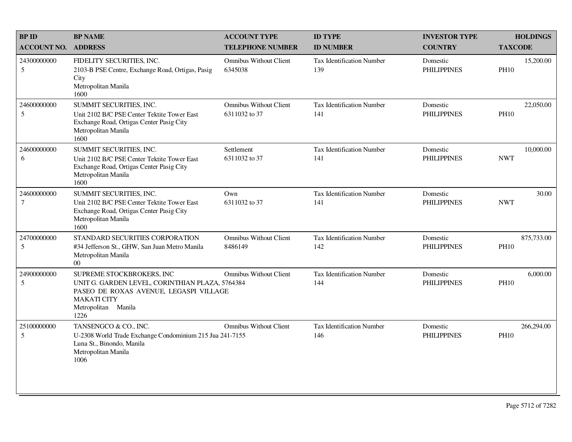| <b>BP ID</b>                  | <b>BP NAME</b>                                                                                                                                                              | <b>ACCOUNT TYPE</b>                            | <b>ID TYPE</b>                          | <b>INVESTOR TYPE</b>           | <b>HOLDINGS</b>           |
|-------------------------------|-----------------------------------------------------------------------------------------------------------------------------------------------------------------------------|------------------------------------------------|-----------------------------------------|--------------------------------|---------------------------|
| <b>ACCOUNT NO.</b>            | <b>ADDRESS</b>                                                                                                                                                              | <b>TELEPHONE NUMBER</b>                        | <b>ID NUMBER</b>                        | <b>COUNTRY</b>                 | <b>TAXCODE</b>            |
| 24300000000<br>5              | FIDELITY SECURITIES, INC.<br>2103-B PSE Centre, Exchange Road, Ortigas, Pasig<br>City<br>Metropolitan Manila<br>1600                                                        | <b>Omnibus Without Client</b><br>6345038       | Tax Identification Number<br>139        | Domestic<br><b>PHILIPPINES</b> | 15,200.00<br><b>PH10</b>  |
| 24600000000<br>5              | SUMMIT SECURITIES, INC.<br>Unit 2102 B/C PSE Center Tektite Tower East<br>Exchange Road, Ortigas Center Pasig City<br>Metropolitan Manila<br>1600                           | <b>Omnibus Without Client</b><br>6311032 to 37 | <b>Tax Identification Number</b><br>141 | Domestic<br><b>PHILIPPINES</b> | 22,050.00<br><b>PH10</b>  |
| 24600000000<br>6              | SUMMIT SECURITIES, INC.<br>Unit 2102 B/C PSE Center Tektite Tower East<br>Exchange Road, Ortigas Center Pasig City<br>Metropolitan Manila<br>1600                           | Settlement<br>6311032 to 37                    | <b>Tax Identification Number</b><br>141 | Domestic<br><b>PHILIPPINES</b> | 10,000.00<br><b>NWT</b>   |
| 24600000000<br>$\overline{7}$ | SUMMIT SECURITIES, INC.<br>Unit 2102 B/C PSE Center Tektite Tower East<br>Exchange Road, Ortigas Center Pasig City<br>Metropolitan Manila<br>1600                           | Own<br>6311032 to 37                           | Tax Identification Number<br>141        | Domestic<br><b>PHILIPPINES</b> | 30.00<br><b>NWT</b>       |
| 24700000000<br>5              | STANDARD SECURITIES CORPORATION<br>#34 Jefferson St., GHW, San Juan Metro Manila<br>Metropolitan Manila<br>00 <sup>1</sup>                                                  | <b>Omnibus Without Client</b><br>8486149       | <b>Tax Identification Number</b><br>142 | Domestic<br><b>PHILIPPINES</b> | 875,733.00<br><b>PH10</b> |
| 24900000000<br>5              | SUPREME STOCKBROKERS, INC<br>UNIT G. GARDEN LEVEL, CORINTHIAN PLAZA, 5764384<br>PASEO DE ROXAS AVENUE, LEGASPI VILLAGE<br><b>MAKATI CITY</b><br>Metropolitan Manila<br>1226 | <b>Omnibus Without Client</b>                  | <b>Tax Identification Number</b><br>144 | Domestic<br><b>PHILIPPINES</b> | 6,000.00<br><b>PH10</b>   |
| 25100000000<br>5              | TANSENGCO & CO., INC.<br>U-2308 World Trade Exchange Condominium 215 Jua 241-7155<br>Luna St., Binondo, Manila<br>Metropolitan Manila<br>1006                               | <b>Omnibus Without Client</b>                  | <b>Tax Identification Number</b><br>146 | Domestic<br><b>PHILIPPINES</b> | 266,294.00<br><b>PH10</b> |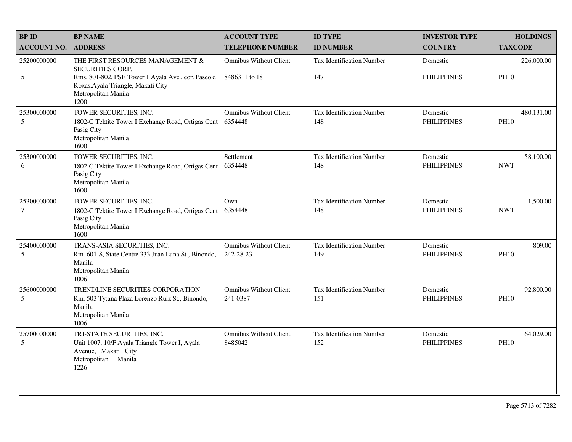| <b>BP ID</b>                   | <b>BP NAME</b>                                                                                                                                                                         | <b>ACCOUNT TYPE</b>                            | <b>ID TYPE</b>                          | <b>INVESTOR TYPE</b>           | <b>HOLDINGS</b>           |
|--------------------------------|----------------------------------------------------------------------------------------------------------------------------------------------------------------------------------------|------------------------------------------------|-----------------------------------------|--------------------------------|---------------------------|
| <b>ACCOUNT NO.</b>             | <b>ADDRESS</b>                                                                                                                                                                         | <b>TELEPHONE NUMBER</b>                        | <b>ID NUMBER</b>                        | <b>COUNTRY</b>                 | <b>TAXCODE</b>            |
| 25200000000<br>5               | THE FIRST RESOURCES MANAGEMENT &<br><b>SECURITIES CORP.</b><br>Rms. 801-802, PSE Tower 1 Ayala Ave., cor. Paseo d<br>Roxas, Ayala Triangle, Makati City<br>Metropolitan Manila<br>1200 | <b>Omnibus Without Client</b><br>8486311 to 18 | <b>Tax Identification Number</b><br>147 | Domestic<br><b>PHILIPPINES</b> | 226,000.00<br><b>PH10</b> |
| 25300000000<br>5               | TOWER SECURITIES, INC.<br>1802-C Tektite Tower I Exchange Road, Ortigas Cent 6354448<br>Pasig City<br>Metropolitan Manila<br>1600                                                      | <b>Omnibus Without Client</b>                  | <b>Tax Identification Number</b><br>148 | Domestic<br><b>PHILIPPINES</b> | 480,131.00<br><b>PH10</b> |
| 25300000000<br>6               | TOWER SECURITIES, INC.<br>1802-C Tektite Tower I Exchange Road, Ortigas Cent<br>Pasig City<br>Metropolitan Manila<br>1600                                                              | Settlement<br>6354448                          | Tax Identification Number<br>148        | Domestic<br><b>PHILIPPINES</b> | 58,100.00<br><b>NWT</b>   |
| 25300000000<br>$7\phantom{.0}$ | TOWER SECURITIES, INC.<br>1802-C Tektite Tower I Exchange Road, Ortigas Cent<br>Pasig City<br>Metropolitan Manila<br>1600                                                              | Own<br>6354448                                 | Tax Identification Number<br>148        | Domestic<br><b>PHILIPPINES</b> | 1,500.00<br><b>NWT</b>    |
| 25400000000<br>5               | TRANS-ASIA SECURITIES, INC.<br>Rm. 601-S, State Centre 333 Juan Luna St., Binondo,<br>Manila<br>Metropolitan Manila<br>1006                                                            | <b>Omnibus Without Client</b><br>242-28-23     | Tax Identification Number<br>149        | Domestic<br><b>PHILIPPINES</b> | 809.00<br><b>PH10</b>     |
| 25600000000<br>5               | TRENDLINE SECURITIES CORPORATION<br>Rm. 503 Tytana Plaza Lorenzo Ruiz St., Binondo,<br>Manila<br>Metropolitan Manila<br>1006                                                           | <b>Omnibus Without Client</b><br>241-0387      | Tax Identification Number<br>151        | Domestic<br><b>PHILIPPINES</b> | 92,800.00<br><b>PH10</b>  |
| 25700000000<br>5               | TRI-STATE SECURITIES, INC.<br>Unit 1007, 10/F Ayala Triangle Tower I, Ayala<br>Avenue, Makati City<br>Metropolitan Manila<br>1226                                                      | <b>Omnibus Without Client</b><br>8485042       | <b>Tax Identification Number</b><br>152 | Domestic<br><b>PHILIPPINES</b> | 64,029.00<br><b>PH10</b>  |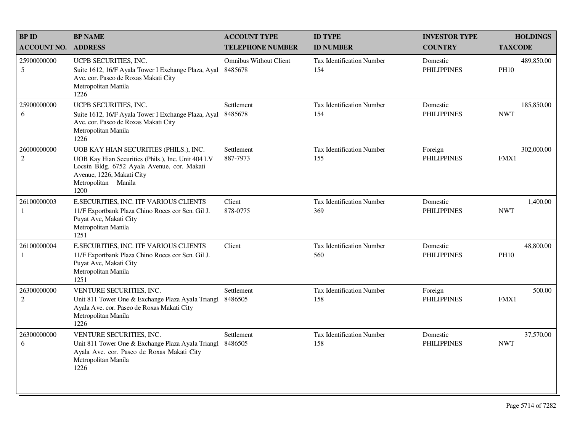| <b>BPID</b>                   | <b>BP NAME</b>                                                                                                                                                                                          | <b>ACCOUNT TYPE</b>                      | <b>ID TYPE</b>                          | <b>INVESTOR TYPE</b>           | <b>HOLDINGS</b>           |
|-------------------------------|---------------------------------------------------------------------------------------------------------------------------------------------------------------------------------------------------------|------------------------------------------|-----------------------------------------|--------------------------------|---------------------------|
| <b>ACCOUNT NO. ADDRESS</b>    |                                                                                                                                                                                                         | <b>TELEPHONE NUMBER</b>                  | <b>ID NUMBER</b>                        | <b>COUNTRY</b>                 | <b>TAXCODE</b>            |
| 25900000000<br>5              | UCPB SECURITIES, INC.<br>Suite 1612, 16/F Ayala Tower I Exchange Plaza, Ayal<br>Ave. cor. Paseo de Roxas Makati City<br>Metropolitan Manila<br>1226                                                     | <b>Omnibus Without Client</b><br>8485678 | <b>Tax Identification Number</b><br>154 | Domestic<br><b>PHILIPPINES</b> | 489,850.00<br><b>PH10</b> |
| 25900000000<br>6              | UCPB SECURITIES, INC.<br>Suite 1612, 16/F Ayala Tower I Exchange Plaza, Ayal<br>Ave. cor. Paseo de Roxas Makati City<br>Metropolitan Manila<br>1226                                                     | Settlement<br>8485678                    | Tax Identification Number<br>154        | Domestic<br><b>PHILIPPINES</b> | 185,850.00<br><b>NWT</b>  |
| 26000000000<br>$\overline{c}$ | UOB KAY HIAN SECURITIES (PHILS.), INC.<br>UOB Kay Hian Securities (Phils.), Inc. Unit 404 LV<br>Locsin Bldg. 6752 Ayala Avenue, cor. Makati<br>Avenue, 1226, Makati City<br>Metropolitan Manila<br>1200 | Settlement<br>887-7973                   | <b>Tax Identification Number</b><br>155 | Foreign<br><b>PHILIPPINES</b>  | 302,000.00<br>FMX1        |
| 26100000003<br>1              | E.SECURITIES, INC. ITF VARIOUS CLIENTS<br>11/F Exportbank Plaza Chino Roces cor Sen. Gil J.<br>Puyat Ave, Makati City<br>Metropolitan Manila<br>1251                                                    | Client<br>878-0775                       | Tax Identification Number<br>369        | Domestic<br><b>PHILIPPINES</b> | 1,400.00<br><b>NWT</b>    |
| 26100000004<br>1              | E.SECURITIES, INC. ITF VARIOUS CLIENTS<br>11/F Exportbank Plaza Chino Roces cor Sen. Gil J.<br>Puyat Ave, Makati City<br>Metropolitan Manila<br>1251                                                    | Client                                   | Tax Identification Number<br>560        | Domestic<br><b>PHILIPPINES</b> | 48,800.00<br><b>PH10</b>  |
| 26300000000<br>$\overline{2}$ | VENTURE SECURITIES, INC.<br>Unit 811 Tower One & Exchange Plaza Ayala Triangl<br>Ayala Ave. cor. Paseo de Roxas Makati City<br>Metropolitan Manila<br>1226                                              | Settlement<br>8486505                    | <b>Tax Identification Number</b><br>158 | Foreign<br><b>PHILIPPINES</b>  | 500.00<br>FMX1            |
| 26300000000<br>6              | VENTURE SECURITIES, INC.<br>Unit 811 Tower One & Exchange Plaza Ayala Triangl<br>Ayala Ave. cor. Paseo de Roxas Makati City<br>Metropolitan Manila<br>1226                                              | Settlement<br>8486505                    | <b>Tax Identification Number</b><br>158 | Domestic<br><b>PHILIPPINES</b> | 37,570.00<br><b>NWT</b>   |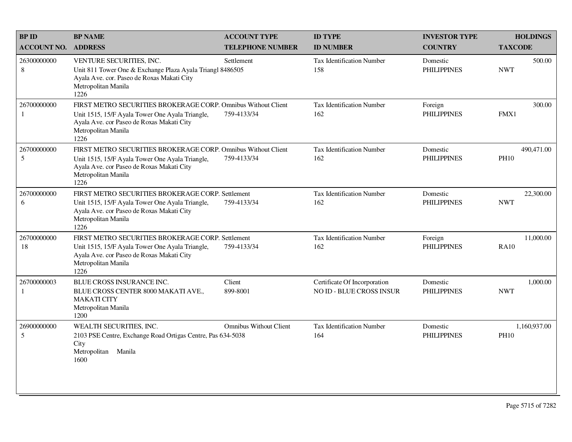| <b>BP ID</b>                | <b>BP NAME</b>                                                                                                                                                                               | <b>ACCOUNT TYPE</b>           | <b>ID TYPE</b>                                                  | <b>INVESTOR TYPE</b>           | <b>HOLDINGS</b>             |
|-----------------------------|----------------------------------------------------------------------------------------------------------------------------------------------------------------------------------------------|-------------------------------|-----------------------------------------------------------------|--------------------------------|-----------------------------|
| <b>ACCOUNT NO.</b>          | <b>ADDRESS</b>                                                                                                                                                                               | <b>TELEPHONE NUMBER</b>       | <b>ID NUMBER</b>                                                | <b>COUNTRY</b>                 | <b>TAXCODE</b>              |
| 26300000000<br>$8\,$        | VENTURE SECURITIES, INC.<br>Unit 811 Tower One & Exchange Plaza Ayala Triangl 8486505<br>Ayala Ave. cor. Paseo de Roxas Makati City<br>Metropolitan Manila<br>1226                           | Settlement                    | Tax Identification Number<br>158                                | Domestic<br><b>PHILIPPINES</b> | 500.00<br><b>NWT</b>        |
| 26700000000<br>$\mathbf{1}$ | FIRST METRO SECURITIES BROKERAGE CORP. Omnibus Without Client<br>Unit 1515, 15/F Ayala Tower One Ayala Triangle,<br>Ayala Ave. cor Paseo de Roxas Makati City<br>Metropolitan Manila<br>1226 | 759-4133/34                   | <b>Tax Identification Number</b><br>162                         | Foreign<br><b>PHILIPPINES</b>  | 300.00<br>FMX1              |
| 26700000000<br>5            | FIRST METRO SECURITIES BROKERAGE CORP. Omnibus Without Client<br>Unit 1515, 15/F Ayala Tower One Ayala Triangle,<br>Ayala Ave. cor Paseo de Roxas Makati City<br>Metropolitan Manila<br>1226 | 759-4133/34                   | <b>Tax Identification Number</b><br>162                         | Domestic<br><b>PHILIPPINES</b> | 490,471.00<br><b>PH10</b>   |
| 26700000000<br>6            | FIRST METRO SECURITIES BROKERAGE CORP. Settlement<br>Unit 1515, 15/F Ayala Tower One Ayala Triangle,<br>Ayala Ave. cor Paseo de Roxas Makati City<br>Metropolitan Manila<br>1226             | 759-4133/34                   | Tax Identification Number<br>162                                | Domestic<br><b>PHILIPPINES</b> | 22,300.00<br><b>NWT</b>     |
| 26700000000<br>18           | FIRST METRO SECURITIES BROKERAGE CORP. Settlement<br>Unit 1515, 15/F Ayala Tower One Ayala Triangle,<br>Ayala Ave. cor Paseo de Roxas Makati City<br>Metropolitan Manila<br>1226             | 759-4133/34                   | <b>Tax Identification Number</b><br>162                         | Foreign<br><b>PHILIPPINES</b>  | 11,000.00<br><b>RA10</b>    |
| 26700000003<br>$\mathbf{1}$ | BLUE CROSS INSURANCE INC.<br>BLUE CROSS CENTER 8000 MAKATI AVE.,<br><b>MAKATI CITY</b><br>Metropolitan Manila<br>1200                                                                        | Client<br>899-8001            | Certificate Of Incorporation<br><b>NO ID - BLUE CROSS INSUR</b> | Domestic<br><b>PHILIPPINES</b> | 1,000.00<br><b>NWT</b>      |
| 26900000000<br>5            | WEALTH SECURITIES, INC.<br>2103 PSE Centre, Exchange Road Ortigas Centre, Pas 634-5038<br>City<br>Metropolitan Manila<br>1600                                                                | <b>Omnibus Without Client</b> | <b>Tax Identification Number</b><br>164                         | Domestic<br><b>PHILIPPINES</b> | 1,160,937.00<br><b>PH10</b> |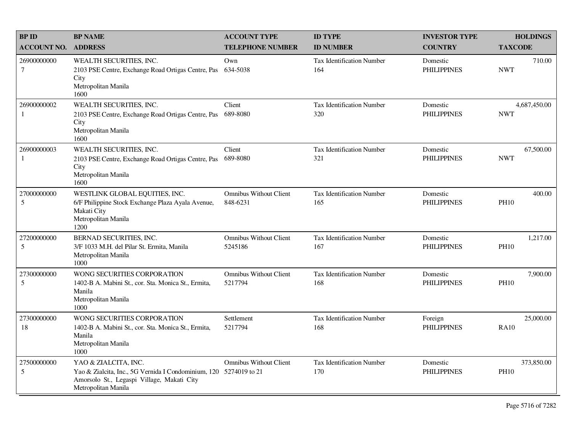| <b>BPID</b>                   | <b>BP NAME</b>                                                                                                                                                 | <b>ACCOUNT TYPE</b>                       | <b>ID TYPE</b>                          | <b>INVESTOR TYPE</b>           | <b>HOLDINGS</b>            |
|-------------------------------|----------------------------------------------------------------------------------------------------------------------------------------------------------------|-------------------------------------------|-----------------------------------------|--------------------------------|----------------------------|
| <b>ACCOUNT NO.</b>            | <b>ADDRESS</b>                                                                                                                                                 | <b>TELEPHONE NUMBER</b>                   | <b>ID NUMBER</b>                        | <b>COUNTRY</b>                 | <b>TAXCODE</b>             |
| 26900000000<br>$\overline{7}$ | WEALTH SECURITIES, INC.<br>2103 PSE Centre, Exchange Road Ortigas Centre, Pas<br>City<br>Metropolitan Manila<br>1600                                           | Own<br>634-5038                           | <b>Tax Identification Number</b><br>164 | Domestic<br><b>PHILIPPINES</b> | 710.00<br><b>NWT</b>       |
| 26900000002<br>1              | WEALTH SECURITIES, INC.<br>2103 PSE Centre, Exchange Road Ortigas Centre, Pas<br>City<br>Metropolitan Manila<br>1600                                           | Client<br>689-8080                        | Tax Identification Number<br>320        | Domestic<br><b>PHILIPPINES</b> | 4,687,450.00<br><b>NWT</b> |
| 26900000003<br>1              | WEALTH SECURITIES, INC.<br>2103 PSE Centre, Exchange Road Ortigas Centre, Pas<br>City<br>Metropolitan Manila<br>1600                                           | Client<br>689-8080                        | Tax Identification Number<br>321        | Domestic<br><b>PHILIPPINES</b> | 67,500.00<br><b>NWT</b>    |
| 27000000000<br>5              | WESTLINK GLOBAL EQUITIES, INC.<br>6/F Philippine Stock Exchange Plaza Ayala Avenue,<br>Makati City<br>Metropolitan Manila<br>1200                              | <b>Omnibus Without Client</b><br>848-6231 | <b>Tax Identification Number</b><br>165 | Domestic<br><b>PHILIPPINES</b> | 400.00<br><b>PH10</b>      |
| 27200000000<br>5              | BERNAD SECURITIES, INC.<br>3/F 1033 M.H. del Pilar St. Ermita, Manila<br>Metropolitan Manila<br>1000                                                           | <b>Omnibus Without Client</b><br>5245186  | <b>Tax Identification Number</b><br>167 | Domestic<br><b>PHILIPPINES</b> | 1,217.00<br><b>PH10</b>    |
| 27300000000<br>5              | WONG SECURITIES CORPORATION<br>1402-B A. Mabini St., cor. Sta. Monica St., Ermita,<br>Manila<br>Metropolitan Manila<br>1000                                    | <b>Omnibus Without Client</b><br>5217794  | <b>Tax Identification Number</b><br>168 | Domestic<br><b>PHILIPPINES</b> | 7,900.00<br><b>PH10</b>    |
| 27300000000<br>18             | WONG SECURITIES CORPORATION<br>1402-B A. Mabini St., cor. Sta. Monica St., Ermita,<br>Manila<br>Metropolitan Manila<br>1000                                    | Settlement<br>5217794                     | <b>Tax Identification Number</b><br>168 | Foreign<br><b>PHILIPPINES</b>  | 25,000.00<br><b>RA10</b>   |
| 27500000000<br>5              | YAO & ZIALCITA, INC.<br>Yao & Zialcita, Inc., 5G Vernida I Condominium, 120 5274019 to 21<br>Amorsolo St., Legaspi Village, Makati City<br>Metropolitan Manila | <b>Omnibus Without Client</b>             | Tax Identification Number<br>170        | Domestic<br><b>PHILIPPINES</b> | 373,850.00<br><b>PH10</b>  |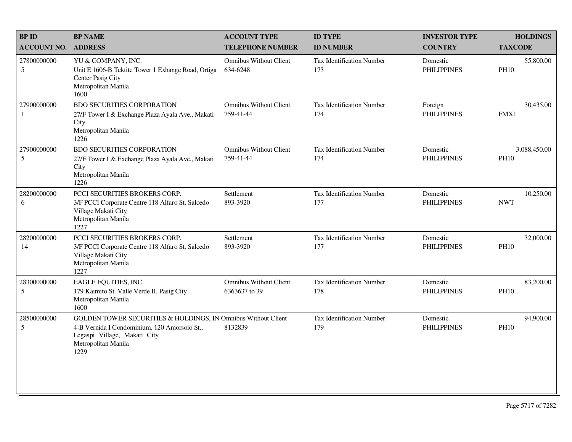| <b>BPID</b>                   | <b>BP NAME</b>                                                                                                                                                               | <b>ACCOUNT TYPE</b>                            | <b>ID TYPE</b>                          | <b>INVESTOR TYPE</b>           | <b>HOLDINGS</b>             |
|-------------------------------|------------------------------------------------------------------------------------------------------------------------------------------------------------------------------|------------------------------------------------|-----------------------------------------|--------------------------------|-----------------------------|
| <b>ACCOUNT NO.</b>            | <b>ADDRESS</b>                                                                                                                                                               | <b>TELEPHONE NUMBER</b>                        | <b>ID NUMBER</b>                        | <b>COUNTRY</b>                 | <b>TAXCODE</b>              |
| 27800000000<br>$\sqrt{5}$     | YU & COMPANY, INC.<br>Unit E 1606-B Tektite Tower 1 Exhange Road, Ortiga<br>Center Pasig City<br>Metropolitan Manila<br>1600                                                 | <b>Omnibus Without Client</b><br>634-6248      | <b>Tax Identification Number</b><br>173 | Domestic<br><b>PHILIPPINES</b> | 55,800.00<br><b>PH10</b>    |
| 27900000000<br>1              | <b>BDO SECURITIES CORPORATION</b><br>27/F Tower I & Exchange Plaza Ayala Ave., Makati<br>City<br>Metropolitan Manila<br>1226                                                 | <b>Omnibus Without Client</b><br>759-41-44     | Tax Identification Number<br>174        | Foreign<br><b>PHILIPPINES</b>  | 30,435.00<br>FMX1           |
| 27900000000<br>$\sqrt{5}$     | <b>BDO SECURITIES CORPORATION</b><br>27/F Tower I & Exchange Plaza Ayala Ave., Makati<br>City<br>Metropolitan Manila<br>1226                                                 | <b>Omnibus Without Client</b><br>759-41-44     | <b>Tax Identification Number</b><br>174 | Domestic<br><b>PHILIPPINES</b> | 3,088,450.00<br><b>PH10</b> |
| 28200000000<br>6              | PCCI SECURITIES BROKERS CORP.<br>3/F PCCI Corporate Centre 118 Alfaro St, Salcedo<br>Village Makati City<br>Metropolitan Manila<br>1227                                      | Settlement<br>893-3920                         | <b>Tax Identification Number</b><br>177 | Domestic<br><b>PHILIPPINES</b> | 10,250.00<br><b>NWT</b>     |
| 28200000000<br>14             | PCCI SECURITIES BROKERS CORP.<br>3/F PCCI Corporate Centre 118 Alfaro St, Salcedo<br>Village Makati City<br>Metropolitan Manila<br>1227                                      | Settlement<br>893-3920                         | <b>Tax Identification Number</b><br>177 | Domestic<br><b>PHILIPPINES</b> | 32,000.00<br><b>PH10</b>    |
| 28300000000<br>$\mathfrak{S}$ | EAGLE EQUITIES, INC.<br>179 Kaimito St. Valle Verde II, Pasig City<br>Metropolitan Manila<br>1600                                                                            | <b>Omnibus Without Client</b><br>6363637 to 39 | <b>Tax Identification Number</b><br>178 | Domestic<br><b>PHILIPPINES</b> | 83,200.00<br><b>PH10</b>    |
| 28500000000<br>$\mathfrak{S}$ | GOLDEN TOWER SECURITIES & HOLDINGS, IN Omnibus Without Client<br>4-B Vernida I Condominium, 120 Amorsolo St.,<br>Legaspi Village, Makati City<br>Metropolitan Manila<br>1229 | 8132839                                        | Tax Identification Number<br>179        | Domestic<br><b>PHILIPPINES</b> | 94,900.00<br><b>PH10</b>    |
|                               |                                                                                                                                                                              |                                                |                                         |                                |                             |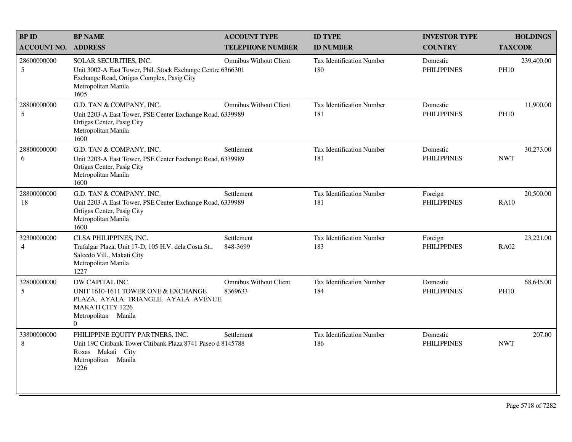| <b>BPID</b>                    | <b>BP NAME</b>                                                                                                                                                     | <b>ACCOUNT TYPE</b>                      | <b>ID TYPE</b>                          | <b>INVESTOR TYPE</b>           | <b>HOLDINGS</b>           |
|--------------------------------|--------------------------------------------------------------------------------------------------------------------------------------------------------------------|------------------------------------------|-----------------------------------------|--------------------------------|---------------------------|
| <b>ACCOUNT NO.</b>             | <b>ADDRESS</b>                                                                                                                                                     | <b>TELEPHONE NUMBER</b>                  | <b>ID NUMBER</b>                        | <b>COUNTRY</b>                 | <b>TAXCODE</b>            |
| 28600000000<br>$5\overline{)}$ | SOLAR SECURITIES, INC.<br>Unit 3002-A East Tower, Phil. Stock Exchange Centre 6366301<br>Exchange Road, Ortigas Complex, Pasig City<br>Metropolitan Manila<br>1605 | <b>Omnibus Without Client</b>            | <b>Tax Identification Number</b><br>180 | Domestic<br><b>PHILIPPINES</b> | 239,400.00<br><b>PH10</b> |
| 28800000000<br>$5\overline{)}$ | G.D. TAN & COMPANY, INC.<br>Unit 2203-A East Tower, PSE Center Exchange Road, 6339989<br>Ortigas Center, Pasig City<br>Metropolitan Manila<br>1600                 | <b>Omnibus Without Client</b>            | <b>Tax Identification Number</b><br>181 | Domestic<br><b>PHILIPPINES</b> | 11,900.00<br><b>PH10</b>  |
| 28800000000<br>6               | G.D. TAN & COMPANY, INC.<br>Unit 2203-A East Tower, PSE Center Exchange Road, 6339989<br>Ortigas Center, Pasig City<br>Metropolitan Manila<br>1600                 | Settlement                               | <b>Tax Identification Number</b><br>181 | Domestic<br><b>PHILIPPINES</b> | 30,273.00<br><b>NWT</b>   |
| 28800000000<br>18              | G.D. TAN & COMPANY, INC.<br>Unit 2203-A East Tower, PSE Center Exchange Road, 6339989<br>Ortigas Center, Pasig City<br>Metropolitan Manila<br>1600                 | Settlement                               | <b>Tax Identification Number</b><br>181 | Foreign<br><b>PHILIPPINES</b>  | 20,500.00<br><b>RA10</b>  |
| 32300000000<br>$\overline{4}$  | CLSA PHILIPPINES, INC.<br>Trafalgar Plaza, Unit 17-D, 105 H.V. dela Costa St.,<br>Salcedo Vill., Makati City<br>Metropolitan Manila<br>1227                        | Settlement<br>848-3699                   | <b>Tax Identification Number</b><br>183 | Foreign<br><b>PHILIPPINES</b>  | 23,221.00<br><b>RA02</b>  |
| 32800000000<br>5               | DW CAPITAL INC.<br>UNIT 1610-1611 TOWER ONE & EXCHANGE<br>PLAZA, AYALA TRIANGLE, AYALA AVENUE,<br><b>MAKATI CITY 1226</b><br>Metropolitan Manila<br>$\overline{0}$ | <b>Omnibus Without Client</b><br>8369633 | <b>Tax Identification Number</b><br>184 | Domestic<br><b>PHILIPPINES</b> | 68,645.00<br><b>PH10</b>  |
| 33800000000<br>8               | PHILIPPINE EQUITY PARTNERS, INC.<br>Unit 19C Citibank Tower Citibank Plaza 8741 Paseo d 8145788<br>Roxas Makati City<br>Metropolitan Manila<br>1226                | Settlement                               | <b>Tax Identification Number</b><br>186 | Domestic<br><b>PHILIPPINES</b> | 207.00<br><b>NWT</b>      |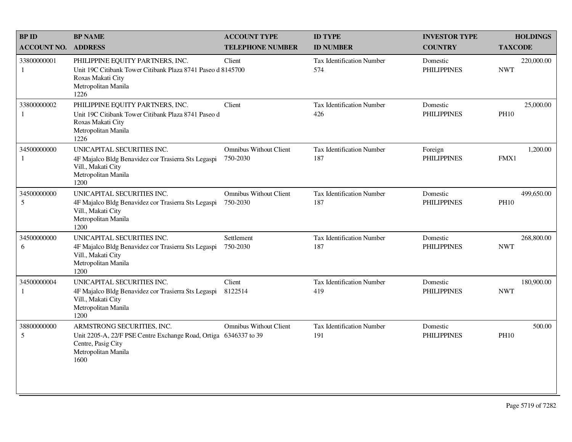| <b>BP ID</b>                | <b>BP NAME</b>                                                                                                                                      | <b>ACCOUNT TYPE</b>                       | <b>ID TYPE</b>                          | <b>INVESTOR TYPE</b>           | <b>HOLDINGS</b>           |
|-----------------------------|-----------------------------------------------------------------------------------------------------------------------------------------------------|-------------------------------------------|-----------------------------------------|--------------------------------|---------------------------|
| <b>ACCOUNT NO.</b>          | <b>ADDRESS</b>                                                                                                                                      | <b>TELEPHONE NUMBER</b>                   | <b>ID NUMBER</b>                        | <b>COUNTRY</b>                 | <b>TAXCODE</b>            |
| 33800000001<br>1            | PHILIPPINE EQUITY PARTNERS, INC.<br>Unit 19C Citibank Tower Citibank Plaza 8741 Paseo d 8145700<br>Roxas Makati City<br>Metropolitan Manila<br>1226 | Client                                    | Tax Identification Number<br>574        | Domestic<br><b>PHILIPPINES</b> | 220,000.00<br><b>NWT</b>  |
| 33800000002<br>$\mathbf{1}$ | PHILIPPINE EQUITY PARTNERS, INC.<br>Unit 19C Citibank Tower Citibank Plaza 8741 Paseo d<br>Roxas Makati City<br>Metropolitan Manila<br>1226         | Client                                    | <b>Tax Identification Number</b><br>426 | Domestic<br><b>PHILIPPINES</b> | 25,000.00<br><b>PH10</b>  |
| 34500000000<br>1            | UNICAPITAL SECURITIES INC.<br>4F Majalco Bldg Benavidez cor Trasierra Sts Legaspi<br>Vill., Makati City<br>Metropolitan Manila<br>1200              | <b>Omnibus Without Client</b><br>750-2030 | <b>Tax Identification Number</b><br>187 | Foreign<br><b>PHILIPPINES</b>  | 1,200.00<br>FMX1          |
| 34500000000<br>5            | UNICAPITAL SECURITIES INC.<br>4F Majalco Bldg Benavidez cor Trasierra Sts Legaspi<br>Vill., Makati City<br>Metropolitan Manila<br>1200              | Omnibus Without Client<br>750-2030        | <b>Tax Identification Number</b><br>187 | Domestic<br><b>PHILIPPINES</b> | 499,650.00<br><b>PH10</b> |
| 34500000000<br>6            | UNICAPITAL SECURITIES INC.<br>4F Majalco Bldg Benavidez cor Trasierra Sts Legaspi<br>Vill., Makati City<br>Metropolitan Manila<br>1200              | Settlement<br>750-2030                    | Tax Identification Number<br>187        | Domestic<br><b>PHILIPPINES</b> | 268,800.00<br><b>NWT</b>  |
| 34500000004<br>1            | UNICAPITAL SECURITIES INC.<br>4F Majalco Bldg Benavidez cor Trasierra Sts Legaspi<br>Vill., Makati City<br>Metropolitan Manila<br>1200              | Client<br>8122514                         | Tax Identification Number<br>419        | Domestic<br><b>PHILIPPINES</b> | 180,900.00<br><b>NWT</b>  |
| 38800000000<br>5            | ARMSTRONG SECURITIES, INC.<br>Unit 2205-A, 22/F PSE Centre Exchange Road, Ortiga 6346337 to 39<br>Centre, Pasig City<br>Metropolitan Manila<br>1600 | <b>Omnibus Without Client</b>             | <b>Tax Identification Number</b><br>191 | Domestic<br><b>PHILIPPINES</b> | 500.00<br><b>PH10</b>     |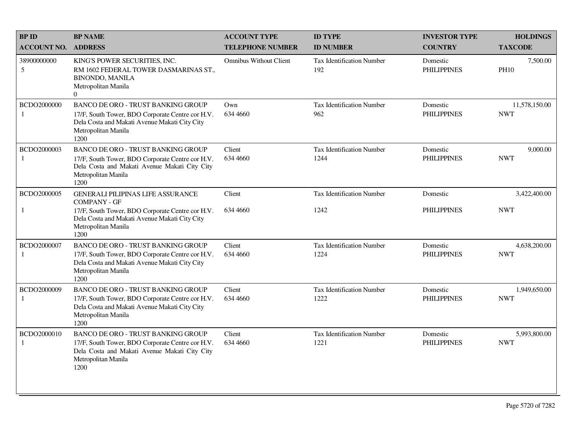| <b>BP ID</b>                | <b>BP NAME</b>                                                                                                                                                                | <b>ACCOUNT TYPE</b>           | <b>ID TYPE</b>                           | <b>INVESTOR TYPE</b>           | <b>HOLDINGS</b>             |
|-----------------------------|-------------------------------------------------------------------------------------------------------------------------------------------------------------------------------|-------------------------------|------------------------------------------|--------------------------------|-----------------------------|
| <b>ACCOUNT NO.</b>          | <b>ADDRESS</b>                                                                                                                                                                | <b>TELEPHONE NUMBER</b>       | <b>ID NUMBER</b>                         | <b>COUNTRY</b>                 | <b>TAXCODE</b>              |
| 38900000000<br>5            | KING'S POWER SECURITIES, INC.<br>RM 1602 FEDERAL TOWER DASMARINAS ST.<br><b>BINONDO, MANILA</b><br>Metropolitan Manila<br>$\overline{0}$                                      | <b>Omnibus Without Client</b> | Tax Identification Number<br>192         | Domestic<br><b>PHILIPPINES</b> | 7,500.00<br><b>PH10</b>     |
| BCDO2000000<br>1            | <b>BANCO DE ORO - TRUST BANKING GROUP</b><br>17/F, South Tower, BDO Corporate Centre cor H.V.<br>Dela Costa and Makati Avenue Makati City City<br>Metropolitan Manila<br>1200 | Own<br>634 4660               | <b>Tax Identification Number</b><br>962  | Domestic<br><b>PHILIPPINES</b> | 11,578,150.00<br><b>NWT</b> |
| BCDO2000003<br>$\mathbf{1}$ | BANCO DE ORO - TRUST BANKING GROUP<br>17/F, South Tower, BDO Corporate Centre cor H.V.<br>Dela Costa and Makati Avenue Makati City City<br>Metropolitan Manila<br>1200        | Client<br>634 4660            | <b>Tax Identification Number</b><br>1244 | Domestic<br><b>PHILIPPINES</b> | 9,000.00<br><b>NWT</b>      |
| BCDO2000005                 | <b>GENERALI PILIPINAS LIFE ASSURANCE</b><br><b>COMPANY - GF</b>                                                                                                               | Client                        | <b>Tax Identification Number</b>         | Domestic                       | 3,422,400.00                |
| 1                           | 17/F, South Tower, BDO Corporate Centre cor H.V.<br>Dela Costa and Makati Avenue Makati City City<br>Metropolitan Manila<br>1200                                              | 634 4660                      | 1242                                     | <b>PHILIPPINES</b>             | <b>NWT</b>                  |
| BCDO2000007<br>1            | <b>BANCO DE ORO - TRUST BANKING GROUP</b><br>17/F, South Tower, BDO Corporate Centre cor H.V.<br>Dela Costa and Makati Avenue Makati City City<br>Metropolitan Manila<br>1200 | Client<br>634 4660            | <b>Tax Identification Number</b><br>1224 | Domestic<br><b>PHILIPPINES</b> | 4,638,200.00<br><b>NWT</b>  |
| BCDO2000009                 | <b>BANCO DE ORO - TRUST BANKING GROUP</b><br>17/F, South Tower, BDO Corporate Centre cor H.V.<br>Dela Costa and Makati Avenue Makati City City<br>Metropolitan Manila<br>1200 | Client<br>634 4660            | <b>Tax Identification Number</b><br>1222 | Domestic<br><b>PHILIPPINES</b> | 1,949,650.00<br><b>NWT</b>  |
| BCDO2000010<br>$\mathbf{1}$ | BANCO DE ORO - TRUST BANKING GROUP<br>17/F, South Tower, BDO Corporate Centre cor H.V.<br>Dela Costa and Makati Avenue Makati City City<br>Metropolitan Manila<br>1200        | Client<br>634 4660            | <b>Tax Identification Number</b><br>1221 | Domestic<br><b>PHILIPPINES</b> | 5,993,800.00<br><b>NWT</b>  |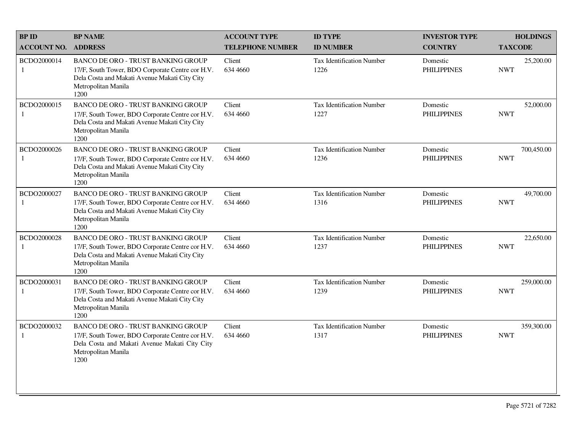| <b>BPID</b>                 | <b>BP NAME</b>                                                                                                                                                                | <b>ACCOUNT TYPE</b>       | <b>ID TYPE</b>                           | <b>INVESTOR TYPE</b>           | <b>HOLDINGS</b>          |
|-----------------------------|-------------------------------------------------------------------------------------------------------------------------------------------------------------------------------|---------------------------|------------------------------------------|--------------------------------|--------------------------|
| <b>ACCOUNT NO.</b>          | <b>ADDRESS</b>                                                                                                                                                                | <b>TELEPHONE NUMBER</b>   | <b>ID NUMBER</b>                         | <b>COUNTRY</b>                 | <b>TAXCODE</b>           |
| BCDO2000014<br>$\mathbf{1}$ | BANCO DE ORO - TRUST BANKING GROUP<br>17/F, South Tower, BDO Corporate Centre cor H.V.<br>Dela Costa and Makati Avenue Makati City City<br>Metropolitan Manila<br>1200        | Client<br>634 4660        | <b>Tax Identification Number</b><br>1226 | Domestic<br><b>PHILIPPINES</b> | 25,200.00<br><b>NWT</b>  |
| BCDO2000015<br>1            | <b>BANCO DE ORO - TRUST BANKING GROUP</b><br>17/F, South Tower, BDO Corporate Centre cor H.V.<br>Dela Costa and Makati Avenue Makati City City<br>Metropolitan Manila<br>1200 | <b>Client</b><br>634 4660 | <b>Tax Identification Number</b><br>1227 | Domestic<br><b>PHILIPPINES</b> | 52,000.00<br><b>NWT</b>  |
| BCDO2000026<br>-1           | BANCO DE ORO - TRUST BANKING GROUP<br>17/F, South Tower, BDO Corporate Centre cor H.V.<br>Dela Costa and Makati Avenue Makati City City<br>Metropolitan Manila<br>1200        | Client<br>634 4660        | Tax Identification Number<br>1236        | Domestic<br><b>PHILIPPINES</b> | 700,450.00<br><b>NWT</b> |
| BCDO2000027<br>1            | <b>BANCO DE ORO - TRUST BANKING GROUP</b><br>17/F, South Tower, BDO Corporate Centre cor H.V.<br>Dela Costa and Makati Avenue Makati City City<br>Metropolitan Manila<br>1200 | Client<br>634 4660        | Tax Identification Number<br>1316        | Domestic<br><b>PHILIPPINES</b> | 49,700.00<br><b>NWT</b>  |
| BCDO2000028<br>1            | BANCO DE ORO - TRUST BANKING GROUP<br>17/F, South Tower, BDO Corporate Centre cor H.V.<br>Dela Costa and Makati Avenue Makati City City<br>Metropolitan Manila<br>1200        | Client<br>634 4660        | Tax Identification Number<br>1237        | Domestic<br><b>PHILIPPINES</b> | 22,650.00<br><b>NWT</b>  |
| BCDO2000031<br>$\mathbf{1}$ | <b>BANCO DE ORO - TRUST BANKING GROUP</b><br>17/F, South Tower, BDO Corporate Centre cor H.V.<br>Dela Costa and Makati Avenue Makati City City<br>Metropolitan Manila<br>1200 | Client<br>634 4660        | Tax Identification Number<br>1239        | Domestic<br><b>PHILIPPINES</b> | 259,000.00<br><b>NWT</b> |
| BCDO2000032<br>1            | <b>BANCO DE ORO - TRUST BANKING GROUP</b><br>17/F, South Tower, BDO Corporate Centre cor H.V.<br>Dela Costa and Makati Avenue Makati City City<br>Metropolitan Manila<br>1200 | Client<br>634 4660        | Tax Identification Number<br>1317        | Domestic<br><b>PHILIPPINES</b> | 359,300.00<br><b>NWT</b> |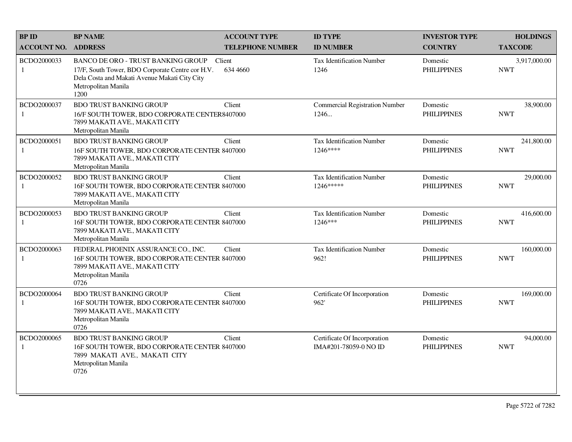| <b>BPID</b>                 | <b>BP NAME</b>                                                                                                                                                                | <b>ACCOUNT TYPE</b>     | <b>ID TYPE</b>                                        | <b>INVESTOR TYPE</b>           | <b>HOLDINGS</b>            |
|-----------------------------|-------------------------------------------------------------------------------------------------------------------------------------------------------------------------------|-------------------------|-------------------------------------------------------|--------------------------------|----------------------------|
| <b>ACCOUNT NO.</b>          | <b>ADDRESS</b>                                                                                                                                                                | <b>TELEPHONE NUMBER</b> | <b>ID NUMBER</b>                                      | <b>COUNTRY</b>                 | <b>TAXCODE</b>             |
| BCDO2000033<br>1            | <b>BANCO DE ORO - TRUST BANKING GROUP</b><br>17/F, South Tower, BDO Corporate Centre cor H.V.<br>Dela Costa and Makati Avenue Makati City City<br>Metropolitan Manila<br>1200 | Client<br>634 4660      | <b>Tax Identification Number</b><br>1246              | Domestic<br><b>PHILIPPINES</b> | 3,917,000.00<br><b>NWT</b> |
| BCDO2000037                 | <b>BDO TRUST BANKING GROUP</b><br>16/F SOUTH TOWER, BDO CORPORATE CENTER8407000<br>7899 MAKATI AVE., MAKATI CITY<br>Metropolitan Manila                                       | Client                  | <b>Commercial Registration Number</b><br>1246         | Domestic<br><b>PHILIPPINES</b> | 38,900.00<br><b>NWT</b>    |
| BCDO2000051<br>-1           | <b>BDO TRUST BANKING GROUP</b><br>16F SOUTH TOWER, BDO CORPORATE CENTER 8407000<br>7899 MAKATI AVE., MAKATI CITY<br>Metropolitan Manila                                       | Client                  | Tax Identification Number<br>1246****                 | Domestic<br><b>PHILIPPINES</b> | 241,800.00<br><b>NWT</b>   |
| BCDO2000052<br>$\mathbf{1}$ | <b>BDO TRUST BANKING GROUP</b><br>16F SOUTH TOWER, BDO CORPORATE CENTER 8407000<br>7899 MAKATI AVE., MAKATI CITY<br>Metropolitan Manila                                       | Client                  | <b>Tax Identification Number</b><br>1246*****         | Domestic<br><b>PHILIPPINES</b> | 29,000.00<br><b>NWT</b>    |
| BCDO2000053<br>1            | <b>BDO TRUST BANKING GROUP</b><br>16F SOUTH TOWER, BDO CORPORATE CENTER 8407000<br>7899 MAKATI AVE., MAKATI CITY<br>Metropolitan Manila                                       | Client                  | Tax Identification Number<br>1246***                  | Domestic<br><b>PHILIPPINES</b> | 416,600.00<br><b>NWT</b>   |
| BCDO2000063<br>1            | FEDERAL PHOENIX ASSURANCE CO., INC.<br>16F SOUTH TOWER, BDO CORPORATE CENTER 8407000<br>7899 MAKATI AVE., MAKATI CITY<br>Metropolitan Manila<br>0726                          | Client                  | <b>Tax Identification Number</b><br>962!              | Domestic<br><b>PHILIPPINES</b> | 160,000.00<br><b>NWT</b>   |
| BCDO2000064<br>$\mathbf{1}$ | <b>BDO TRUST BANKING GROUP</b><br>16F SOUTH TOWER, BDO CORPORATE CENTER 8407000<br>7899 MAKATI AVE., MAKATI CITY<br>Metropolitan Manila<br>0726                               | Client                  | Certificate Of Incorporation<br>962'                  | Domestic<br><b>PHILIPPINES</b> | 169,000.00<br><b>NWT</b>   |
| BCDO2000065<br>1            | <b>BDO TRUST BANKING GROUP</b><br>16F SOUTH TOWER, BDO CORPORATE CENTER 8407000<br>7899 MAKATI AVE., MAKATI CITY<br>Metropolitan Manila<br>0726                               | Client                  | Certificate Of Incorporation<br>IMA#201-78059-0 NO ID | Domestic<br><b>PHILIPPINES</b> | 94,000.00<br><b>NWT</b>    |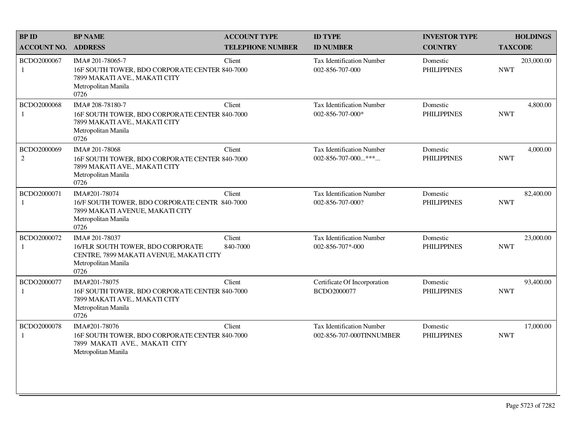| <b>BP NAME</b>                                                                     | <b>ACCOUNT TYPE</b>        | <b>ID TYPE</b>                                                                                                                                                                                                                                                                                                                                      | <b>INVESTOR TYPE</b>           | <b>HOLDINGS</b>          |
|------------------------------------------------------------------------------------|----------------------------|-----------------------------------------------------------------------------------------------------------------------------------------------------------------------------------------------------------------------------------------------------------------------------------------------------------------------------------------------------|--------------------------------|--------------------------|
|                                                                                    | <b>TELEPHONE NUMBER</b>    | <b>ID NUMBER</b>                                                                                                                                                                                                                                                                                                                                    | <b>COUNTRY</b>                 | <b>TAXCODE</b>           |
| IMA# 201-78065-7<br>7899 MAKATI AVE., MAKATI CITY<br>Metropolitan Manila<br>0726   | Client                     | <b>Tax Identification Number</b><br>002-856-707-000                                                                                                                                                                                                                                                                                                 | Domestic<br><b>PHILIPPINES</b> | 203,000.00<br><b>NWT</b> |
| IMA# 208-78180-7<br>7899 MAKATI AVE., MAKATI CITY<br>Metropolitan Manila<br>0726   | Client                     | Tax Identification Number<br>002-856-707-000*                                                                                                                                                                                                                                                                                                       | Domestic<br><b>PHILIPPINES</b> | 4,800.00<br><b>NWT</b>   |
| IMA# 201-78068<br>7899 MAKATI AVE., MAKATI CITY<br>Metropolitan Manila<br>0726     | Client                     | <b>Tax Identification Number</b><br>$002 - 856 - 707 - 000$ ***                                                                                                                                                                                                                                                                                     | Domestic<br><b>PHILIPPINES</b> | 4,000.00<br><b>NWT</b>   |
| IMA#201-78074<br>7899 MAKATI AVENUE, MAKATI CITY<br>Metropolitan Manila<br>0726    | Client                     | Tax Identification Number<br>002-856-707-000?                                                                                                                                                                                                                                                                                                       | Domestic<br><b>PHILIPPINES</b> | 82,400.00<br><b>NWT</b>  |
| IMA# 201-78037<br>16/FLR SOUTH TOWER, BDO CORPORATE<br>Metropolitan Manila<br>0726 | Client<br>840-7000         | <b>Tax Identification Number</b><br>002-856-707*-000                                                                                                                                                                                                                                                                                                | Domestic<br><b>PHILIPPINES</b> | 23,000.00<br><b>NWT</b>  |
| IMA#201-78075<br>7899 MAKATI AVE., MAKATI CITY<br>Metropolitan Manila<br>0726      | Client                     | Certificate Of Incorporation<br>BCDO2000077                                                                                                                                                                                                                                                                                                         | Domestic<br><b>PHILIPPINES</b> | 93,400.00<br><b>NWT</b>  |
| IMA#201-78076<br>7899 MAKATI AVE., MAKATI CITY<br>Metropolitan Manila              | Client                     | <b>Tax Identification Number</b><br>002-856-707-000TINNUMBER                                                                                                                                                                                                                                                                                        | Domestic<br><b>PHILIPPINES</b> | 17,000.00<br><b>NWT</b>  |
|                                                                                    | <b>ACCOUNT NO. ADDRESS</b> | 16F SOUTH TOWER, BDO CORPORATE CENTER 840-7000<br>16F SOUTH TOWER, BDO CORPORATE CENTER 840-7000<br>16F SOUTH TOWER, BDO CORPORATE CENTER 840-7000<br>16/F SOUTH TOWER, BDO CORPORATE CENTR 840-7000<br>CENTRE, 7899 MAKATI AVENUE, MAKATI CITY<br>16F SOUTH TOWER, BDO CORPORATE CENTER 840-7000<br>16F SOUTH TOWER, BDO CORPORATE CENTER 840-7000 |                                |                          |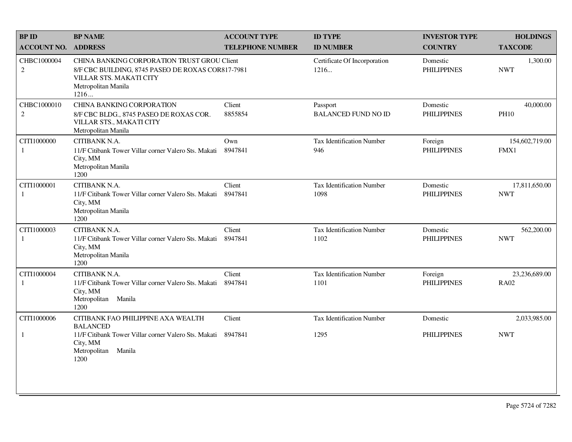| <b>BPID</b>                   | <b>BP NAME</b>                                                                                                                                                    | <b>ACCOUNT TYPE</b>     | <b>ID TYPE</b>                           | <b>INVESTOR TYPE</b>           | <b>HOLDINGS</b>              |
|-------------------------------|-------------------------------------------------------------------------------------------------------------------------------------------------------------------|-------------------------|------------------------------------------|--------------------------------|------------------------------|
| <b>ACCOUNT NO.</b>            | <b>ADDRESS</b>                                                                                                                                                    | <b>TELEPHONE NUMBER</b> | <b>ID NUMBER</b>                         | <b>COUNTRY</b>                 | <b>TAXCODE</b>               |
| CHBC1000004<br>$\sqrt{2}$     | <b>CHINA BANKING CORPORATION TRUST GROU Client</b><br>8/F CBC BUILDING, 8745 PASEO DE ROXAS COR817-7981<br>VILLAR STS. MAKATI CITY<br>Metropolitan Manila<br>1216 |                         | Certificate Of Incorporation<br>1216     | Domestic<br><b>PHILIPPINES</b> | 1,300.00<br><b>NWT</b>       |
| CHBC1000010<br>$\overline{2}$ | <b>CHINA BANKING CORPORATION</b><br>8/F CBC BLDG., 8745 PASEO DE ROXAS COR.<br>VILLAR STS., MAKATI CITY<br>Metropolitan Manila                                    | Client<br>8855854       | Passport<br><b>BALANCED FUND NO ID</b>   | Domestic<br><b>PHILIPPINES</b> | 40,000.00<br><b>PH10</b>     |
| CITI1000000<br>1              | CITIBANK N.A.<br>11/F Citibank Tower Villar corner Valero Sts. Makati<br>City, MM<br>Metropolitan Manila<br>1200                                                  | Own<br>8947841          | <b>Tax Identification Number</b><br>946  | Foreign<br><b>PHILIPPINES</b>  | 154,602,719.00<br>FMX1       |
| CITI1000001<br>1              | CITIBANK N.A.<br>11/F Citibank Tower Villar corner Valero Sts. Makati<br>City, MM<br>Metropolitan Manila<br>1200                                                  | Client<br>8947841       | <b>Tax Identification Number</b><br>1098 | Domestic<br><b>PHILIPPINES</b> | 17,811,650.00<br><b>NWT</b>  |
| CITI1000003<br>1              | CITIBANK N.A.<br>11/F Citibank Tower Villar corner Valero Sts. Makati<br>City, MM<br>Metropolitan Manila<br>1200                                                  | Client<br>8947841       | <b>Tax Identification Number</b><br>1102 | Domestic<br><b>PHILIPPINES</b> | 562,200.00<br><b>NWT</b>     |
| CITI1000004<br>-1             | CITIBANK N.A.<br>11/F Citibank Tower Villar corner Valero Sts. Makati<br>City, MM<br>Metropolitan Manila<br>1200                                                  | Client<br>8947841       | <b>Tax Identification Number</b><br>1101 | Foreign<br><b>PHILIPPINES</b>  | 23,236,689.00<br><b>RA02</b> |
| CITI1000006                   | CITIBANK FAO PHILIPPINE AXA WEALTH<br><b>BALANCED</b>                                                                                                             | Client                  | <b>Tax Identification Number</b>         | Domestic                       | 2,033,985.00                 |
| 1                             | 11/F Citibank Tower Villar corner Valero Sts. Makati 8947841<br>City, MM<br>Metropolitan Manila<br>1200                                                           |                         | 1295                                     | <b>PHILIPPINES</b>             | <b>NWT</b>                   |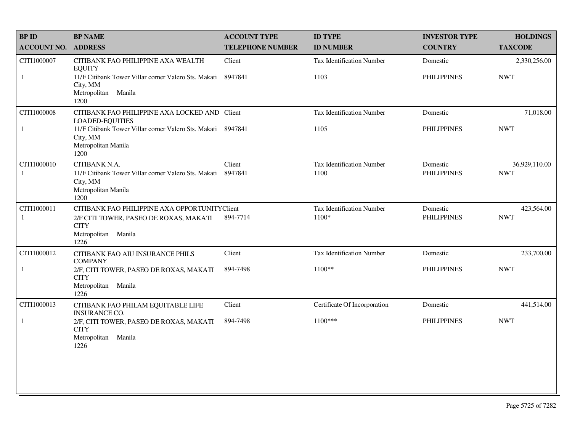| <b>BP ID</b>       | <b>BP NAME</b>                                                                                                   | <b>ACCOUNT TYPE</b>     | <b>ID TYPE</b>                     | <b>INVESTOR TYPE</b>           | <b>HOLDINGS</b>             |
|--------------------|------------------------------------------------------------------------------------------------------------------|-------------------------|------------------------------------|--------------------------------|-----------------------------|
| <b>ACCOUNT NO.</b> | <b>ADDRESS</b>                                                                                                   | <b>TELEPHONE NUMBER</b> | <b>ID NUMBER</b>                   | <b>COUNTRY</b>                 | <b>TAXCODE</b>              |
| CITI1000007        | CITIBANK FAO PHILIPPINE AXA WEALTH<br><b>EQUITY</b>                                                              | Client                  | <b>Tax Identification Number</b>   | Domestic                       | 2,330,256.00                |
| 1                  | 11/F Citibank Tower Villar corner Valero Sts. Makati 8947841<br>City, MM<br>Manila<br>Metropolitan<br>1200       |                         | 1103                               | <b>PHILIPPINES</b>             | <b>NWT</b>                  |
| CITI1000008        | CITIBANK FAO PHILIPPINE AXA LOCKED AND Client<br><b>LOADED-EQUITIES</b>                                          |                         | Tax Identification Number          | Domestic                       | 71,018.00                   |
| $\mathbf{1}$       | 11/F Citibank Tower Villar corner Valero Sts. Makati 8947841<br>City, MM<br>Metropolitan Manila<br>1200          |                         | 1105                               | <b>PHILIPPINES</b>             | <b>NWT</b>                  |
| CITI1000010<br>1   | CITIBANK N.A.<br>11/F Citibank Tower Villar corner Valero Sts. Makati<br>City, MM<br>Metropolitan Manila<br>1200 | Client<br>8947841       | Tax Identification Number<br>1100  | Domestic<br><b>PHILIPPINES</b> | 36,929,110.00<br><b>NWT</b> |
| CITI1000011<br>1   | CITIBANK FAO PHILIPPINE AXA OPPORTUNITYClient                                                                    | 894-7714                | Tax Identification Number<br>1100* | Domestic<br><b>PHILIPPINES</b> | 423,564.00<br><b>NWT</b>    |
|                    | 2/F CITI TOWER, PASEO DE ROXAS, MAKATI<br><b>CITY</b><br>Manila<br>Metropolitan<br>1226                          |                         |                                    |                                |                             |
| CITI1000012        | CITIBANK FAO AIU INSURANCE PHILS<br><b>COMPANY</b>                                                               | Client                  | Tax Identification Number          | Domestic                       | 233,700.00                  |
| 1                  | 2/F, CITI TOWER, PASEO DE ROXAS, MAKATI<br><b>CITY</b><br>Metropolitan Manila<br>1226                            | 894-7498                | $1100**$                           | <b>PHILIPPINES</b>             | <b>NWT</b>                  |
| CITI1000013        | CITIBANK FAO PHILAM EQUITABLE LIFE<br><b>INSURANCE CO.</b>                                                       | Client                  | Certificate Of Incorporation       | Domestic                       | 441,514.00                  |
| $\mathbf{1}$       | 2/F, CITI TOWER, PASEO DE ROXAS, MAKATI<br><b>CITY</b>                                                           | 894-7498                | $1100***$                          | <b>PHILIPPINES</b>             | <b>NWT</b>                  |
|                    | Metropolitan<br>Manila<br>1226                                                                                   |                         |                                    |                                |                             |
|                    |                                                                                                                  |                         |                                    |                                |                             |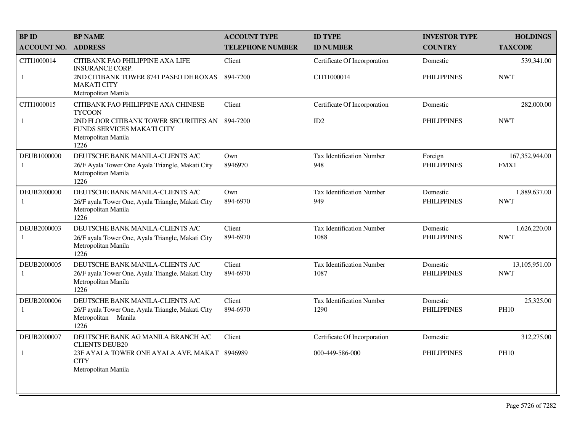| <b>BPID</b>                 | <b>BP NAME</b>                                                                                                       | <b>ACCOUNT TYPE</b>     | <b>ID TYPE</b>                           | <b>INVESTOR TYPE</b>           | <b>HOLDINGS</b>             |
|-----------------------------|----------------------------------------------------------------------------------------------------------------------|-------------------------|------------------------------------------|--------------------------------|-----------------------------|
| <b>ACCOUNT NO.</b>          | <b>ADDRESS</b>                                                                                                       | <b>TELEPHONE NUMBER</b> | <b>ID NUMBER</b>                         | <b>COUNTRY</b>                 | <b>TAXCODE</b>              |
| CITI1000014                 | CITIBANK FAO PHILIPPINE AXA LIFE<br><b>INSURANCE CORP.</b>                                                           | Client                  | Certificate Of Incorporation             | Domestic                       | 539,341.00                  |
| 1                           | 2ND CITIBANK TOWER 8741 PASEO DE ROXAS<br><b>MAKATI CITY</b><br>Metropolitan Manila                                  | 894-7200                | CITI1000014                              | <b>PHILIPPINES</b>             | <b>NWT</b>                  |
| CITI1000015                 | CITIBANK FAO PHILIPPINE AXA CHINESE<br><b>TYCOON</b>                                                                 | Client                  | Certificate Of Incorporation             | Domestic                       | 282,000.00                  |
| $\mathbf{1}$                | 2ND FLOOR CITIBANK TOWER SECURITIES AN<br>FUNDS SERVICES MAKATI CITY<br>Metropolitan Manila<br>1226                  | 894-7200                | ID2                                      | <b>PHILIPPINES</b>             | <b>NWT</b>                  |
| DEUB1000000<br>1            | DEUTSCHE BANK MANILA-CLIENTS A/C<br>26/F Ayala Tower One Ayala Triangle, Makati City<br>Metropolitan Manila<br>1226  | Own<br>8946970          | <b>Tax Identification Number</b><br>948  | Foreign<br><b>PHILIPPINES</b>  | 167,352,944.00<br>FMX1      |
| DEUB2000000<br>1            | DEUTSCHE BANK MANILA-CLIENTS A/C<br>26/F ayala Tower One, Ayala Triangle, Makati City<br>Metropolitan Manila<br>1226 | Own<br>894-6970         | <b>Tax Identification Number</b><br>949  | Domestic<br><b>PHILIPPINES</b> | 1,889,637.00<br><b>NWT</b>  |
| DEUB2000003<br>$\mathbf{1}$ | DEUTSCHE BANK MANILA-CLIENTS A/C<br>26/F ayala Tower One, Ayala Triangle, Makati City<br>Metropolitan Manila<br>1226 | Client<br>894-6970      | <b>Tax Identification Number</b><br>1088 | Domestic<br><b>PHILIPPINES</b> | 1,626,220.00<br><b>NWT</b>  |
| DEUB2000005<br>$\mathbf{1}$ | DEUTSCHE BANK MANILA-CLIENTS A/C<br>26/F ayala Tower One, Ayala Triangle, Makati City<br>Metropolitan Manila<br>1226 | Client<br>894-6970      | <b>Tax Identification Number</b><br>1087 | Domestic<br><b>PHILIPPINES</b> | 13,105,951.00<br><b>NWT</b> |
| DEUB2000006<br>$\mathbf{1}$ | DEUTSCHE BANK MANILA-CLIENTS A/C<br>26/F ayala Tower One, Ayala Triangle, Makati City<br>Metropolitan Manila<br>1226 | Client<br>894-6970      | <b>Tax Identification Number</b><br>1290 | Domestic<br><b>PHILIPPINES</b> | 25,325.00<br><b>PH10</b>    |
| DEUB2000007                 | DEUTSCHE BANK AG MANILA BRANCH A/C<br><b>CLIENTS DEUB20</b>                                                          | Client                  | Certificate Of Incorporation             | Domestic                       | 312,275.00                  |
| $\mathbf{1}$                | 23F AYALA TOWER ONE AYALA AVE. MAKAT 8946989<br><b>CITY</b><br>Metropolitan Manila                                   |                         | 000-449-586-000                          | <b>PHILIPPINES</b>             | <b>PH10</b>                 |
|                             |                                                                                                                      |                         |                                          |                                |                             |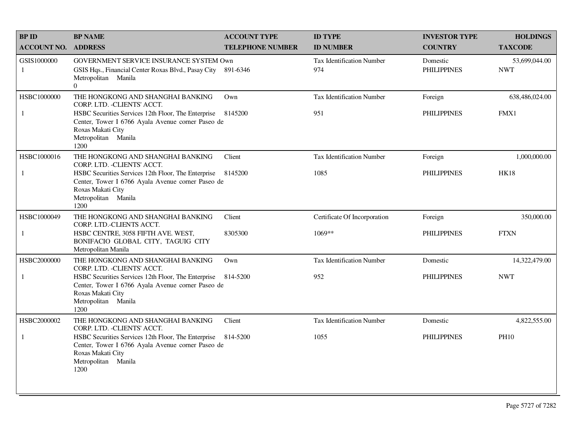| <b>BPID</b>        | <b>BP NAME</b>                                                                                                                                                        | <b>ACCOUNT TYPE</b>     | <b>ID TYPE</b>                   | <b>INVESTOR TYPE</b>           | <b>HOLDINGS</b>             |
|--------------------|-----------------------------------------------------------------------------------------------------------------------------------------------------------------------|-------------------------|----------------------------------|--------------------------------|-----------------------------|
| <b>ACCOUNT NO.</b> | <b>ADDRESS</b>                                                                                                                                                        | <b>TELEPHONE NUMBER</b> | <b>ID NUMBER</b>                 | <b>COUNTRY</b>                 | <b>TAXCODE</b>              |
| GSIS1000000<br>1   | GOVERNMENT SERVICE INSURANCE SYSTEM Own<br>GSIS Hqs., Financial Center Roxas Blvd., Pasay City<br>Metropolitan Manila<br>$\overline{0}$                               | 891-6346                | Tax Identification Number<br>974 | Domestic<br><b>PHILIPPINES</b> | 53,699,044.00<br><b>NWT</b> |
| HSBC1000000        | THE HONGKONG AND SHANGHAI BANKING<br>CORP. LTD. - CLIENTS' ACCT.                                                                                                      | Own                     | Tax Identification Number        | Foreign                        | 638,486,024.00              |
| 1                  | HSBC Securities Services 12th Floor, The Enterprise<br>Center, Tower I 6766 Ayala Avenue corner Paseo de<br>Roxas Makati City<br>Metropolitan Manila<br>1200          | 8145200                 | 951                              | <b>PHILIPPINES</b>             | FMX1                        |
| HSBC1000016        | THE HONGKONG AND SHANGHAI BANKING<br>CORP. LTD. - CLIENTS' ACCT.                                                                                                      | Client                  | Tax Identification Number        | Foreign                        | 1,000,000.00                |
| 1                  | HSBC Securities Services 12th Floor, The Enterprise<br>Center, Tower I 6766 Ayala Avenue corner Paseo de<br>Roxas Makati City<br>Metropolitan Manila<br>1200          | 8145200                 | 1085                             | <b>PHILIPPINES</b>             | <b>HK18</b>                 |
| HSBC1000049        | THE HONGKONG AND SHANGHAI BANKING<br>CORP. LTD.-CLIENTS ACCT.                                                                                                         | Client                  | Certificate Of Incorporation     | Foreign                        | 350,000.00                  |
| $\mathbf{1}$       | HSBC CENTRE, 3058 FIFTH AVE. WEST,<br>BONIFACIO GLOBAL CITY, TAGUIG CITY<br>Metropolitan Manila                                                                       | 8305300                 | 1069**                           | <b>PHILIPPINES</b>             | <b>FTXN</b>                 |
| HSBC2000000        | THE HONGKONG AND SHANGHAI BANKING<br>CORP. LTD. - CLIENTS' ACCT.                                                                                                      | Own                     | <b>Tax Identification Number</b> | Domestic                       | 14,322,479.00               |
| 1                  | HSBC Securities Services 12th Floor, The Enterprise<br>Center, Tower I 6766 Ayala Avenue corner Paseo de<br>Roxas Makati City<br>Metropolitan Manila<br>1200          | 814-5200                | 952                              | <b>PHILIPPINES</b>             | <b>NWT</b>                  |
| HSBC2000002        | THE HONGKONG AND SHANGHAI BANKING<br>CORP. LTD. - CLIENTS' ACCT.                                                                                                      | Client                  | <b>Tax Identification Number</b> | Domestic                       | 4,822,555.00                |
| $\mathbf{1}$       | HSBC Securities Services 12th Floor, The Enterprise 814-5200<br>Center, Tower I 6766 Ayala Avenue corner Paseo de<br>Roxas Makati City<br>Metropolitan Manila<br>1200 |                         | 1055                             | <b>PHILIPPINES</b>             | <b>PH10</b>                 |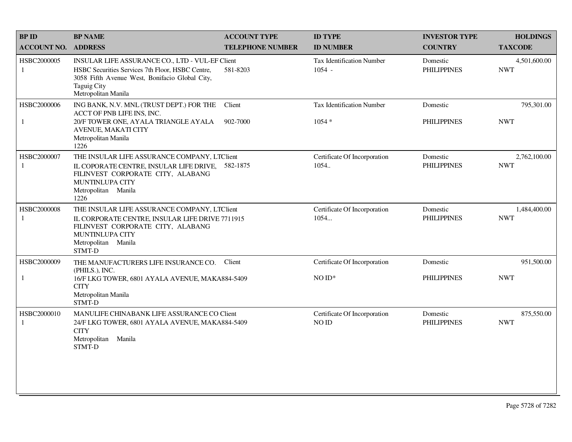| <b>BPID</b>                 | <b>BP NAME</b>                                                                                                                                                                                     | <b>ACCOUNT TYPE</b>     | <b>ID TYPE</b>                               | <b>INVESTOR TYPE</b>           | <b>HOLDINGS</b>            |
|-----------------------------|----------------------------------------------------------------------------------------------------------------------------------------------------------------------------------------------------|-------------------------|----------------------------------------------|--------------------------------|----------------------------|
| <b>ACCOUNT NO. ADDRESS</b>  |                                                                                                                                                                                                    | <b>TELEPHONE NUMBER</b> | <b>ID NUMBER</b>                             | <b>COUNTRY</b>                 | <b>TAXCODE</b>             |
| HSBC2000005<br>1            | INSULAR LIFE ASSURANCE CO., LTD - VUL-EF Client<br>HSBC Securities Services 7th Floor, HSBC Centre,<br>3058 Fifth Avenue West, Bonifacio Global City,<br><b>Taguig City</b><br>Metropolitan Manila | 581-8203                | <b>Tax Identification Number</b><br>$1054 -$ | Domestic<br><b>PHILIPPINES</b> | 4,501,600.00<br><b>NWT</b> |
| HSBC2000006<br>$\mathbf{1}$ | ING BANK, N.V. MNL (TRUST DEPT.) FOR THE<br>ACCT OF PNB LIFE INS, INC.<br>20/F TOWER ONE, AYALA TRIANGLE AYALA<br>AVENUE, MAKATI CITY<br>Metropolitan Manila<br>1226                               | Client<br>902-7000      | Tax Identification Number<br>$1054 *$        | Domestic<br><b>PHILIPPINES</b> | 795,301.00<br><b>NWT</b>   |
| HSBC2000007<br>1            | THE INSULAR LIFE ASSURANCE COMPANY, LTClient<br>IL COPORATE CENTRE, INSULAR LIFE DRIVE, 582-1875<br>FILINVEST CORPORATE CITY, ALABANG<br><b>MUNTINLUPA CITY</b><br>Metropolitan Manila<br>1226     |                         | Certificate Of Incorporation<br>1054.        | Domestic<br><b>PHILIPPINES</b> | 2,762,100.00<br><b>NWT</b> |
| HSBC2000008<br>1            | THE INSULAR LIFE ASSURANCE COMPANY, LTClient<br>IL CORPORATE CENTRE, INSULAR LIFE DRIVE 7711915<br>FILINVEST CORPORATE CITY, ALABANG<br>MUNTINLUPA CITY<br>Metropolitan Manila<br>STMT-D           |                         | Certificate Of Incorporation<br>1054         | Domestic<br><b>PHILIPPINES</b> | 1,484,400.00<br><b>NWT</b> |
| HSBC2000009                 | THE MANUFACTURERS LIFE INSURANCE CO.<br>(PHILS.), INC.                                                                                                                                             | Client                  | Certificate Of Incorporation                 | Domestic                       | 951,500.00                 |
| 1                           | 16/F LKG TOWER, 6801 AYALA AVENUE, MAKA884-5409<br><b>CITY</b><br>Metropolitan Manila<br>STMT-D                                                                                                    |                         | $NOID*$                                      | <b>PHILIPPINES</b>             | <b>NWT</b>                 |
| HSBC2000010<br>1            | MANULIFE CHINABANK LIFE ASSURANCE CO Client<br>24/F LKG TOWER, 6801 AYALA AVENUE, MAKA884-5409<br><b>CITY</b><br>Metropolitan<br>Manila<br><b>STMT-D</b>                                           |                         | Certificate Of Incorporation<br>NO ID        | Domestic<br><b>PHILIPPINES</b> | 875,550.00<br><b>NWT</b>   |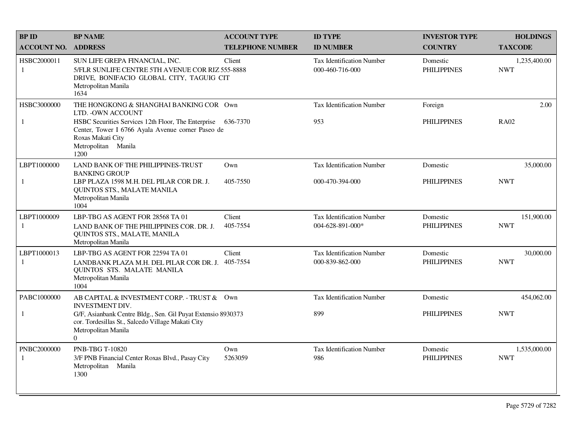| <b>BPID</b>        | <b>BP NAME</b>                                                                                                                                                                                                        | <b>ACCOUNT TYPE</b>     | <b>ID TYPE</b>                                       | <b>INVESTOR TYPE</b>           | <b>HOLDINGS</b>            |
|--------------------|-----------------------------------------------------------------------------------------------------------------------------------------------------------------------------------------------------------------------|-------------------------|------------------------------------------------------|--------------------------------|----------------------------|
| <b>ACCOUNT NO.</b> | <b>ADDRESS</b>                                                                                                                                                                                                        | <b>TELEPHONE NUMBER</b> | <b>ID NUMBER</b>                                     | <b>COUNTRY</b>                 | <b>TAXCODE</b>             |
| HSBC2000011<br>1   | SUN LIFE GREPA FINANCIAL, INC.<br>5/FLR SUNLIFE CENTRE 5TH AVENUE COR RIZ 555-8888<br>DRIVE, BONIFACIO GLOBAL CITY, TAGUIG CIT<br>Metropolitan Manila<br>1634                                                         | Client                  | <b>Tax Identification Number</b><br>000-460-716-000  | Domestic<br><b>PHILIPPINES</b> | 1,235,400.00<br><b>NWT</b> |
| HSBC3000000<br>1   | THE HONGKONG & SHANGHAI BANKING COR Own<br>LTD. - OWN ACCOUNT<br>HSBC Securities Services 12th Floor, The Enterprise<br>Center, Tower I 6766 Ayala Avenue corner Paseo de<br>Roxas Makati City<br>Metropolitan Manila | 636-7370                | <b>Tax Identification Number</b><br>953              | Foreign<br><b>PHILIPPINES</b>  | 2.00<br><b>RA02</b>        |
|                    | 1200                                                                                                                                                                                                                  |                         |                                                      |                                |                            |
| LBPT1000000        | LAND BANK OF THE PHILIPPINES-TRUST<br><b>BANKING GROUP</b>                                                                                                                                                            | $Qw$ n                  | <b>Tax Identification Number</b>                     | Domestic                       | 35,000.00                  |
| $\mathbf{1}$       | LBP PLAZA 1598 M.H. DEL PILAR COR DR. J.<br>QUINTOS STS., MALATE MANILA<br>Metropolitan Manila<br>1004                                                                                                                | 405-7550                | 000-470-394-000                                      | <b>PHILIPPINES</b>             | <b>NWT</b>                 |
| LBPT1000009<br>1   | LBP-TBG AS AGENT FOR 28568 TA 01<br>LAND BANK OF THE PHILIPPINES COR. DR. J.<br>QUINTOS STS., MALATE, MANILA<br>Metropolitan Manila                                                                                   | Client<br>405-7554      | <b>Tax Identification Number</b><br>004-628-891-000* | Domestic<br><b>PHILIPPINES</b> | 151,900.00<br><b>NWT</b>   |
| LBPT1000013<br>1   | LBP-TBG AS AGENT FOR 22594 TA 01<br>LANDBANK PLAZA M.H. DEL PILAR COR DR. J.<br>QUINTOS STS. MALATE MANILA<br>Metropolitan Manila<br>1004                                                                             | Client<br>405-7554      | <b>Tax Identification Number</b><br>000-839-862-000  | Domestic<br><b>PHILIPPINES</b> | 30,000.00<br><b>NWT</b>    |
| PABC1000000        | AB CAPITAL & INVESTMENT CORP. - TRUST & Own<br>INVESTMENT DIV.                                                                                                                                                        |                         | <b>Tax Identification Number</b>                     | Domestic                       | 454,062.00                 |
| 1                  | G/F, Asianbank Centre Bldg., Sen. Gil Puyat Extensio 8930373<br>cor. Tordesillas St., Salcedo Village Makati City<br>Metropolitan Manila<br>$\Omega$                                                                  |                         | 899                                                  | <b>PHILIPPINES</b>             | <b>NWT</b>                 |
| PNBC2000000<br>-1  | PNB-TBG T-10820<br>3/F PNB Financial Center Roxas Blvd., Pasay City<br>Metropolitan Manila<br>1300                                                                                                                    | Own<br>5263059          | <b>Tax Identification Number</b><br>986              | Domestic<br><b>PHILIPPINES</b> | 1,535,000.00<br><b>NWT</b> |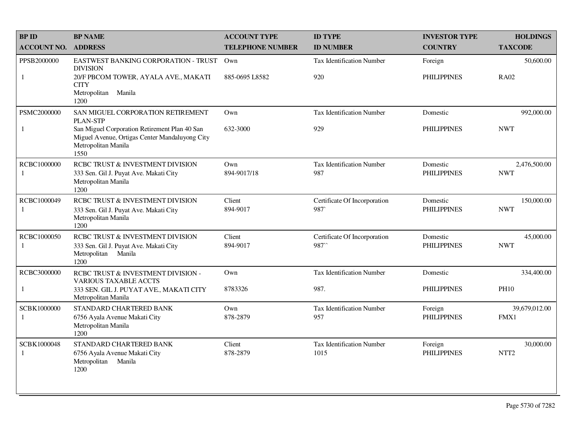| <b>BP ID</b>                | <b>BP NAME</b>                                                                                                                 | <b>ACCOUNT TYPE</b>     | <b>ID TYPE</b>                          | <b>INVESTOR TYPE</b>           | <b>HOLDINGS</b>               |
|-----------------------------|--------------------------------------------------------------------------------------------------------------------------------|-------------------------|-----------------------------------------|--------------------------------|-------------------------------|
| <b>ACCOUNT NO.</b>          | <b>ADDRESS</b>                                                                                                                 | <b>TELEPHONE NUMBER</b> | <b>ID NUMBER</b>                        | <b>COUNTRY</b>                 | <b>TAXCODE</b>                |
| PPSB2000000                 | EASTWEST BANKING CORPORATION - TRUST<br><b>DIVISION</b>                                                                        | Own                     | <b>Tax Identification Number</b>        | Foreign                        | 50,600.00                     |
| 1                           | 20/F PBCOM TOWER, AYALA AVE., MAKATI<br><b>CITY</b><br>Metropolitan Manila<br>1200                                             | 885-0695 L8582          | 920                                     | <b>PHILIPPINES</b>             | <b>RA02</b>                   |
| PSMC2000000                 | SAN MIGUEL CORPORATION RETIREMENT<br><b>PLAN-STP</b>                                                                           | Own                     | <b>Tax Identification Number</b>        | Domestic                       | 992,000.00                    |
| $\mathbf{1}$                | San Miguel Corporation Retirement Plan 40 San<br>Miguel Avenue, Ortigas Center Mandaluyong City<br>Metropolitan Manila<br>1550 | 632-3000                | 929                                     | <b>PHILIPPINES</b>             | <b>NWT</b>                    |
| RCBC1000000<br>-1           | RCBC TRUST & INVESTMENT DIVISION<br>333 Sen. Gil J. Puyat Ave. Makati City<br>Metropolitan Manila<br>1200                      | Own<br>894-9017/18      | <b>Tax Identification Number</b><br>987 | Domestic<br><b>PHILIPPINES</b> | 2,476,500.00<br><b>NWT</b>    |
| RCBC1000049<br>-1           | RCBC TRUST & INVESTMENT DIVISION<br>333 Sen. Gil J. Puyat Ave. Makati City<br>Metropolitan Manila<br>1200                      | Client<br>894-9017      | Certificate Of Incorporation<br>987     | Domestic<br><b>PHILIPPINES</b> | 150,000.00<br><b>NWT</b>      |
| RCBC1000050<br>-1           | RCBC TRUST & INVESTMENT DIVISION<br>333 Sen. Gil J. Puyat Ave. Makati City<br>Metropolitan<br>Manila<br>1200                   | Client<br>894-9017      | Certificate Of Incorporation<br>987     | Domestic<br><b>PHILIPPINES</b> | 45,000.00<br><b>NWT</b>       |
| RCBC3000000                 | RCBC TRUST & INVESTMENT DIVISION -<br><b>VARIOUS TAXABLE ACCTS</b>                                                             | Own                     | Tax Identification Number               | Domestic                       | 334,400.00                    |
| $\mathbf{1}$                | 333 SEN. GIL J. PUYAT AVE., MAKATI CITY<br>Metropolitan Manila                                                                 | 8783326                 | 987.                                    | <b>PHILIPPINES</b>             | <b>PH10</b>                   |
| SCBK1000000<br>-1           | STANDARD CHARTERED BANK<br>6756 Ayala Avenue Makati City<br>Metropolitan Manila<br>1200                                        | Own<br>878-2879         | Tax Identification Number<br>957        | Foreign<br><b>PHILIPPINES</b>  | 39,679,012.00<br>FMX1         |
| SCBK1000048<br>$\mathbf{1}$ | STANDARD CHARTERED BANK<br>6756 Ayala Avenue Makati City<br>Metropolitan<br>Manila<br>1200                                     | Client<br>878-2879      | Tax Identification Number<br>1015       | Foreign<br><b>PHILIPPINES</b>  | 30,000.00<br>NTT <sub>2</sub> |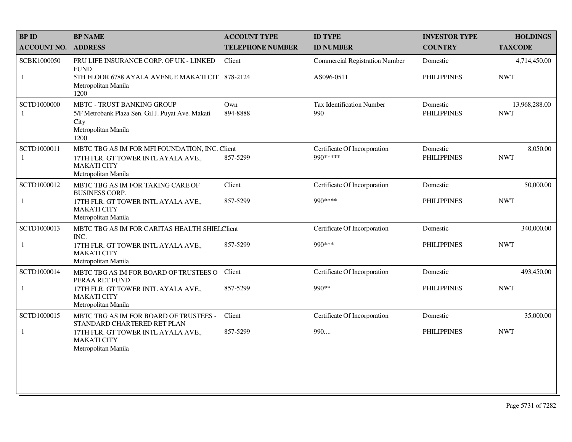| <b>BPID</b>        | <b>BP NAME</b>                                                                                                                     | <b>ACCOUNT TYPE</b>     | <b>ID TYPE</b>                            | <b>INVESTOR TYPE</b>           | <b>HOLDINGS</b>             |
|--------------------|------------------------------------------------------------------------------------------------------------------------------------|-------------------------|-------------------------------------------|--------------------------------|-----------------------------|
| <b>ACCOUNT NO.</b> | <b>ADDRESS</b>                                                                                                                     | <b>TELEPHONE NUMBER</b> | <b>ID NUMBER</b>                          | <b>COUNTRY</b>                 | <b>TAXCODE</b>              |
| SCBK1000050        | PRU LIFE INSURANCE CORP. OF UK - LINKED<br><b>FUND</b>                                                                             | Client                  | <b>Commercial Registration Number</b>     | Domestic                       | 4,714,450.00                |
| 1                  | 5TH FLOOR 6788 AYALA AVENUE MAKATI CIT 878-2124<br>Metropolitan Manila<br>1200                                                     |                         | AS096-0511                                | <b>PHILIPPINES</b>             | <b>NWT</b>                  |
| SCTD1000000<br>-1  | MBTC - TRUST BANKING GROUP<br>5/F Metrobank Plaza Sen. Gil J. Puyat Ave. Makati<br>City<br>Metropolitan Manila<br>1200             | Own<br>894-8888         | Tax Identification Number<br>990          | Domestic<br><b>PHILIPPINES</b> | 13,968,288.00<br><b>NWT</b> |
| SCTD1000011<br>1   | MBTC TBG AS IM FOR MFI FOUNDATION, INC. Client<br>17TH FLR. GT TOWER INTL AYALA AVE.,<br><b>MAKATI CITY</b><br>Metropolitan Manila | 857-5299                | Certificate Of Incorporation<br>990 ***** | Domestic<br><b>PHILIPPINES</b> | 8,050.00<br><b>NWT</b>      |
| SCTD1000012        | MBTC TBG AS IM FOR TAKING CARE OF<br><b>BUSINESS CORP.</b>                                                                         | Client                  | Certificate Of Incorporation              | Domestic                       | 50,000.00                   |
| $\mathbf{1}$       | 17TH FLR. GT TOWER INTL AYALA AVE.,<br><b>MAKATI CITY</b><br>Metropolitan Manila                                                   | 857-5299                | 990****                                   | <b>PHILIPPINES</b>             | <b>NWT</b>                  |
| SCTD1000013        | MBTC TBG AS IM FOR CARITAS HEALTH SHIELClient<br>INC.                                                                              |                         | Certificate Of Incorporation              | Domestic                       | 340,000.00                  |
| 1                  | 17TH FLR. GT TOWER INTL AYALA AVE.,<br><b>MAKATI CITY</b><br>Metropolitan Manila                                                   | 857-5299                | 990 ***                                   | <b>PHILIPPINES</b>             | <b>NWT</b>                  |
| SCTD1000014        | MBTC TBG AS IM FOR BOARD OF TRUSTEES O<br>PERAA RET FUND                                                                           | Client                  | Certificate Of Incorporation              | Domestic                       | 493,450.00                  |
| $\mathbf{1}$       | 17TH FLR. GT TOWER INTL AYALA AVE.,<br><b>MAKATI CITY</b><br>Metropolitan Manila                                                   | 857-5299                | 990**                                     | <b>PHILIPPINES</b>             | <b>NWT</b>                  |
| SCTD1000015        | MBTC TBG AS IM FOR BOARD OF TRUSTEES -<br>STANDARD CHARTERED RET PLAN                                                              | Client                  | Certificate Of Incorporation              | Domestic                       | 35,000.00                   |
| $\mathbf{1}$       | 17TH FLR. GT TOWER INTL AYALA AVE.,<br><b>MAKATI CITY</b><br>Metropolitan Manila                                                   | 857-5299                | 990                                       | <b>PHILIPPINES</b>             | <b>NWT</b>                  |
|                    |                                                                                                                                    |                         |                                           |                                |                             |